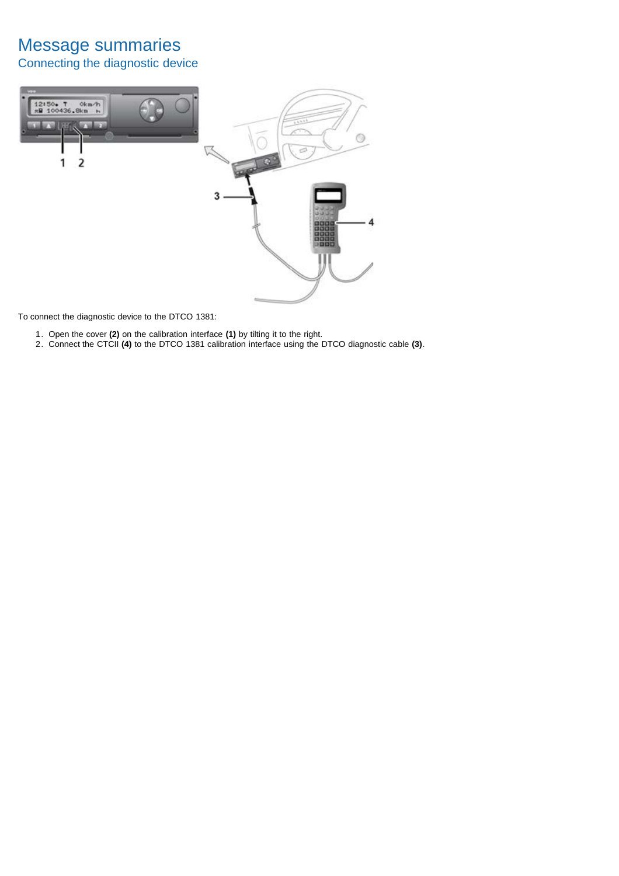Connecting the diagnostic device



To connect the diagnostic device to the DTCO 1381:

- 1. Open the cover **(2)** on the calibration interface **(1)** by tilting it to the right.
- 2. Connect the CTCII **(4)** to the DTCO 1381 calibration interface using the DTCO diagnostic cable **(3)**.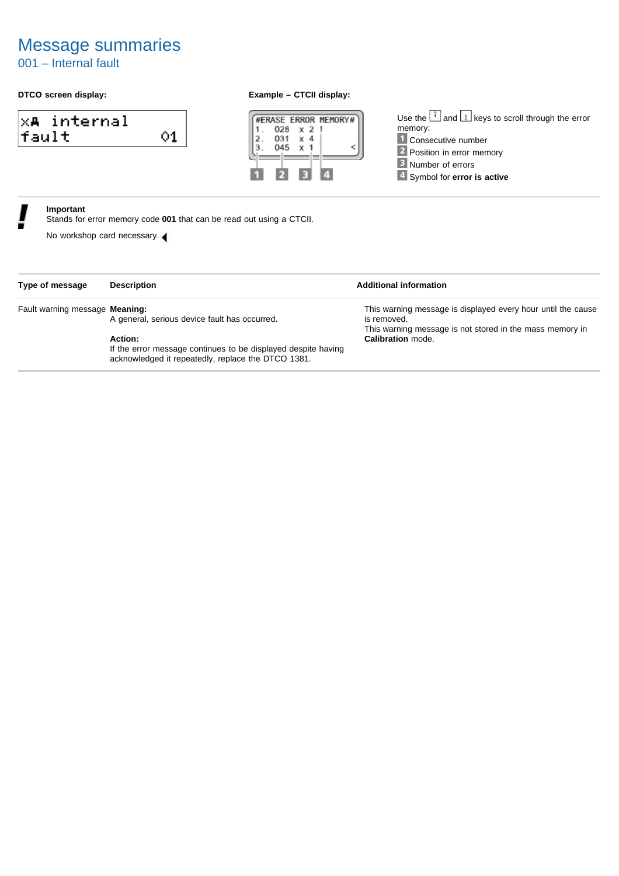## 001 – Internal fault

## **DTCO screen display: Example – CTCII display:**

| xA internal<br>fault        | 01 | #ERASE ERROR MEMORY#<br>028<br>x <sub>2</sub><br>2<br>031<br>x 4<br>045<br>x |
|-----------------------------|----|------------------------------------------------------------------------------|
| Important                   |    | Stands for error memory code 001 that can be read out using a CTCII.         |
| No workshop card necessary. |    |                                                                              |

| Type of message                | <b>Description</b>                                                                                                                                                              | <b>Additional information</b>                                                                                                                                |
|--------------------------------|---------------------------------------------------------------------------------------------------------------------------------------------------------------------------------|--------------------------------------------------------------------------------------------------------------------------------------------------------------|
| Fault warning message Meaning: | A general, serious device fault has occurred.<br>Action:<br>If the error message continues to be displayed despite having<br>acknowledged it repeatedly, replace the DTCO 1381. | This warning message is displayed every hour until the cause<br>is removed.<br>This warning message is not stored in the mass memory in<br>Calibration mode. |

Use the  $\lfloor \frac{n}{2} \rfloor$  and  $\lfloor \frac{n}{2} \rfloor$  keys to scroll through the error

memory:

 Consecutive number Position in error memory Number of errors Symbol for **error is active**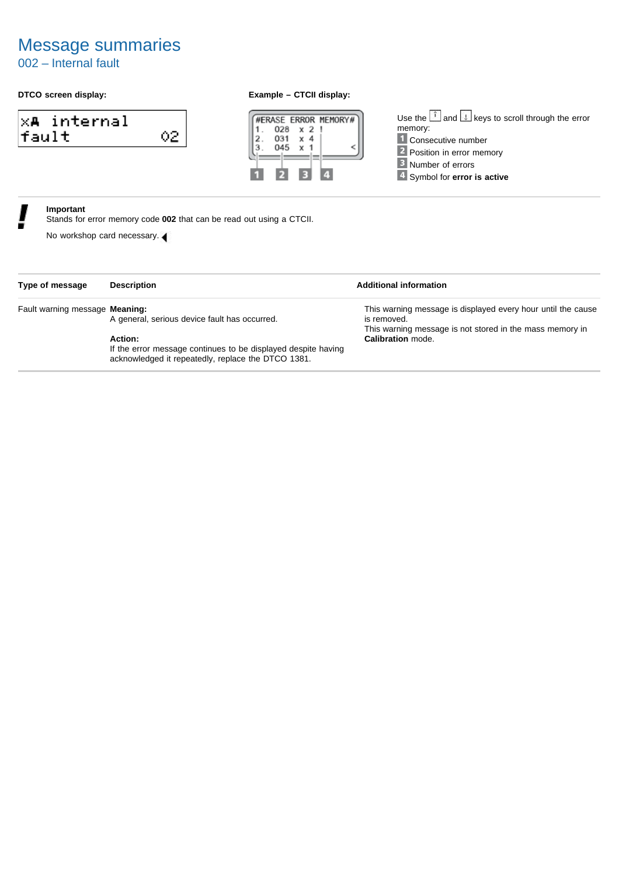## 002 – Internal fault

## **DTCO screen display: Example – CTCII display:**

| x <b>A</b> internal |  |
|---------------------|--|
| fault               |  |



Use the  $\left[\begin{matrix} \hat{i} \\ \end{matrix}\right]$  and  $\left[\begin{matrix} \downarrow \\ \end{matrix}\right]$  keys to scroll through the error memory: 1 Consecutive number 2 Position in error memory **B** Number of errors Symbol for **error is active**

### **Important**

Stands for error memory code **002** that can be read out using a CTCII.

| Type of message                | <b>Description</b>                                            | <b>Additional information</b>                                |
|--------------------------------|---------------------------------------------------------------|--------------------------------------------------------------|
| Fault warning message Meaning: |                                                               | This warning message is displayed every hour until the cause |
|                                | A general, serious device fault has occurred.                 | is removed.                                                  |
|                                |                                                               | This warning message is not stored in the mass memory in     |
|                                | Action:                                                       | Calibration mode                                             |
|                                | If the error message continues to be displayed despite having |                                                              |
|                                | acknowledged it repeatedly, replace the DTCO 1381.            |                                                              |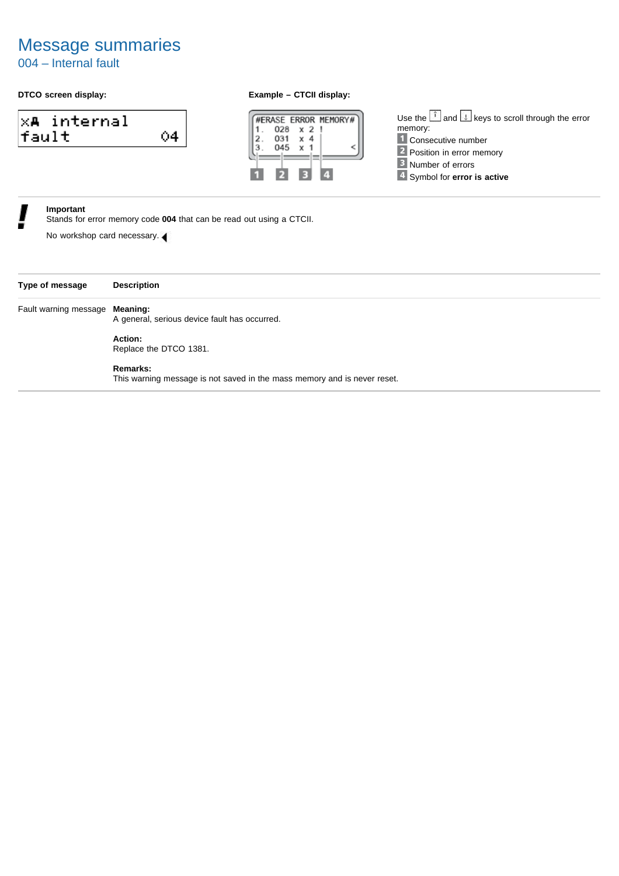## 004 – Internal fault

## **DTCO screen display: Example – CTCII display:**

| x <b>A</b> internal |  |
|---------------------|--|
| lfault              |  |



Use the  $\left[\begin{matrix} \hat{i} \\ \end{matrix}\right]$  and  $\left[\begin{matrix} \downarrow \\ \end{matrix}\right]$  keys to scroll through the error memory: 1 Consecutive number 2 Position in error memory **B** Number of errors Symbol for **error is active**

### **Important**

Stands for error memory code **004** that can be read out using a CTCII.

| Type of message                | <b>Description</b>                                                                          |
|--------------------------------|---------------------------------------------------------------------------------------------|
| Fault warning message Meaning: | A general, serious device fault has occurred.                                               |
|                                | Action:<br>Replace the DTCO 1381.                                                           |
|                                | <b>Remarks:</b><br>This warning message is not saved in the mass memory and is never reset. |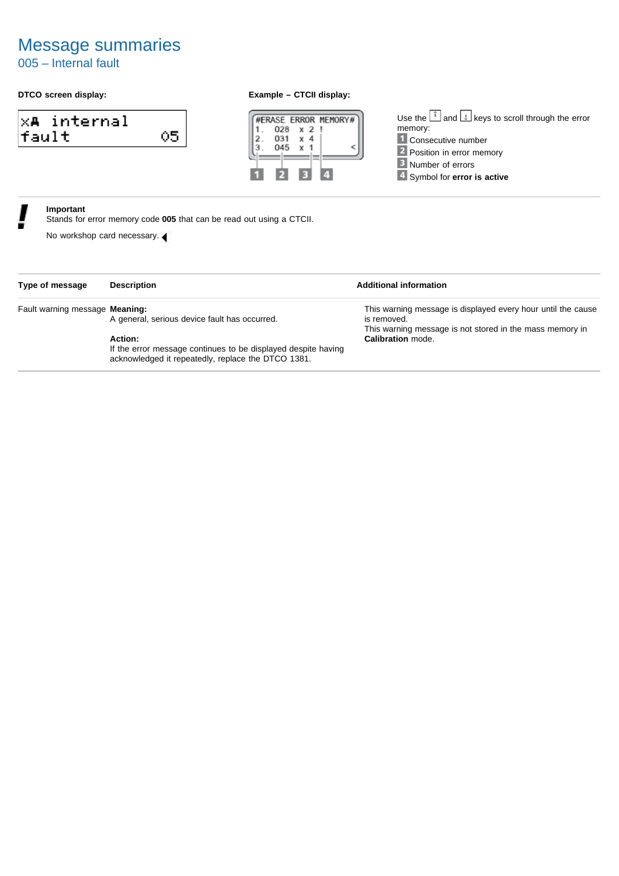## 005 – Internal fault

## **DTCO screen display: Example – CTCII display:**

| <b>XA internal</b> |  |
|--------------------|--|
| fault              |  |



Use the  $\left[\begin{matrix} \hat{i} \\ \end{matrix}\right]$  and  $\left[\begin{matrix} \downarrow \\ \end{matrix}\right]$  keys to scroll through the error memory: 1 Consecutive number 2 Position in error memory **B** Number of errors Symbol for **error is active**

### **Important**

Stands for error memory code **005** that can be read out using a CTCII.

| Type of message                | <b>Description</b>                                            | <b>Additional information</b>                                |  |
|--------------------------------|---------------------------------------------------------------|--------------------------------------------------------------|--|
| Fault warning message Meaning: |                                                               | This warning message is displayed every hour until the cause |  |
|                                | A general, serious device fault has occurred.                 | is removed.                                                  |  |
|                                |                                                               | This warning message is not stored in the mass memory in     |  |
|                                | Action:                                                       | Calibration mode.                                            |  |
|                                | If the error message continues to be displayed despite having |                                                              |  |
|                                | acknowledged it repeatedly, replace the DTCO 1381.            |                                                              |  |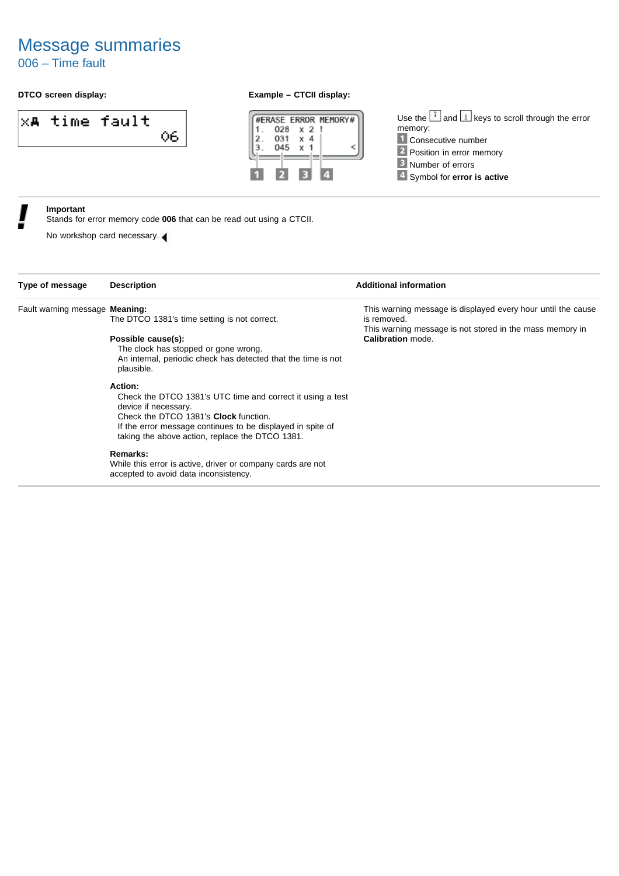006 – Time fault

## **DTCO screen display: Example – CTCII display:**





Use the  $\left[\begin{matrix} \hat{i} \\ \end{matrix}\right]$  and  $\left[\begin{matrix} \downarrow \\ \end{matrix}\right]$  keys to scroll through the error memory: 1 Consecutive number 2 Position in error memory **B** Number of errors 4 Symbol for **error** is active

**Important**

Stands for error memory code **006** that can be read out using a CTCII.

| Type of message                | <b>Description</b>                                            | <b>Additional information</b>                                |
|--------------------------------|---------------------------------------------------------------|--------------------------------------------------------------|
| Fault warning message Meaning: |                                                               | This warning message is displayed every hour until the cause |
|                                | The DTCO 1381's time setting is not correct.                  | is removed.                                                  |
|                                |                                                               | This warning message is not stored in the mass memory in     |
|                                | Possible cause(s):                                            | <b>Calibration</b> mode.                                     |
|                                | The clock has stopped or gone wrong.                          |                                                              |
|                                | An internal, periodic check has detected that the time is not |                                                              |
|                                | plausible.                                                    |                                                              |
|                                | Action:                                                       |                                                              |
|                                | Check the DTCO 1381's UTC time and correct it using a test    |                                                              |
|                                | device if necessary.                                          |                                                              |
|                                | Check the DTCO 1381's Clock function.                         |                                                              |
|                                | If the error message continues to be displayed in spite of    |                                                              |
|                                | taking the above action, replace the DTCO 1381.               |                                                              |
|                                | Remarks:                                                      |                                                              |
|                                | While this error is active, driver or company cards are not   |                                                              |
|                                | accepted to avoid data inconsistency.                         |                                                              |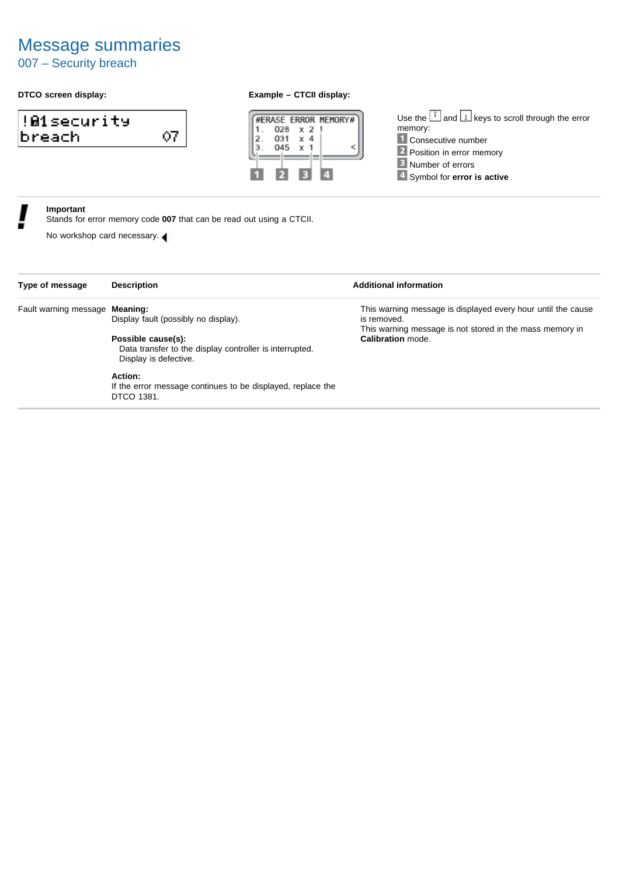## 007 – Security breach

## **DTCO screen display: Example – CTCII display:**

| <u>!01security</u> |    |
|--------------------|----|
| breach             | 07 |



Use the  $\left[\begin{matrix} \hat{i} \\ \end{matrix}\right]$  and  $\left[\begin{matrix} \downarrow \\ \end{matrix}\right]$  keys to scroll through the error memory: 1 Consecutive number 2 Position in error memory **B** Number of errors Symbol for **error is active**

### **Important**

Stands for error memory code **007** that can be read out using a CTCII.

| Type of message                | <b>Description</b>                                          | <b>Additional information</b>                                |
|--------------------------------|-------------------------------------------------------------|--------------------------------------------------------------|
| Fault warning message Meaning: |                                                             | This warning message is displayed every hour until the cause |
|                                | Display fault (possibly no display).                        | is removed.                                                  |
|                                |                                                             | This warning message is not stored in the mass memory in     |
|                                | Possible cause(s):                                          | <b>Calibration</b> mode.                                     |
|                                | Data transfer to the display controller is interrupted.     |                                                              |
|                                | Display is defective.                                       |                                                              |
|                                | Action:                                                     |                                                              |
|                                | If the error message continues to be displayed, replace the |                                                              |
|                                | DTCO 1381.                                                  |                                                              |
|                                |                                                             |                                                              |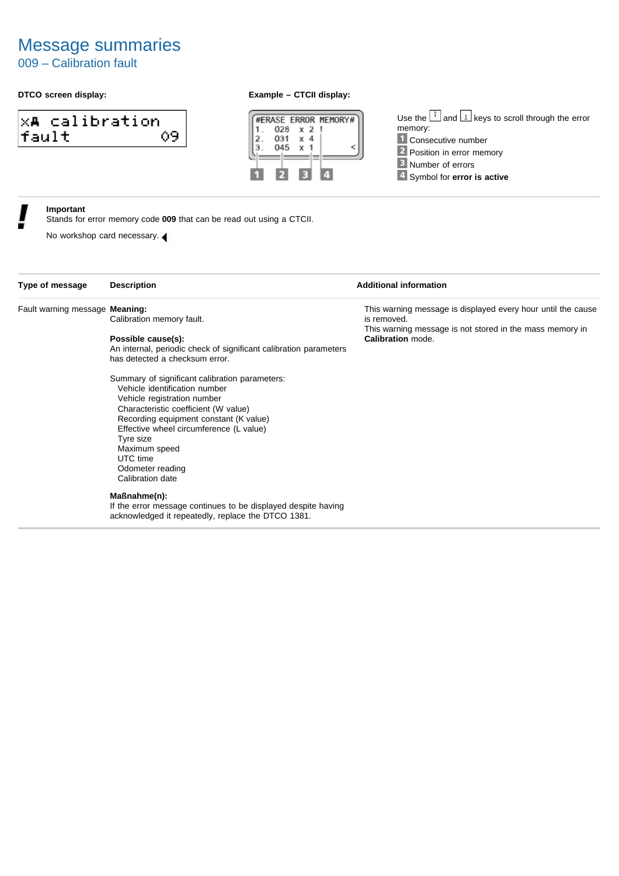## 009 – Calibration fault

## **DTCO screen display: Example – CTCII display:**

|        | x <b>A</b> calibration |
|--------|------------------------|
| lfault | 09 I                   |



Use the  $\left[\begin{matrix} \hat{i} \\ \end{matrix}\right]$  and  $\left[\begin{matrix} \downarrow \\ \end{matrix}\right]$  keys to scroll through the error memory: 1 Consecutive number 2 Position in error memory **B** Number of errors 4 Symbol for **error** is active

## **Important**

Stands for error memory code **009** that can be read out using a CTCII.

No workshop card necessary.

| Type of message                | <b>Description</b>                                                | <b>Additional information</b>                                |
|--------------------------------|-------------------------------------------------------------------|--------------------------------------------------------------|
| Fault warning message Meaning: |                                                                   | This warning message is displayed every hour until the cause |
|                                | Calibration memory fault.                                         | is removed.                                                  |
|                                |                                                                   | This warning message is not stored in the mass memory in     |
|                                | Possible cause(s):                                                | Calibration mode.                                            |
|                                | An internal, periodic check of significant calibration parameters |                                                              |
|                                | has detected a checksum error.                                    |                                                              |
|                                | Summary of significant calibration parameters:                    |                                                              |
|                                | Vehicle identification number                                     |                                                              |
|                                | Vehicle registration number                                       |                                                              |
|                                | Characteristic coefficient (W value)                              |                                                              |
|                                | Recording equipment constant (K value)                            |                                                              |
|                                | Effective wheel circumference (L value)                           |                                                              |
|                                | Tyre size                                                         |                                                              |
|                                | Maximum speed                                                     |                                                              |
|                                | UTC time                                                          |                                                              |
|                                | Odometer reading                                                  |                                                              |
|                                | Calibration date                                                  |                                                              |
|                                | Maßnahme(n):                                                      |                                                              |
|                                | If the error message continues to be displayed despite having     |                                                              |
|                                |                                                                   |                                                              |

acknowledged it repeatedly, replace the DTCO 1381.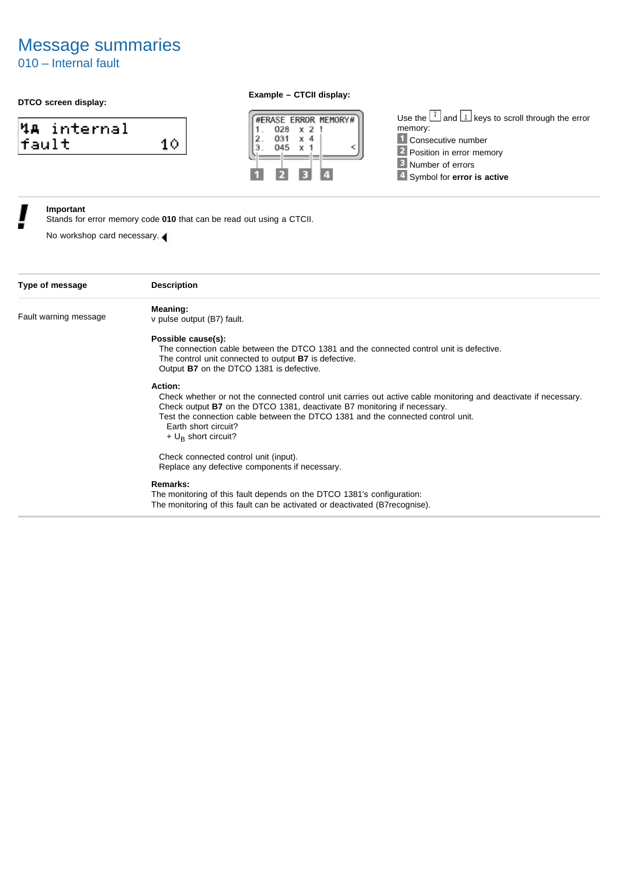## 010 – Internal fault







Use the  $\left[\begin{matrix} \overline{1} & \overline{1} \\ \overline{1} & \overline{1} \end{matrix}\right]$  and  $\left[\begin{matrix} \overline{1} & \overline{1} \\ \overline{2} & \overline{2} \end{matrix}\right]$  keys to scroll through the error memory: 1 Consecutive number 2 Position in error memory **B** Number of errors 4 Symbol for **error is active** 

## **Important**

Stands for error memory code **010** that can be read out using a CTCII.

| Type of message       | <b>Description</b>                                                                                               |
|-----------------------|------------------------------------------------------------------------------------------------------------------|
|                       | Meaning:                                                                                                         |
| Fault warning message | v pulse output (B7) fault.                                                                                       |
|                       | Possible cause(s):                                                                                               |
|                       | The connection cable between the DTCO 1381 and the connected control unit is defective.                          |
|                       | The control unit connected to output <b>B7</b> is defective.                                                     |
|                       | Output B7 on the DTCO 1381 is defective.                                                                         |
|                       | Action:                                                                                                          |
|                       | Check whether or not the connected control unit carries out active cable monitoring and deactivate if necessary. |
|                       | Check output <b>B7</b> on the DTCO 1381, deactivate B7 monitoring if necessary.                                  |
|                       | Test the connection cable between the DTCO 1381 and the connected control unit.                                  |
|                       | Earth short circuit?                                                                                             |
|                       | $+U_{\rm B}$ short circuit?                                                                                      |
|                       | Check connected control unit (input).                                                                            |
|                       | Replace any defective components if necessary.                                                                   |
|                       | Remarks:                                                                                                         |
|                       | The monitoring of this fault depends on the DTCO 1381's configuration:                                           |
|                       | The monitoring of this fault can be activated or deactivated (B7recognise).                                      |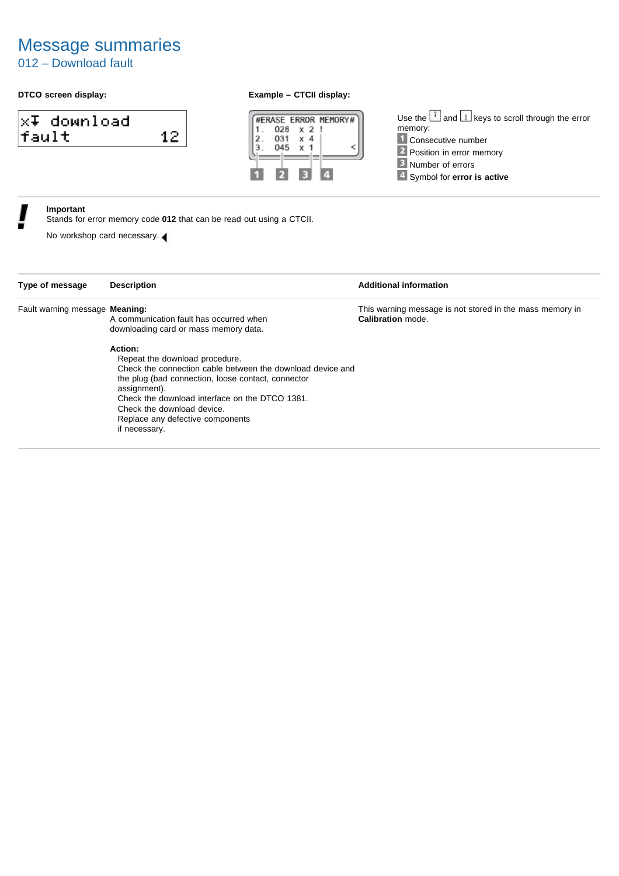## 012 – Download fault

## **DTCO screen display: Example – CTCII display:**

| x∓ download |  |
|-------------|--|
| tault       |  |



Use the  $\left[\begin{matrix} \hat{i} \\ \end{matrix}\right]$  and  $\left[\begin{matrix} \downarrow \\ \end{matrix}\right]$  keys to scroll through the error memory: 1 Consecutive number 2 Position in error memory **B** Number of errors 4 Symbol for **error** is active

### **Important**

Stands for error memory code **012** that can be read out using a CTCII.

| Type of message                | <b>Description</b>                                                                                                                                                                                                                                                                                                 | <b>Additional information</b>                                                 |
|--------------------------------|--------------------------------------------------------------------------------------------------------------------------------------------------------------------------------------------------------------------------------------------------------------------------------------------------------------------|-------------------------------------------------------------------------------|
| Fault warning message Meaning: | A communication fault has occurred when<br>downloading card or mass memory data.                                                                                                                                                                                                                                   | This warning message is not stored in the mass memory in<br>Calibration mode. |
|                                | Action:<br>Repeat the download procedure.<br>Check the connection cable between the download device and<br>the plug (bad connection, loose contact, connector<br>assignment).<br>Check the download interface on the DTCO 1381.<br>Check the download device.<br>Replace any defective components<br>if necessary. |                                                                               |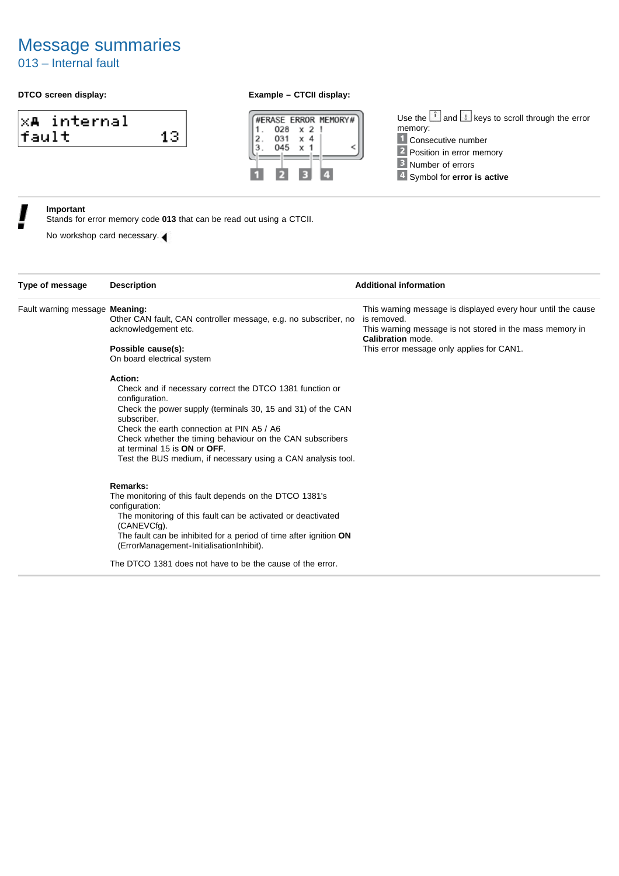## 013 – Internal fault

| x <b>A</b> internal |  |
|---------------------|--|
| fault               |  |





Use the  $\left[\begin{matrix} \hat{i} \\ \end{matrix}\right]$  and  $\left[\begin{matrix} \downarrow \\ \end{matrix}\right]$  keys to scroll through the error memory: 1 Consecutive number 2 Position in error memory **B** Number of errors Symbol for **error is active**

### **Important**

Stands for error memory code **013** that can be read out using a CTCII.

| Type of message                | <b>Description</b>                                                                                                                                                                                                                                                                                                                                                            | <b>Additional information</b>                                                                                                                                |
|--------------------------------|-------------------------------------------------------------------------------------------------------------------------------------------------------------------------------------------------------------------------------------------------------------------------------------------------------------------------------------------------------------------------------|--------------------------------------------------------------------------------------------------------------------------------------------------------------|
| Fault warning message Meaning: | Other CAN fault, CAN controller message, e.g. no subscriber, no<br>acknowledgement etc.                                                                                                                                                                                                                                                                                       | This warning message is displayed every hour until the cause<br>is removed.<br>This warning message is not stored in the mass memory in<br>Calibration mode. |
|                                | Possible cause(s):<br>On board electrical system                                                                                                                                                                                                                                                                                                                              | This error message only applies for CAN1.                                                                                                                    |
|                                | Action:<br>Check and if necessary correct the DTCO 1381 function or<br>configuration.<br>Check the power supply (terminals 30, 15 and 31) of the CAN<br>subscriber.<br>Check the earth connection at PIN A5 / A6<br>Check whether the timing behaviour on the CAN subscribers<br>at terminal 15 is ON or OFF.<br>Test the BUS medium, if necessary using a CAN analysis tool. |                                                                                                                                                              |
|                                | Remarks:<br>The monitoring of this fault depends on the DTCO 1381's<br>configuration:<br>The monitoring of this fault can be activated or deactivated                                                                                                                                                                                                                         |                                                                                                                                                              |
|                                | (CANEVCfg).<br>The fault can be inhibited for a period of time after ignition ON<br>(ErrorManagement-InitialisationInhibit).<br>The DTCO 1381 does not have to be the cause of the error.                                                                                                                                                                                     |                                                                                                                                                              |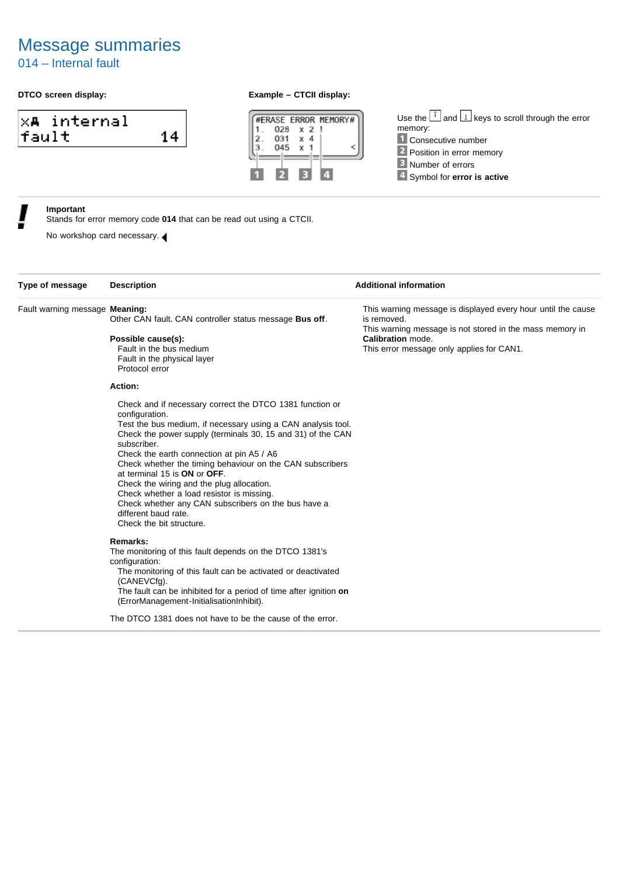## 014 – Internal fault

## **DTCO screen display: Example – CTCII display:**





Use the  $\left[\begin{matrix} \overline{1} & \overline{1} \\ \overline{1} & \overline{1} \end{matrix}\right]$  and  $\left[\begin{matrix} \overline{1} & \overline{1} \\ \overline{2} & \overline{2} \end{matrix}\right]$  keys to scroll through the error memory: 1 Consecutive number 2 Position in error memory **B** Number of errors

4 Symbol for **error** is active

## **Important**

Stands for error memory code **014** that can be read out using a CTCII.

| Type of message                | <b>Description</b>                                                                                                                                                                                                                                                                                                                                                                                                                                                                                                                                                      | <b>Additional information</b>                                                                                                                                                                                    |
|--------------------------------|-------------------------------------------------------------------------------------------------------------------------------------------------------------------------------------------------------------------------------------------------------------------------------------------------------------------------------------------------------------------------------------------------------------------------------------------------------------------------------------------------------------------------------------------------------------------------|------------------------------------------------------------------------------------------------------------------------------------------------------------------------------------------------------------------|
| Fault warning message Meaning: | Other CAN fault. CAN controller status message Bus off.<br>Possible cause(s):<br>Fault in the bus medium<br>Fault in the physical layer<br>Protocol error                                                                                                                                                                                                                                                                                                                                                                                                               | This warning message is displayed every hour until the cause<br>is removed.<br>This warning message is not stored in the mass memory in<br><b>Calibration</b> mode.<br>This error message only applies for CAN1. |
|                                | Action:                                                                                                                                                                                                                                                                                                                                                                                                                                                                                                                                                                 |                                                                                                                                                                                                                  |
|                                | Check and if necessary correct the DTCO 1381 function or<br>configuration.<br>Test the bus medium, if necessary using a CAN analysis tool.<br>Check the power supply (terminals 30, 15 and 31) of the CAN<br>subscriber.<br>Check the earth connection at pin A5 / A6<br>Check whether the timing behaviour on the CAN subscribers<br>at terminal 15 is ON or OFF.<br>Check the wiring and the plug allocation.<br>Check whether a load resistor is missing.<br>Check whether any CAN subscribers on the bus have a<br>different baud rate.<br>Check the bit structure. |                                                                                                                                                                                                                  |
|                                | Remarks:<br>The monitoring of this fault depends on the DTCO 1381's<br>configuration:<br>The monitoring of this fault can be activated or deactivated<br>(CANEVCfg).<br>The fault can be inhibited for a period of time after ignition on<br>(ErrorManagement-InitialisationInhibit).                                                                                                                                                                                                                                                                                   |                                                                                                                                                                                                                  |
|                                | The DTCO 1381 does not have to be the cause of the error.                                                                                                                                                                                                                                                                                                                                                                                                                                                                                                               |                                                                                                                                                                                                                  |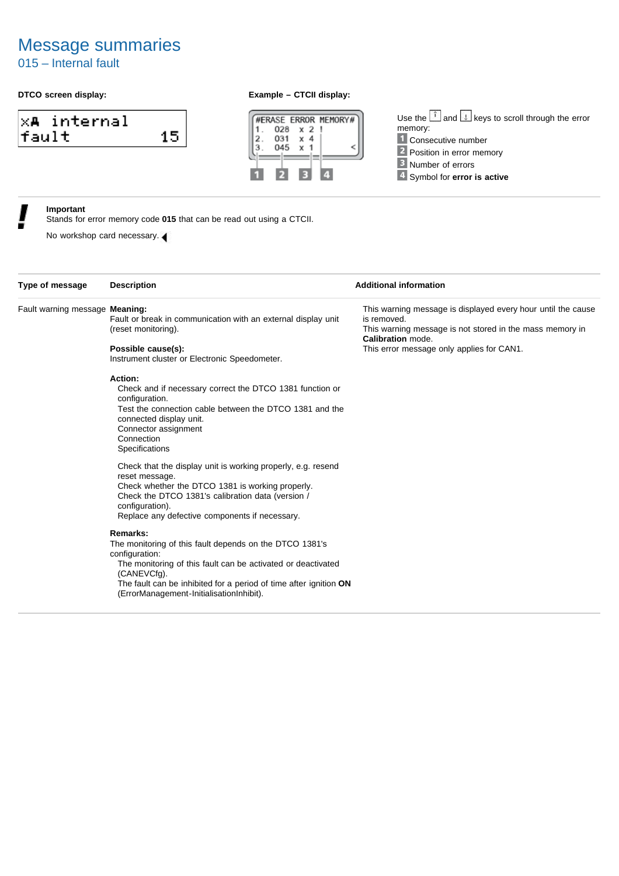## 015 – Internal fault

| x <b>A</b> internal |     |
|---------------------|-----|
| fault               | 15. |





Use the  $\left[\begin{matrix} \hat{i} \\ \end{matrix}\right]$  and  $\left[\begin{matrix} \downarrow \\ \end{matrix}\right]$  keys to scroll through the error memory: 1 Consecutive number 2 Position in error memory **B** Number of errors

Symbol for **error is active**

## **Important**

Stands for error memory code **015** that can be read out using a CTCII.

| Type of message                | <b>Description</b>                                                                                                                                                                                                                                                                    | <b>Additional information</b>                                                                                                                                                                             |
|--------------------------------|---------------------------------------------------------------------------------------------------------------------------------------------------------------------------------------------------------------------------------------------------------------------------------------|-----------------------------------------------------------------------------------------------------------------------------------------------------------------------------------------------------------|
| Fault warning message Meaning: | Fault or break in communication with an external display unit<br>(reset monitoring).<br>Possible cause(s):<br>Instrument cluster or Electronic Speedometer.                                                                                                                           | This warning message is displayed every hour until the cause<br>is removed.<br>This warning message is not stored in the mass memory in<br>Calibration mode.<br>This error message only applies for CAN1. |
|                                | Action:<br>Check and if necessary correct the DTCO 1381 function or<br>configuration.<br>Test the connection cable between the DTCO 1381 and the<br>connected display unit.<br>Connector assignment<br>Connection<br>Specifications                                                   |                                                                                                                                                                                                           |
|                                | Check that the display unit is working properly, e.g. resend<br>reset message.<br>Check whether the DTCO 1381 is working properly.<br>Check the DTCO 1381's calibration data (version /<br>configuration).<br>Replace any defective components if necessary.                          |                                                                                                                                                                                                           |
|                                | Remarks:<br>The monitoring of this fault depends on the DTCO 1381's<br>configuration:<br>The monitoring of this fault can be activated or deactivated<br>(CANEVCfg).<br>The fault can be inhibited for a period of time after ignition ON<br>(ErrorManagement-InitialisationInhibit). |                                                                                                                                                                                                           |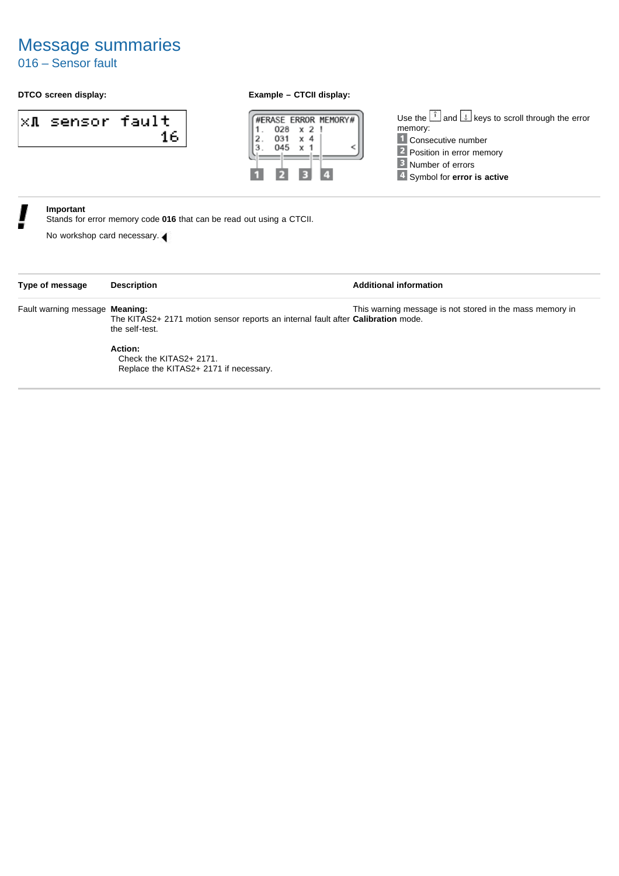## 016 – Sensor fault

## **DTCO screen display: Example – CTCII display:**

| ×Л | sensor fault<br>16                                                                | #ERASE ERROR MEMORY#<br>x <sub>2</sub><br>028<br>2.<br>$\times$ 4<br>3.<br>045<br>x <sub>1</sub> | Use the $\left  \hat{1} \right $ and $\left  \cdot \right $ keys to scroll through the error<br>memory:<br>Consecutive number<br>2 Position in error memory<br><b>B</b> Number of errors<br>4 Symbol for error is active |
|----|-----------------------------------------------------------------------------------|--------------------------------------------------------------------------------------------------|--------------------------------------------------------------------------------------------------------------------------------------------------------------------------------------------------------------------------|
|    | Important<br>Stands for error memory code 016 that can be read out using a CTCII. |                                                                                                  |                                                                                                                                                                                                                          |
|    | No workshop card necessary.                                                       |                                                                                                  |                                                                                                                                                                                                                          |
|    |                                                                                   |                                                                                                  |                                                                                                                                                                                                                          |

| Type of message                | <b>Description</b>                                                                                                                                                                 | <b>Additional information</b>                            |
|--------------------------------|------------------------------------------------------------------------------------------------------------------------------------------------------------------------------------|----------------------------------------------------------|
| Fault warning message Meaning: | The KITAS2+ 2171 motion sensor reports an internal fault after Calibration mode.<br>the self-test.<br>Action:<br>Check the KITAS2+ 2171.<br>Replace the KITAS2+ 2171 if necessary. | This warning message is not stored in the mass memory in |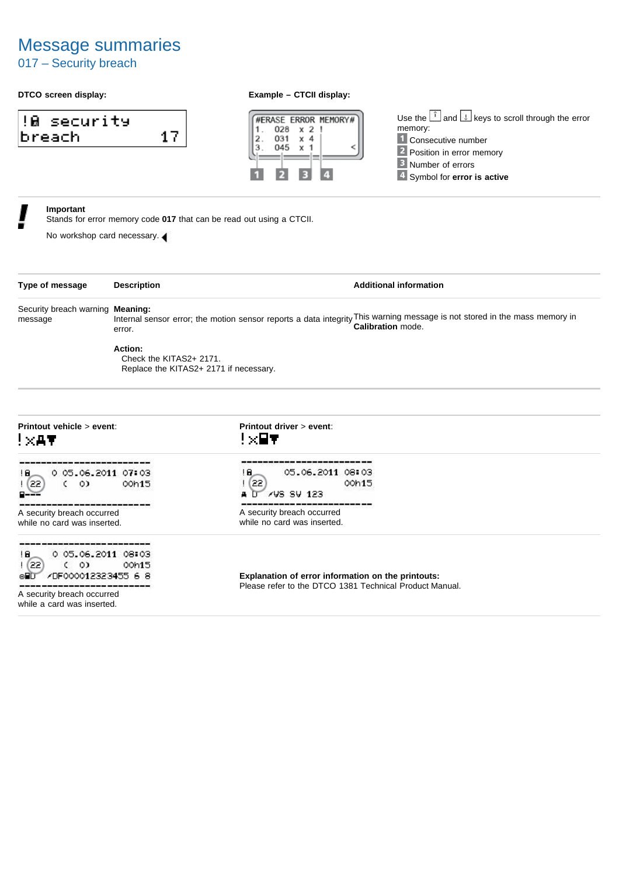## 017 – Security breach

## **DTCO screen display: Example – CTCII display:**





Use the  $\left[\begin{matrix} \overline{1} & \overline{1} \\ \overline{1} & \overline{1} \end{matrix}\right]$  and  $\left[\begin{matrix} \overline{1} & \overline{1} \\ \overline{2} & \overline{2} \end{matrix}\right]$  keys to scroll through the error memory: 1 Consecutive number 2 Position in error memory **B** Number of errors 4 Symbol for **error** is active

### **Important**

Stands for error memory code **017** that can be read out using a CTCII.

| Type of message                                                                                                                                                                          | <b>Description</b>                                                                                                                                        | <b>Additional information</b>                                                                                 |
|------------------------------------------------------------------------------------------------------------------------------------------------------------------------------------------|-----------------------------------------------------------------------------------------------------------------------------------------------------------|---------------------------------------------------------------------------------------------------------------|
| Security breach warning Meaning:<br>message                                                                                                                                              | Internal sensor error; the motion sensor reports a data integrity This warning message is not stored in the mass memory in<br>Calibration mode.<br>error. |                                                                                                               |
|                                                                                                                                                                                          | Action:<br>Check the KITAS2+ 2171.<br>Replace the KITAS2+ 2171 if necessary.                                                                              |                                                                                                               |
| Printout vehicle > event:<br>! XAT                                                                                                                                                       |                                                                                                                                                           | Printout driver > event:<br>!x⊟▼                                                                              |
| 0 05.06.2011 07:03<br>IB.<br>! [22<br>$\circ$                                                                                                                                            | 00h15                                                                                                                                                     | 05.06.2011 08:03<br>IB.<br>(22)<br>00h15<br>AVS SV 123                                                        |
| A security breach occurred<br>while no card was inserted.                                                                                                                                |                                                                                                                                                           | A security breach occurred<br>while no card was inserted.                                                     |
| ------------- <i>------</i> --<br>0 05.06.2011 08:03<br>IB.<br>! (22<br>$\epsilon$ or<br>00h15<br>/DF000012323455 6 8<br>oHD<br>A security breach occurred<br>while a card was inserted. |                                                                                                                                                           | Explanation of error information on the printouts:<br>Please refer to the DTCO 1381 Technical Product Manual. |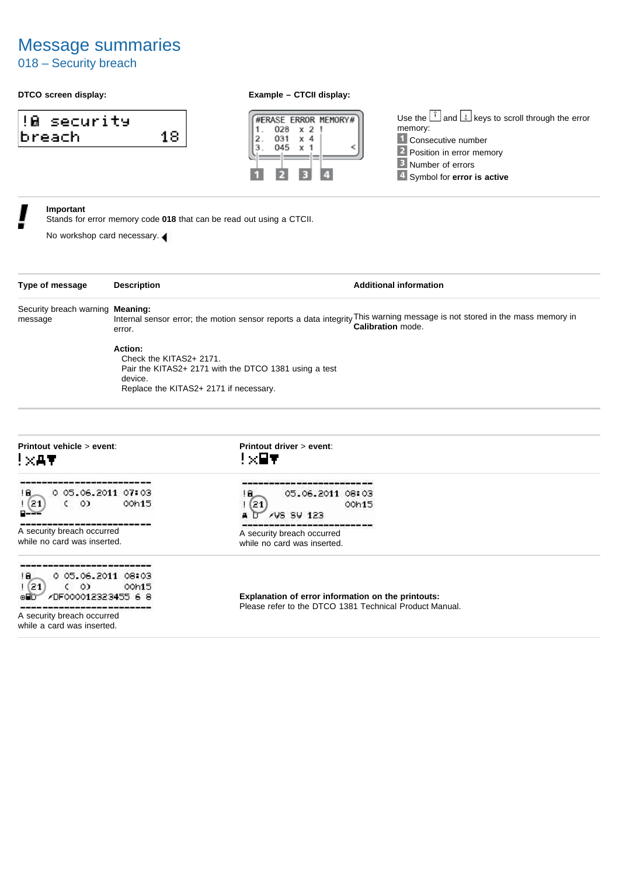## 018 – Security breach

### **DTCO screen display: Example – CTCII display:**





A security breach occurred A security breach occurred<br>while no card was inserted.<br>while no card was inserted.



A security breach occurred while a card was inserted.

 $18$ 05.06.2011 08:03



**Explanation of error information on the printouts:** Please refer to the DTCO 1381 Technical Product Manual.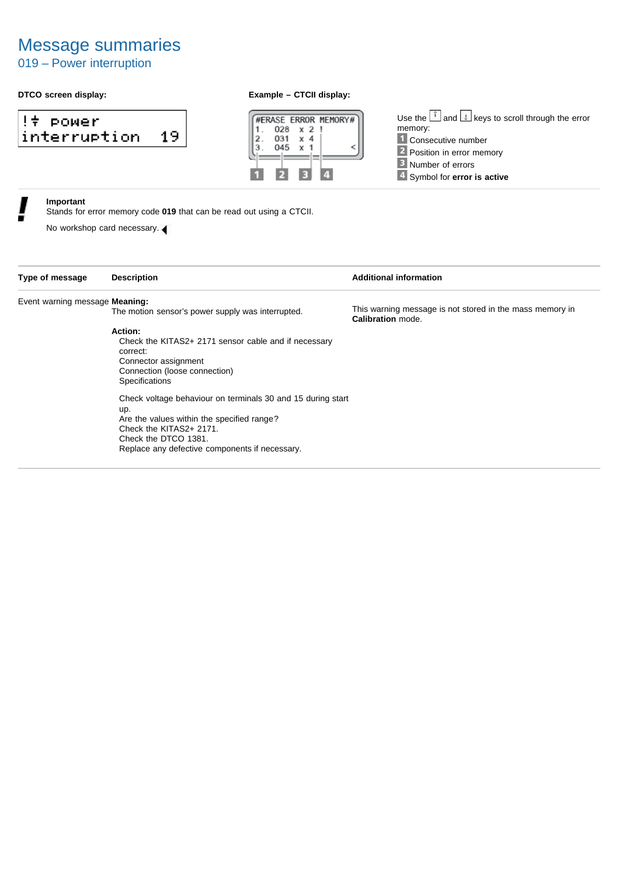## 019 – Power interruption

## **DTCO screen display: Example – CTCII display:**

### !÷ POWer interruption 19



Use the  $\left[\begin{matrix} \overline{1} & \overline{1} \\ \overline{1} & \overline{1} \end{matrix}\right]$  and  $\left[\begin{matrix} \overline{1} & \overline{1} \\ \overline{2} & \overline{2} \end{matrix}\right]$  keys to scroll through the error memory: 1 Consecutive number 2 Position in error memory **B** Number of errors 4 Symbol for **error** is active

## **Important**

Stands for error memory code **019** that can be read out using a CTCII.

| Type of message                | <b>Description</b>                                                                                                                                                                                                    | <b>Additional information</b>                                                 |
|--------------------------------|-----------------------------------------------------------------------------------------------------------------------------------------------------------------------------------------------------------------------|-------------------------------------------------------------------------------|
| Event warning message Meaning: |                                                                                                                                                                                                                       |                                                                               |
|                                | The motion sensor's power supply was interrupted.                                                                                                                                                                     | This warning message is not stored in the mass memory in<br>Calibration mode. |
|                                | Action:                                                                                                                                                                                                               |                                                                               |
|                                | Check the KITAS2+ 2171 sensor cable and if necessary<br>correct:<br>Connector assignment<br>Connection (loose connection)<br>Specifications                                                                           |                                                                               |
|                                | Check voltage behaviour on terminals 30 and 15 during start<br>up.<br>Are the values within the specified range?<br>Check the KITAS2+ 2171.<br>Check the DTCO 1381.<br>Replace any defective components if necessary. |                                                                               |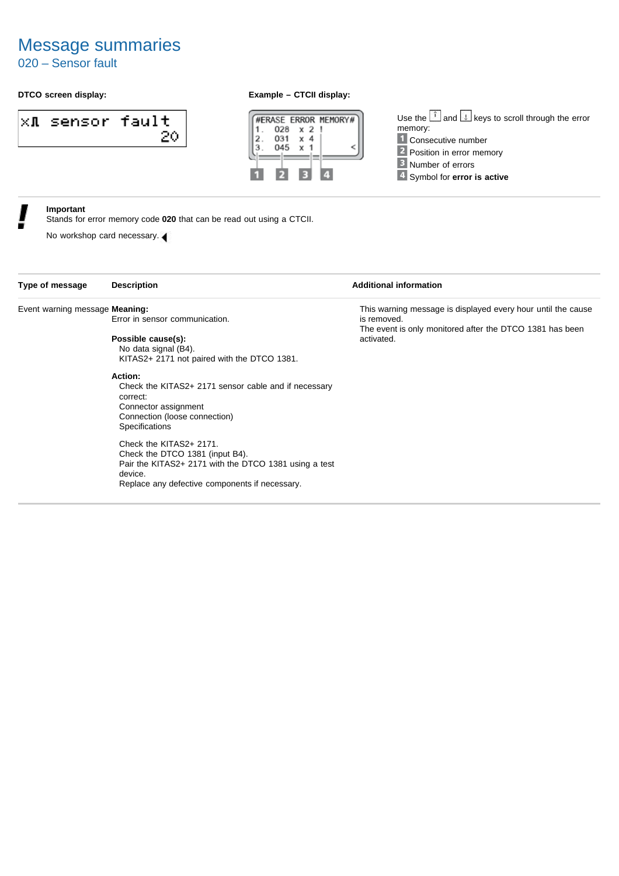## 020 – Sensor fault

## **DTCO screen display: Example – CTCII display:**

| <b>XI sensor fault</b> |    |
|------------------------|----|
|                        | 20 |



Use the  $\left[\begin{matrix} \hat{i} \\ \end{matrix}\right]$  and  $\left[\begin{matrix} \downarrow \\ \end{matrix}\right]$  keys to scroll through the error memory: 1 Consecutive number 2 Position in error memory **B** Number of errors Symbol for **error is active**

### **Important**

Stands for error memory code **020** that can be read out using a CTCII.

| Type of message                       | <b>Description</b>                                    | <b>Additional information</b>                                |
|---------------------------------------|-------------------------------------------------------|--------------------------------------------------------------|
| Event warning message <b>Meaning:</b> |                                                       | This warning message is displayed every hour until the cause |
|                                       | Error in sensor communication.                        | is removed.                                                  |
|                                       |                                                       | The event is only monitored after the DTCO 1381 has been     |
|                                       | Possible cause(s):                                    | activated.                                                   |
|                                       | No data signal (B4).                                  |                                                              |
|                                       | KITAS2+ 2171 not paired with the DTCO 1381.           |                                                              |
|                                       | Action:                                               |                                                              |
|                                       | Check the KITAS2+ 2171 sensor cable and if necessary  |                                                              |
|                                       | correct:                                              |                                                              |
|                                       | Connector assignment                                  |                                                              |
|                                       | Connection (loose connection)                         |                                                              |
|                                       | Specifications                                        |                                                              |
|                                       | Check the KITAS2+ 2171.                               |                                                              |
|                                       | Check the DTCO 1381 (input B4).                       |                                                              |
|                                       | Pair the KITAS2+ 2171 with the DTCO 1381 using a test |                                                              |
|                                       | device.                                               |                                                              |
|                                       | Replace any defective components if necessary.        |                                                              |
|                                       |                                                       |                                                              |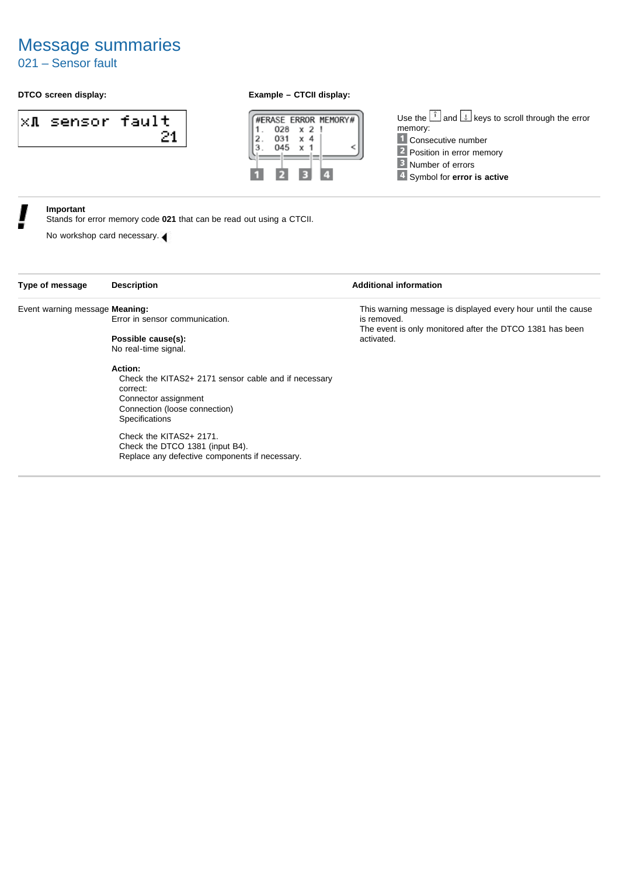## 021 – Sensor fault

## **DTCO screen display: Example – CTCII display:**

$$
\begin{array}{r}\n \times \texttt{R sensor fault} \\
21\n \end{array}
$$



Use the  $\left[\begin{array}{ccc} \uparrow & \downarrow \\ \downarrow & \downarrow \end{array}\right]$  keys to scroll through the error memory: **1** Consecutive number 2 Position in error memory **B** Number of errors Symbol for **error is active**

### **Important**

Stands for error memory code **021** that can be read out using a CTCII.

No workshop card necessary.

**Type of message Description Additional information**

### Event warning message **Meaning:**

Error in sensor communication.

### **Possible cause(s):** No real-time signal.

### **Action:**

Check the KITAS2+ 2171 sensor cable and if necessary correct: Connector assignment Connection (loose connection) Specifications

Check the KITAS2+ 2171. Check the DTCO 1381 (input B4). Replace any defective components if necessary.

This warning message is displayed every hour until the cause is removed. The event is only monitored after the DTCO 1381 has been activated.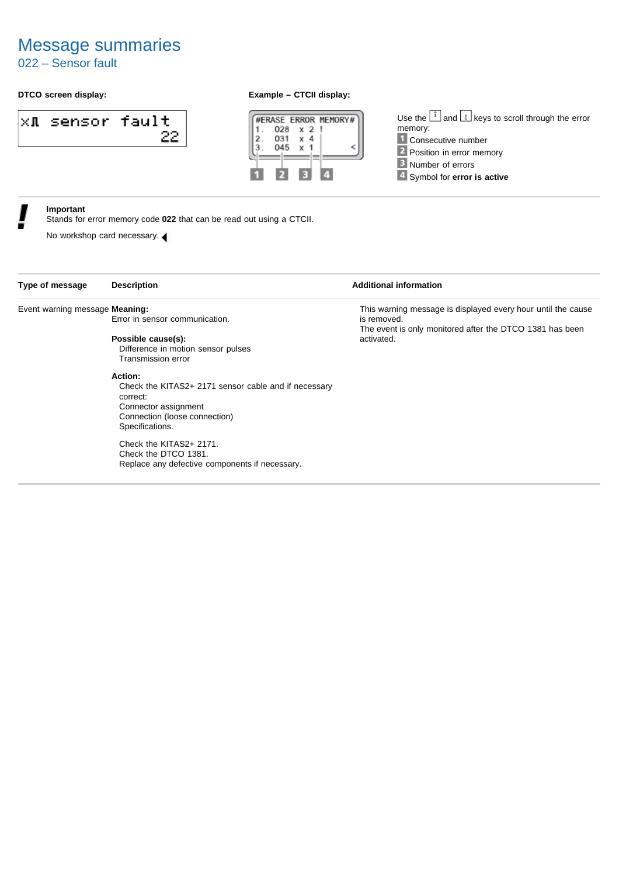## 022 – Sensor fault

## **DTCO screen display: Example – CTCII display:**

| x <b>]</b> sensor fault |  |
|-------------------------|--|
|                         |  |



Use the  $\left[\begin{matrix} \overline{1} & \overline{1} \\ \overline{1} & \overline{1} \end{matrix}\right]$  and  $\left[\begin{matrix} \overline{1} & \overline{1} \\ \overline{2} & \overline{2} \end{matrix}\right]$  keys to scroll through the error memory: **1** Consecutive number **2** Position in error memory **B** Number of errors 4 Symbol for **error** is active

### **Important**

Stands for error memory code **022** that can be read out using a CTCII.

No workshop card necessary.

| Event warning message Meaning: |                                                                  | This warning r                |
|--------------------------------|------------------------------------------------------------------|-------------------------------|
|                                | Error in sensor communication.                                   | is removed.<br>The event is o |
|                                | Possible cause(s):                                               | activated.                    |
|                                | Difference in motion sensor pulses                               |                               |
|                                | Transmission error                                               |                               |
|                                | Action:                                                          |                               |
|                                | Check the KITAS2+ 2171 sensor cable and if necessary<br>correct: |                               |
|                                | Connector assignment                                             |                               |
|                                |                                                                  |                               |

Connection (loose connection) Specifications.

Check the KITAS2+ 2171. Check the DTCO 1381. Replace any defective components if necessary.

### **Type of message Description Additional information**

message is displayed every hour until the cause nly monitored after the DTCO 1381 has been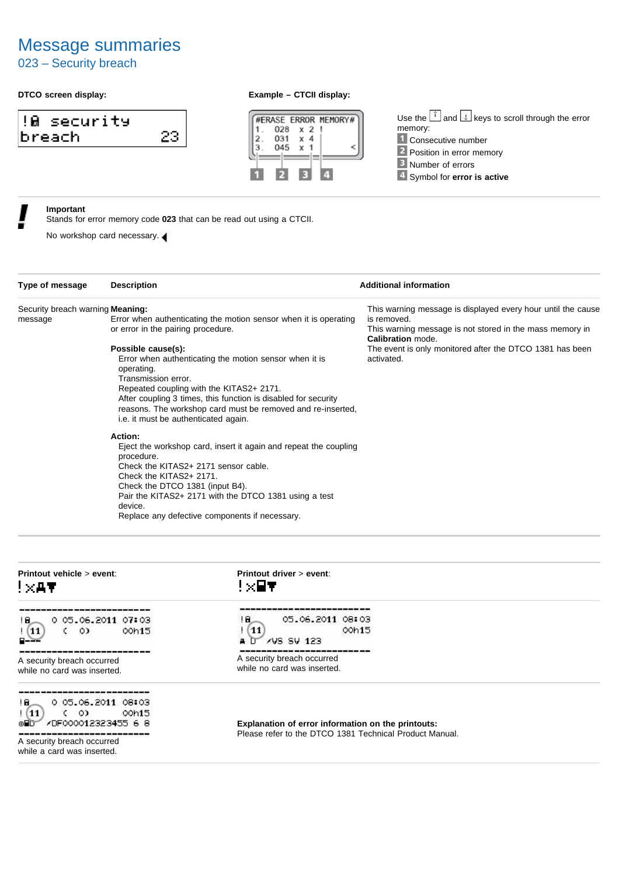## 023 – Security breach







Use the  $\left[\begin{matrix} \overline{1} & \overline{1} \\ \overline{1} & \overline{1} \end{matrix}\right]$  and  $\left[\begin{matrix} \overline{1} & \overline{1} \\ \overline{2} & \overline{2} \end{matrix}\right]$  keys to scroll through the error memory: 1 Consecutive number 2 Position in error memory **B** Number of errors 4 Symbol for **error** is active

### **Important**

Stands for error memory code **023** that can be read out using a CTCII.

| Type of message                  | <b>Description</b>                                                                                  | <b>Additional information</b>                                                        |
|----------------------------------|-----------------------------------------------------------------------------------------------------|--------------------------------------------------------------------------------------|
| Security breach warning Meaning: |                                                                                                     | This warning message is displayed every hour until the cause                         |
| message                          | Error when authenticating the motion sensor when it is operating                                    | is removed.                                                                          |
|                                  | or error in the pairing procedure.                                                                  | This warning message is not stored in the mass memory in<br><b>Calibration</b> mode. |
|                                  | Possible cause(s):                                                                                  | The event is only monitored after the DTCO 1381 has been                             |
|                                  | Error when authenticating the motion sensor when it is<br>operating.<br>Transmission error.         | activated.                                                                           |
|                                  | Repeated coupling with the KITAS2+ 2171.                                                            |                                                                                      |
|                                  | After coupling 3 times, this function is disabled for security                                      |                                                                                      |
|                                  | reasons. The workshop card must be removed and re-inserted,<br>i.e. it must be authenticated again. |                                                                                      |
|                                  | Action:                                                                                             |                                                                                      |
|                                  | Eject the workshop card, insert it again and repeat the coupling<br>procedure.                      |                                                                                      |
|                                  | Check the KITAS2+ 2171 sensor cable.                                                                |                                                                                      |
|                                  | Check the KITAS2+ 2171.                                                                             |                                                                                      |
|                                  | Check the DTCO 1381 (input B4).                                                                     |                                                                                      |
|                                  | Pair the KITAS2+ 2171 with the DTCO 1381 using a test                                               |                                                                                      |
|                                  | device.                                                                                             |                                                                                      |
|                                  | Replace any defective components if necessary.                                                      |                                                                                      |

| Printout vehicle > event:                                                                                                                         | Printout driver > event:                                                                                      |  |
|---------------------------------------------------------------------------------------------------------------------------------------------------|---------------------------------------------------------------------------------------------------------------|--|
| $!{\times}$ at                                                                                                                                    | !x⊟▼                                                                                                          |  |
| 0 05.06.2011 07:03                                                                                                                                | 05.06.2011 08:03                                                                                              |  |
| 18.,                                                                                                                                              | ΙΘ.                                                                                                           |  |
| $\circ$                                                                                                                                           | 11                                                                                                            |  |
| ! (11                                                                                                                                             | 00h15                                                                                                         |  |
| 00h15                                                                                                                                             | <b>AVS SV 123</b>                                                                                             |  |
| K.                                                                                                                                                | д. П                                                                                                          |  |
| A security breach occurred                                                                                                                        | A security breach occurred                                                                                    |  |
| while no card was inserted.                                                                                                                       | while no card was inserted.                                                                                   |  |
| 0 05.06.2011 08:03<br>١Θ.<br>1(11)<br>$\circ$<br>00h15<br>⊙∎D⊤<br>/DF000012323455 6 8<br>A security breach occurred<br>while a card was inserted. | Explanation of error information on the printouts:<br>Please refer to the DTCO 1381 Technical Product Manual. |  |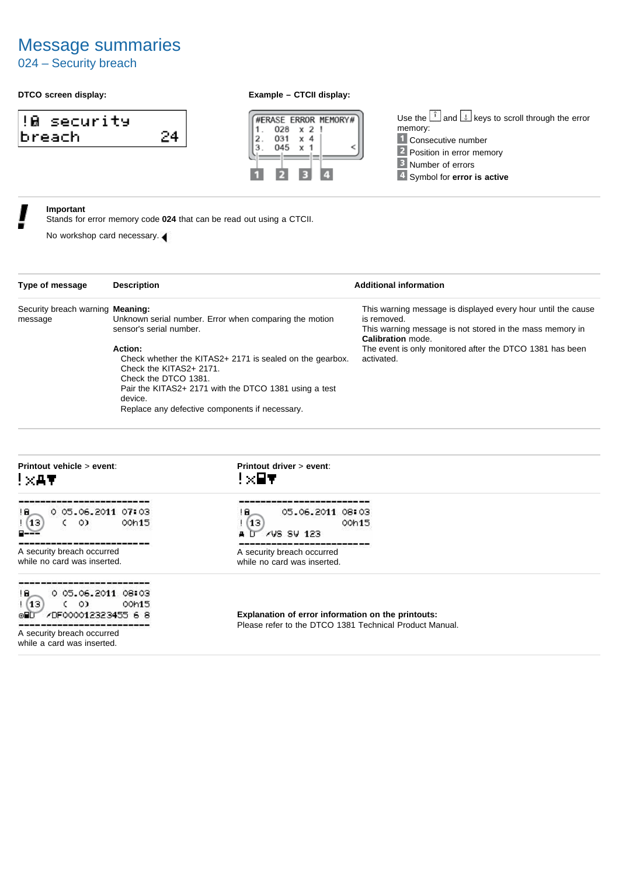## 024 – Security breach







Use the  $\left[\begin{matrix} \overline{1} & \overline{1} \\ \overline{1} & \overline{1} \end{matrix}\right]$  and  $\left[\begin{matrix} \overline{1} & \overline{1} \\ \overline{2} & \overline{2} \end{matrix}\right]$  keys to scroll through the error memory: 1 Consecutive number 2 Position in error memory **B** Number of errors 4 Symbol for **error is active** 

## **Important**

Stands for error memory code **024** that can be read out using a CTCII.

| <b>Type of message</b>           | <b>Description</b>                                       | <b>Additional information</b>                                |
|----------------------------------|----------------------------------------------------------|--------------------------------------------------------------|
| Security breach warning Meaning: |                                                          | This warning message is displayed every hour until the cause |
| message                          | Unknown serial number. Error when comparing the motion   | is removed.                                                  |
|                                  | sensor's serial number.                                  | This warning message is not stored in the mass memory in     |
|                                  |                                                          | <b>Calibration</b> mode.                                     |
|                                  | Action:                                                  | The event is only monitored after the DTCO 1381 has been     |
|                                  | Check whether the KITAS2+ 2171 is sealed on the gearbox. | activated.                                                   |
|                                  | Check the KITAS2+ 2171.                                  |                                                              |
|                                  | Check the DTCO 1381.                                     |                                                              |
|                                  | Pair the KITAS2+ 2171 with the DTCO 1381 using a test    |                                                              |
|                                  | device.                                                  |                                                              |
|                                  | Replace any defective components if necessary.           |                                                              |
|                                  |                                                          |                                                              |
|                                  |                                                          |                                                              |

| Explanation of error information on the printouts:<br>Please refer to the DTCO 1381 Technical Product Manual. |  |
|---------------------------------------------------------------------------------------------------------------|--|
|                                                                                                               |  |
|                                                                                                               |  |
|                                                                                                               |  |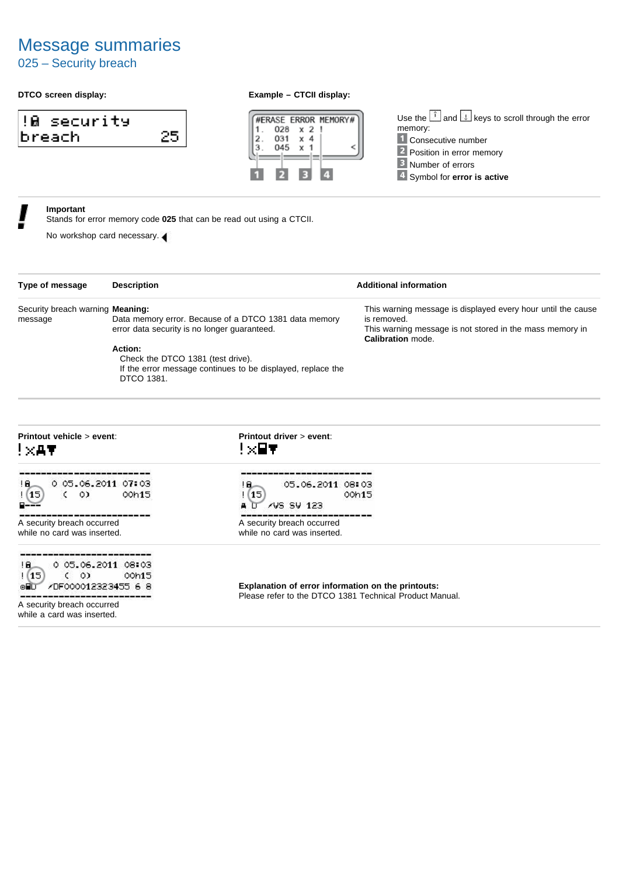## 025 – Security breach

## **DTCO screen display: Example – CTCII display:**

| !@ security |  |
|-------------|--|
| Ibreach     |  |





Use the  $\left[\begin{matrix} \hat{i} \\ \end{matrix}\right]$  and  $\left[\begin{matrix} \downarrow \\ \end{matrix}\right]$  keys to scroll through the error memory: 1 Consecutive number 2 Position in error memory **B** Number of errors 4 Symbol for **error** is active

### **Important**

Stands for error memory code **025** that can be read out using a CTCII.

No workshop card necessary.

| Type of message                                                                                                                                           | <b>Description</b>          |                                                                                                                      | <b>Additional information</b>                                                                                                                                |  |
|-----------------------------------------------------------------------------------------------------------------------------------------------------------|-----------------------------|----------------------------------------------------------------------------------------------------------------------|--------------------------------------------------------------------------------------------------------------------------------------------------------------|--|
| Security breach warning Meaning:<br>message<br>error data security is no longer guaranteed.<br>Action:<br>Check the DTCO 1381 (test drive).<br>DTCO 1381. |                             | Data memory error. Because of a DTCO 1381 data memory<br>If the error message continues to be displayed, replace the | This warning message is displayed every hour until the cause<br>is removed.<br>This warning message is not stored in the mass memory in<br>Calibration mode. |  |
| Printout vehicle > event:<br>! XAT                                                                                                                        |                             | Printout driver > event:<br>!x⊟▼                                                                                     |                                                                                                                                                              |  |
| -----------------<br>18.<br>! (15<br>C.<br>$\circ$                                                                                                        | 0 05.06.2011 07:03<br>00h15 | --------------<br>05.06.2011 08:03<br>! 8.-<br>(15<br><b>AVS SV 123</b>                                              | 00h15                                                                                                                                                        |  |
| A security breach occurred<br>while no card was inserted.                                                                                                 |                             | A security breach occurred<br>while no card was inserted.                                                            |                                                                                                                                                              |  |
| 0 05.06.2011 08:03<br>18.<br>(15)<br>$($ $)$<br>00h15<br>/DF000012323455 6 8<br>A security breach occurred                                                |                             | Explanation of error information on the printouts:<br>Please refer to the DTCO 1381 Technical Product Manual.        |                                                                                                                                                              |  |

while a card was inserted.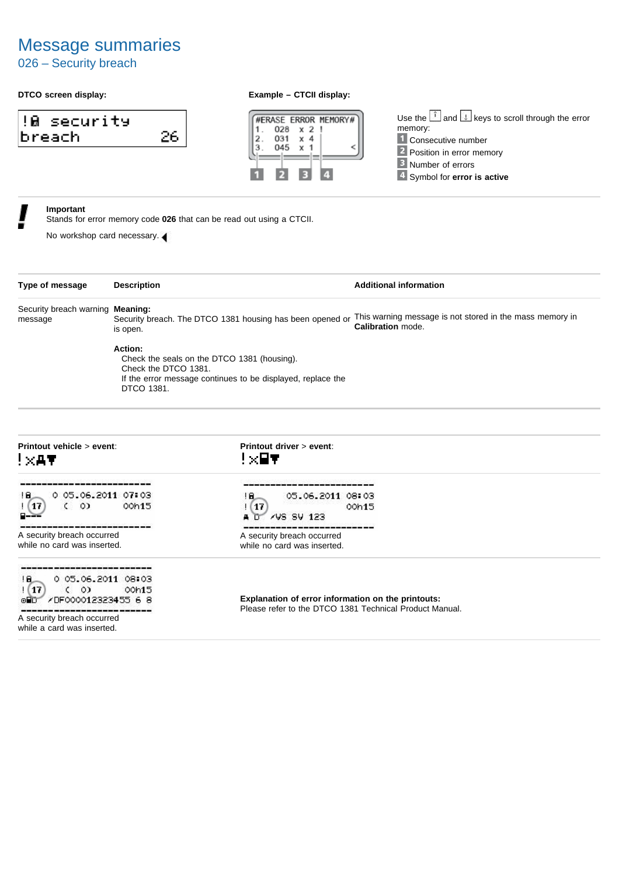## 026 – Security breach

## **DTCO screen display: Example – CTCII display:**





Use the  $\left[\begin{matrix} \overline{1} & \overline{1} \\ \overline{1} & \overline{1} \end{matrix}\right]$  and  $\left[\begin{matrix} \overline{1} & \overline{1} \\ \overline{2} & \overline{2} \end{matrix}\right]$  keys to scroll through the error memory: 1 Consecutive number 2 Position in error memory **B** Number of errors 4 Symbol for **error** is active

### **Important**

Stands for error memory code **026** that can be read out using a CTCII.

| Type of message                                                                                                                        | <b>Description</b>                                                                           |                                                             | <b>Additional information</b>                                                 |
|----------------------------------------------------------------------------------------------------------------------------------------|----------------------------------------------------------------------------------------------|-------------------------------------------------------------|-------------------------------------------------------------------------------|
| Security breach warning Meaning:<br>message                                                                                            | is open.                                                                                     | Security breach. The DTCO 1381 housing has been opened or   | This warning message is not stored in the mass memory in<br>Calibration mode. |
|                                                                                                                                        | Action:<br>Check the seals on the DTCO 1381 (housing).<br>Check the DTCO 1381.<br>DTCO 1381. | If the error message continues to be displayed, replace the |                                                                               |
| Printout vehicle > event:<br>! XAT                                                                                                     |                                                                                              | Printout driver > event:<br>!x⊟▼                            |                                                                               |
| -----------------<br>0 05 06 2011 07:03<br>IB.<br>$\circ$<br>- (17                                                                     | 00h15                                                                                        | 18.<br>05.06.2011 08:03<br>(17<br>AVS SV 123                | 00h15                                                                         |
| A security breach occurred<br>while no card was inserted.                                                                              |                                                                                              | A security breach occurred<br>while no card was inserted.   |                                                                               |
| 0 05.06.2011 08:03<br>$16-$<br>(0)<br>! [ 17<br>00h15<br>Explanation of error information on the printouts:<br>omp /DF000012323455 6 8 |                                                                                              |                                                             |                                                                               |
| A security breach occurred<br>while a card was inserted.                                                                               |                                                                                              | Please refer to the DTCO 1381 Technical Product Manual.     |                                                                               |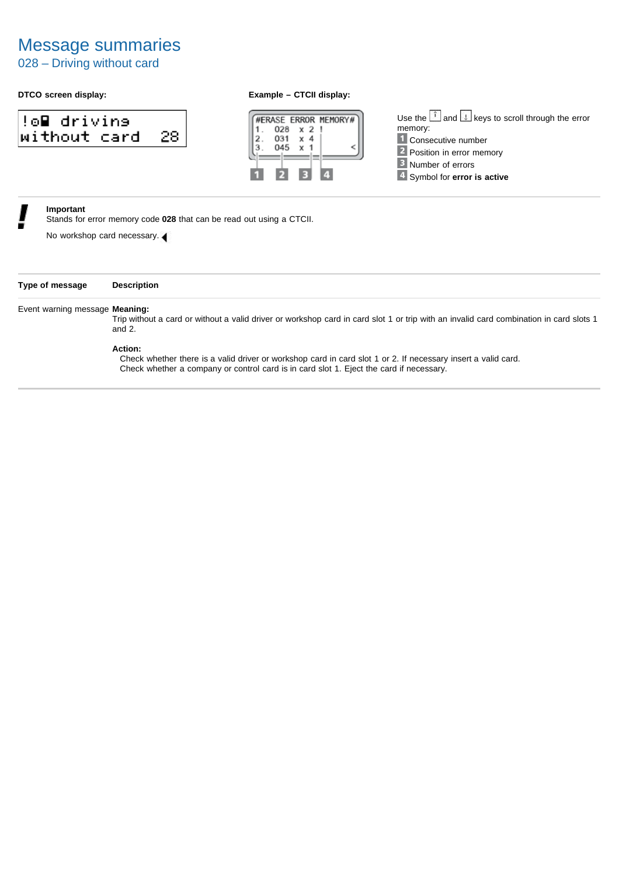## 028 – Driving without card

## **DTCO screen display: Example – CTCII display:**

| ‼⊙⊟ drivine  |      |
|--------------|------|
| without card | - 28 |



Use the  $\left[\begin{matrix} \overline{1} & \overline{1} \\ \overline{1} & \overline{1} \end{matrix}\right]$  and  $\left[\begin{matrix} \overline{1} & \overline{1} \\ \overline{2} & \overline{2} \end{matrix}\right]$  keys to scroll through the error memory: **1** Consecutive number **2** Position in error memory **B** Number of errors Symbol for **error is active**

### **Important**

Stands for error memory code **028** that can be read out using a CTCII.

No workshop card necessary.

| Type of message | <b>Description</b> |
|-----------------|--------------------|
|-----------------|--------------------|

### Event warning message **Meaning:**

Trip without a card or without a valid driver or workshop card in card slot 1 or trip with an invalid card combination in card slots 1 and 2.

### **Action:**

Check whether there is a valid driver or workshop card in card slot 1 or 2. If necessary insert a valid card. Check whether a company or control card is in card slot 1. Eject the card if necessary.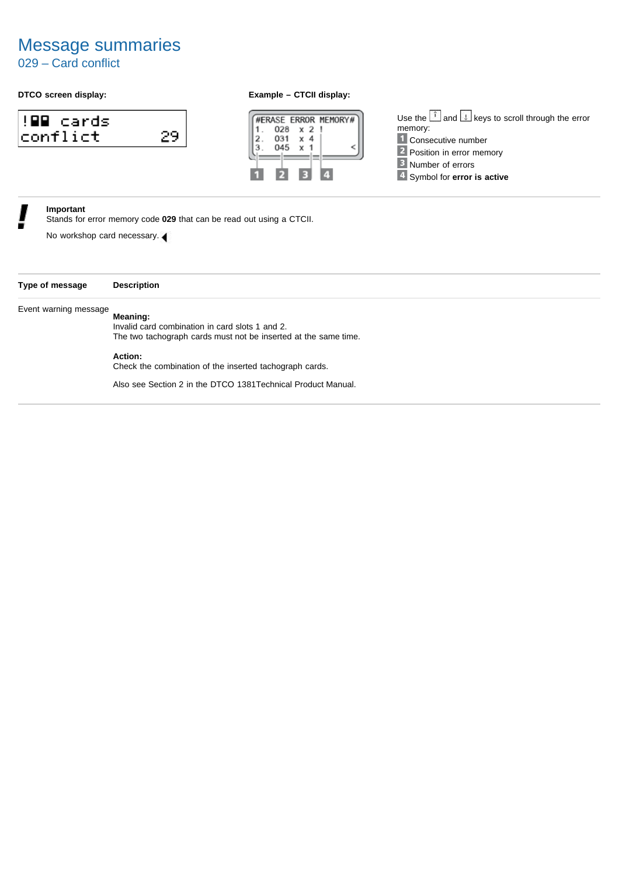## 029 – Card conflict

## **DTCO screen display: Example – CTCII display:**

| ‼99 cards |  |
|-----------|--|
| konflict  |  |



Use the  $\left[\begin{matrix} \overline{1} & \overline{1} \\ \overline{1} & \overline{1} \end{matrix}\right]$  and  $\left[\begin{matrix} \overline{1} & \overline{1} \\ \overline{2} & \overline{2} \end{matrix}\right]$  keys to scroll through the error memory: 1 Consecutive number **2** Position in error memory **B** Number of errors 4 Symbol for **error** is active

### **Important**

Stands for error memory code **029** that can be read out using a CTCII.

No workshop card necessary.

|--|--|--|

## Event warning message **Meaning:**

Invalid card combination in card slots 1 and 2. The two tachograph cards must not be inserted at the same time.

**Action:**

Check the combination of the inserted tachograph cards.

Also see Section 2 in the DTCO 1381Technical Product Manual.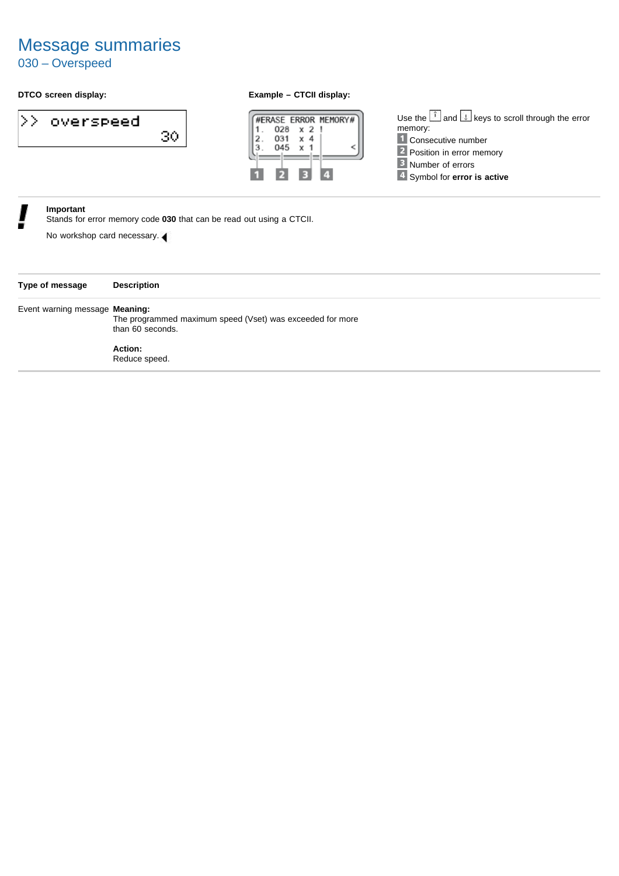## 030 – Overspeed

## **DTCO screen display: Example – CTCII display:**

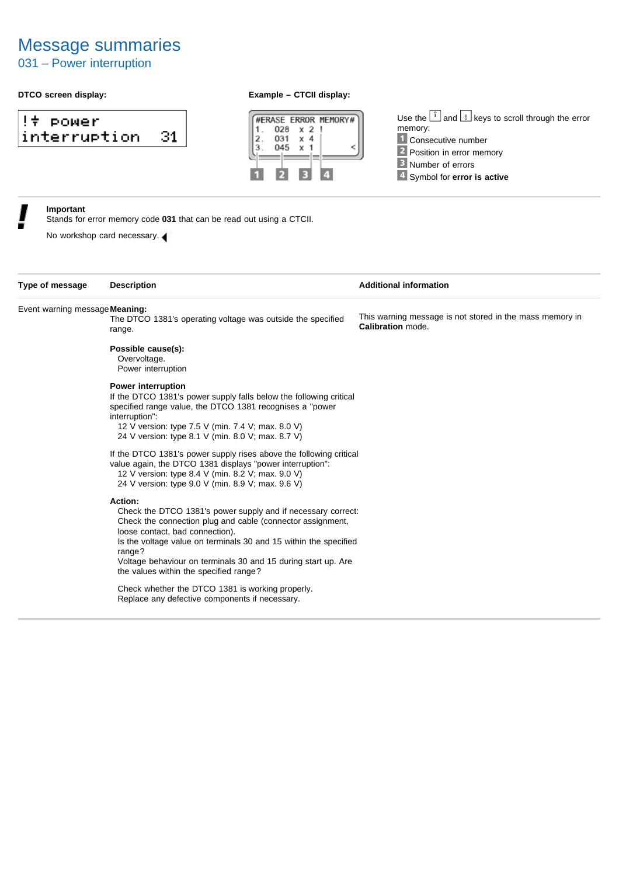## 031 – Power interruption

## **DTCO screen display: Example – CTCII display:**

### 1÷ POWer interruption 31



Use the  $\left[\begin{matrix} \overline{1} & \overline{1} \\ \overline{1} & \overline{1} \end{matrix}\right]$  and  $\left[\begin{matrix} \overline{1} & \overline{1} \\ \overline{2} & \overline{2} \end{matrix}\right]$  keys to scroll through the error memory: 1 Consecutive number 2 Position in error memory **B** Number of errors 4 Symbol for **error** is active

## **Important**

Stands for error memory code **031** that can be read out using a CTCII.

| Type of message                | <b>Description</b>                                                                                                                                                                                                                                                                                                                                                | <b>Additional information</b>                                                        |
|--------------------------------|-------------------------------------------------------------------------------------------------------------------------------------------------------------------------------------------------------------------------------------------------------------------------------------------------------------------------------------------------------------------|--------------------------------------------------------------------------------------|
| Event warning message Meaning: | The DTCO 1381's operating voltage was outside the specified<br>range.                                                                                                                                                                                                                                                                                             | This warning message is not stored in the mass memory in<br><b>Calibration mode.</b> |
|                                | Possible cause(s):<br>Overvoltage.<br>Power interruption                                                                                                                                                                                                                                                                                                          |                                                                                      |
|                                | <b>Power interruption</b><br>If the DTCO 1381's power supply falls below the following critical<br>specified range value, the DTCO 1381 recognises a "power"<br>interruption":<br>12 V version: type 7.5 V (min. 7.4 V; max. 8.0 V)<br>24 V version: type 8.1 V (min. 8.0 V; max. 8.7 V)                                                                          |                                                                                      |
|                                | If the DTCO 1381's power supply rises above the following critical<br>value again, the DTCO 1381 displays "power interruption":<br>12 V version: type 8.4 V (min. 8.2 V; max. 9.0 V)<br>24 V version: type 9.0 V (min. 8.9 V; max. 9.6 V)                                                                                                                         |                                                                                      |
|                                | Action:<br>Check the DTCO 1381's power supply and if necessary correct:<br>Check the connection plug and cable (connector assignment,<br>loose contact, bad connection).<br>Is the voltage value on terminals 30 and 15 within the specified<br>range?<br>Voltage behaviour on terminals 30 and 15 during start up. Are<br>the values within the specified range? |                                                                                      |
|                                | Check whether the DTCO 1381 is working properly.<br>Replace any defective components if necessary.                                                                                                                                                                                                                                                                |                                                                                      |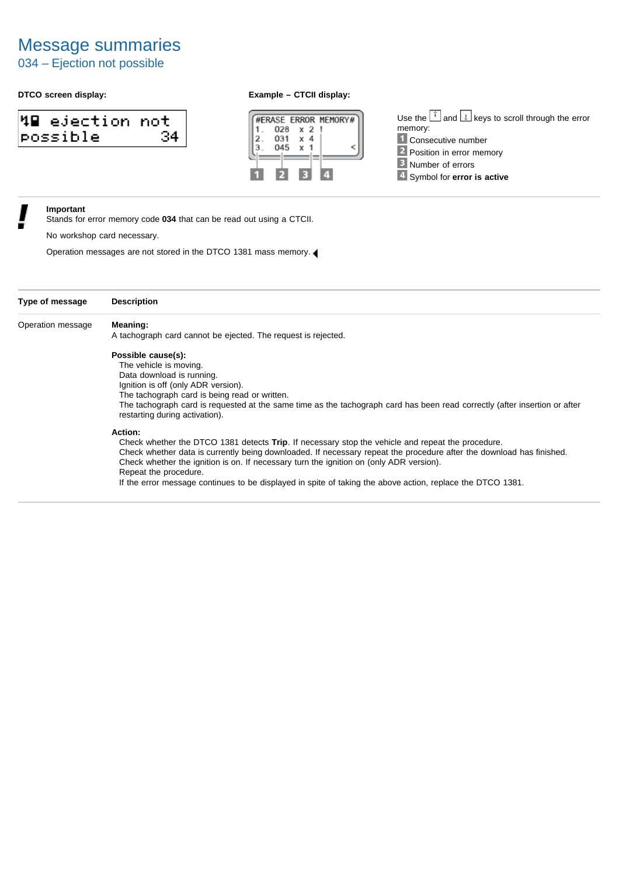## 034 – Ejection not possible

| $4\blacksquare$ ejection not $\parallel$ |    |
|------------------------------------------|----|
| possible                                 | 34 |

## **DTCO screen display: Example – CTCII display:**



Use the  $\left[\begin{matrix} \hat{i} \\ \end{matrix}\right]$  and  $\left[\begin{matrix} \downarrow \\ \end{matrix}\right]$  keys to scroll through the error memory: 1 Consecutive number 2 Position in error memory **B** Number of errors 4 Symbol for **error** is active

### **Important**

Stands for error memory code **034** that can be read out using a CTCII.

No workshop card necessary.

| Type of message   | <b>Description</b>                                                                                                         |
|-------------------|----------------------------------------------------------------------------------------------------------------------------|
| Operation message | Meaning:                                                                                                                   |
|                   | A tachograph card cannot be ejected. The request is rejected.                                                              |
|                   | Possible cause(s):                                                                                                         |
|                   | The vehicle is moving.                                                                                                     |
|                   | Data download is running.                                                                                                  |
|                   | Ignition is off (only ADR version).                                                                                        |
|                   | The tachograph card is being read or written.                                                                              |
|                   | The tachograph card is requested at the same time as the tachograph card has been read correctly (after insertion or after |
|                   | restarting during activation).                                                                                             |
|                   | Action:                                                                                                                    |
|                   | Check whether the DTCO 1381 detects <b>Trip</b> . If necessary stop the vehicle and repeat the procedure.                  |
|                   | Check whether data is currently being downloaded. If necessary repeat the procedure after the download has finished.       |
|                   | Check whether the ignition is on. If necessary turn the ignition on (only ADR version).                                    |
|                   | Repeat the procedure.                                                                                                      |
|                   | If the error message continues to be displayed in spite of taking the above action, replace the DTCO 1381.                 |
|                   |                                                                                                                            |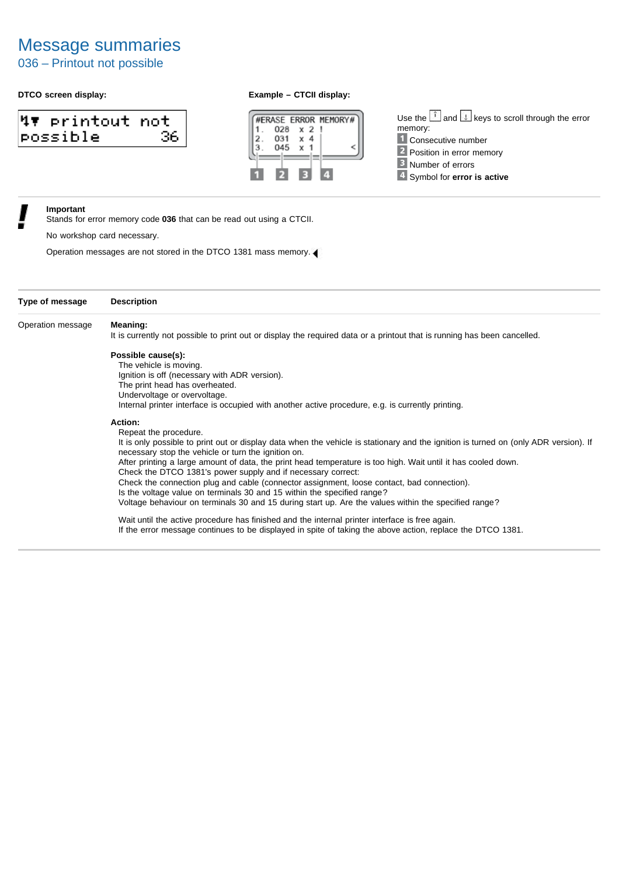## 036 – Printout not possible

| M⊤ printout not ∣ |       |
|-------------------|-------|
| possible          | -36 L |

## **DTCO screen display: Example – CTCII display:**



Use the  $\left[\begin{matrix} \hat{i} \\ \end{matrix}\right]$  and  $\left[\begin{matrix} \downarrow \\ \end{matrix}\right]$  keys to scroll through the error memory: 1 Consecutive number 2 Position in error memory **B** Number of errors 4 Symbol for **error** is active

### **Important**

Stands for error memory code **036** that can be read out using a CTCII.

No workshop card necessary.

| Type of message   | <b>Description</b>                                                                                                                                                                          |
|-------------------|---------------------------------------------------------------------------------------------------------------------------------------------------------------------------------------------|
| Operation message | Meaning:                                                                                                                                                                                    |
|                   | It is currently not possible to print out or display the required data or a printout that is running has been cancelled.                                                                    |
|                   | Possible cause(s):                                                                                                                                                                          |
|                   | The vehicle is moving.                                                                                                                                                                      |
|                   | Ignition is off (necessary with ADR version).                                                                                                                                               |
|                   | The print head has overheated.                                                                                                                                                              |
|                   | Undervoltage or overvoltage.                                                                                                                                                                |
|                   | Internal printer interface is occupied with another active procedure, e.g. is currently printing.                                                                                           |
|                   | Action:                                                                                                                                                                                     |
|                   | Repeat the procedure.                                                                                                                                                                       |
|                   | It is only possible to print out or display data when the vehicle is stationary and the ignition is turned on (only ADR version). If<br>necessary stop the vehicle or turn the ignition on. |
|                   | After printing a large amount of data, the print head temperature is too high. Wait until it has cooled down.                                                                               |
|                   | Check the DTCO 1381's power supply and if necessary correct:                                                                                                                                |
|                   | Check the connection plug and cable (connector assignment, loose contact, bad connection).                                                                                                  |
|                   | Is the voltage value on terminals 30 and 15 within the specified range?                                                                                                                     |
|                   | Voltage behaviour on terminals 30 and 15 during start up. Are the values within the specified range?                                                                                        |
|                   | Wait until the active procedure has finished and the internal printer interface is free again.                                                                                              |
|                   | If the error message continues to be displayed in spite of taking the above action, replace the DTCO 1381.                                                                                  |
|                   |                                                                                                                                                                                             |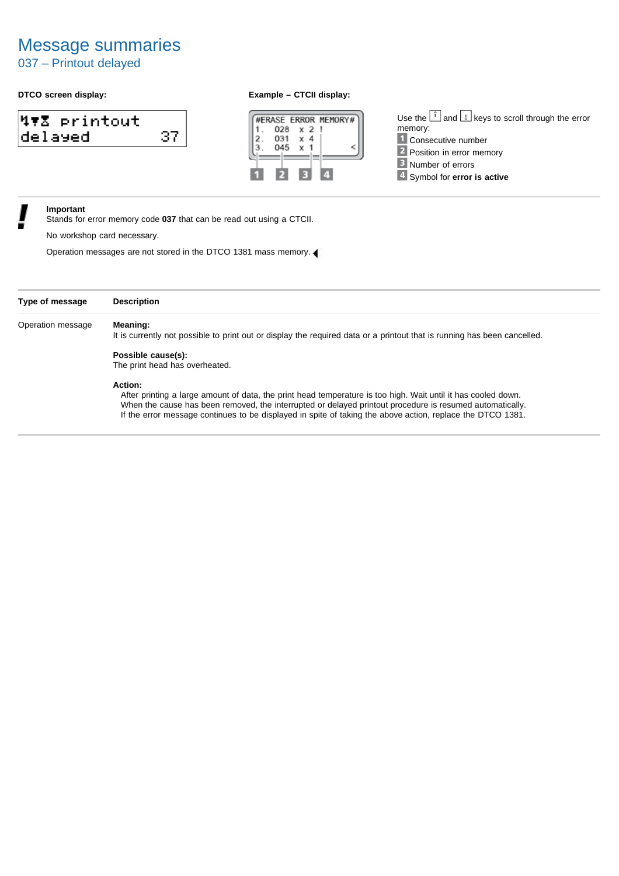## 037 – Printout delayed

|           | M⊤∑ printout |     |
|-----------|--------------|-----|
| ldelayed. |              | -37 |

## **DTCO screen display: Example – CTCII display:**



Use the  $\left[\begin{matrix} \hat{i} \\ \end{matrix}\right]$  and  $\left[\begin{matrix} \downarrow \\ \end{matrix}\right]$  keys to scroll through the error memory: 1 Consecutive number 2 Position in error memory **B** Number of errors 4 Symbol for **error** is active

### **Important**

Stands for error memory code **037** that can be read out using a CTCII.

No workshop card necessary.

| Type of message   | <b>Description</b>                                                                                                                                                                                                                                                                                                                                 |
|-------------------|----------------------------------------------------------------------------------------------------------------------------------------------------------------------------------------------------------------------------------------------------------------------------------------------------------------------------------------------------|
| Operation message | Meaning:<br>It is currently not possible to print out or display the required data or a printout that is running has been cancelled.                                                                                                                                                                                                               |
|                   | Possible cause(s):<br>The print head has overheated.                                                                                                                                                                                                                                                                                               |
|                   | Action:<br>After printing a large amount of data, the print head temperature is too high. Wait until it has cooled down.<br>When the cause has been removed, the interrupted or delayed printout procedure is resumed automatically.<br>If the error message continues to be displayed in spite of taking the above action, replace the DTCO 1381. |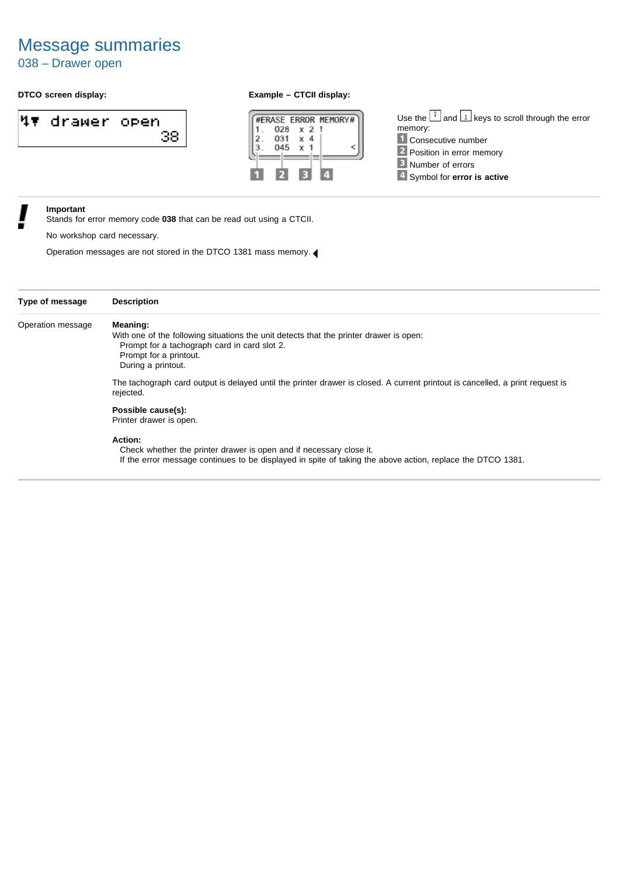## 038 – Drawer open

## **DTCO screen display: Example – CTCII display:**





Use the  $\left[\begin{matrix} \overline{1} & \overline{1} \\ \overline{1} & \overline{1} \end{matrix}\right]$  and  $\left[\begin{matrix} \overline{1} & \overline{1} \\ \overline{2} & \overline{2} \end{matrix}\right]$  keys to scroll through the error memory: 1 Consecutive number 2 Position in error memory **B** Number of errors 4 Symbol for **error** is active

### **Important**

Stands for error memory code **038** that can be read out using a CTCII.

No workshop card necessary.

| Type of message   | <b>Description</b>                                                                                                                                                                                 |
|-------------------|----------------------------------------------------------------------------------------------------------------------------------------------------------------------------------------------------|
| Operation message | Meaning:<br>With one of the following situations the unit detects that the printer drawer is open:<br>Prompt for a tachograph card in card slot 2.<br>Prompt for a printout.<br>During a printout. |
|                   | The tachograph card output is delayed until the printer drawer is closed. A current printout is cancelled, a print request is<br>rejected.                                                         |
|                   | Possible cause(s):<br>Printer drawer is open.                                                                                                                                                      |
|                   | Action:<br>Check whether the printer drawer is open and if necessary close it.<br>If the error message continues to be displayed in spite of taking the above action, replace the DTCO 1381.       |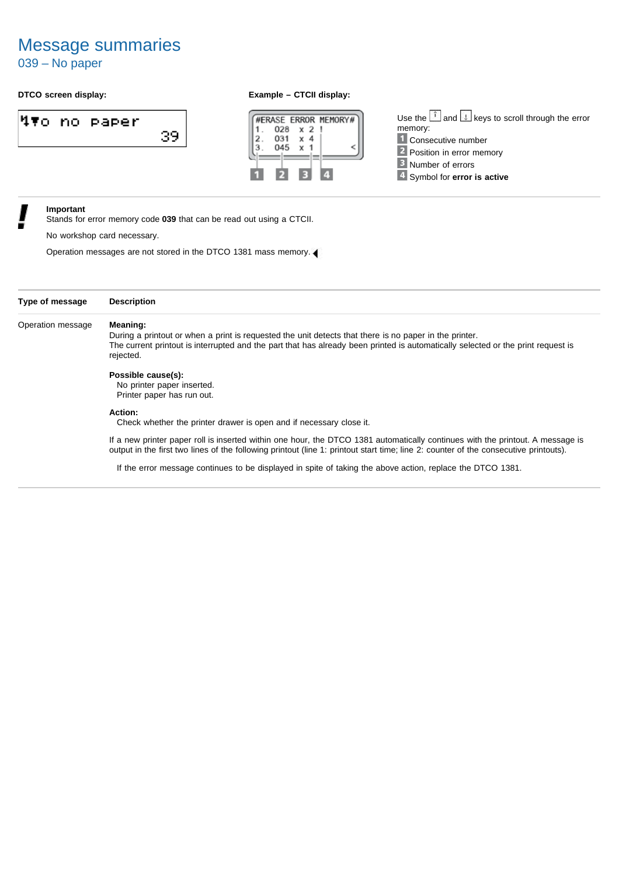## 039 – No paper

## **DTCO screen display: Example – CTCII display:**





Use the  $\left[\begin{matrix} \overline{1} & \overline{1} \\ \overline{1} & \overline{1} \end{matrix}\right]$  and  $\left[\begin{matrix} \overline{1} & \overline{1} \\ \overline{2} & \overline{2} \end{matrix}\right]$  keys to scroll through the error memory: 1 Consecutive number 2 Position in error memory **B** Number of errors 4 Symbol for **error** is active

### **Important**

Stands for error memory code **039** that can be read out using a CTCII.

No workshop card necessary.

| Type of message   | <b>Description</b>                                                                                                                                                                                                                                                     |  |  |
|-------------------|------------------------------------------------------------------------------------------------------------------------------------------------------------------------------------------------------------------------------------------------------------------------|--|--|
| Operation message | Meaning:<br>During a printout or when a print is requested the unit detects that there is no paper in the printer.<br>The current printout is interrupted and the part that has already been printed is automatically selected or the print request is<br>rejected.    |  |  |
|                   | Possible cause(s):<br>No printer paper inserted.<br>Printer paper has run out.                                                                                                                                                                                         |  |  |
|                   | Action:<br>Check whether the printer drawer is open and if necessary close it.                                                                                                                                                                                         |  |  |
|                   | If a new printer paper roll is inserted within one hour, the DTCO 1381 automatically continues with the printout. A message is<br>output in the first two lines of the following printout (line 1: printout start time; line 2: counter of the consecutive printouts). |  |  |
|                   | If the error message continues to be displayed in spite of taking the above action, replace the DTCO 1381.                                                                                                                                                             |  |  |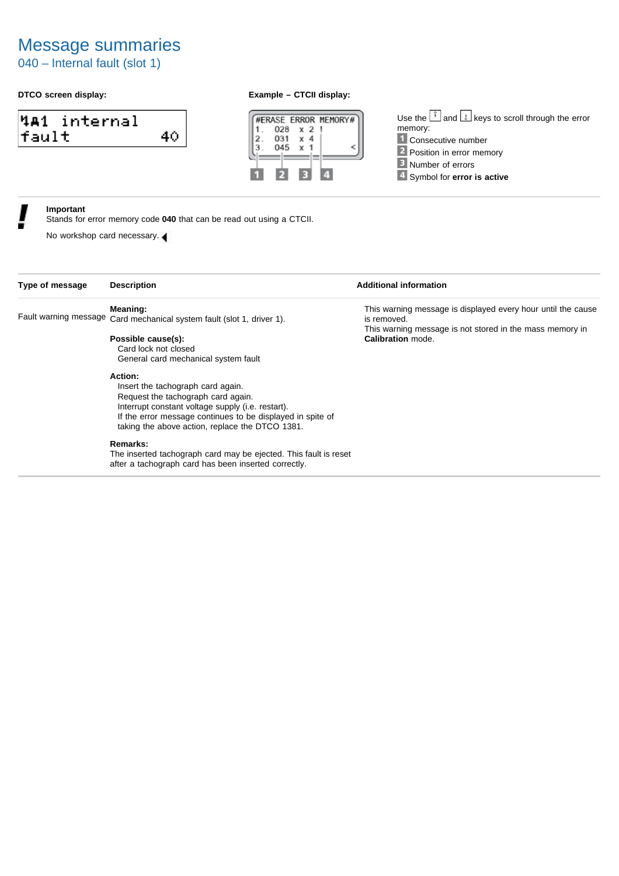040 – Internal fault (slot 1)

## **DTCO screen display: Example – CTCII display:**

### $441$ internal fault 40



Use the  $\left[\begin{matrix} \overline{1} & \overline{1} \\ \overline{1} & \overline{1} \end{matrix}\right]$  and  $\left[\begin{matrix} \overline{1} & \overline{1} \\ \overline{2} & \overline{2} \end{matrix}\right]$  keys to scroll through the error memory: 1 Consecutive number 2 Position in error memory **B** Number of errors

4 Symbol for **error is active** 

### **Important**

Stands for error memory code **040** that can be read out using a CTCII.

No workshop card necessary.

| Type of message | <b>Description</b>                                                     | <b>Additional information</b>                                |
|-----------------|------------------------------------------------------------------------|--------------------------------------------------------------|
|                 | Meaning:                                                               | This warning message is displayed every hour until the cause |
|                 | Fault warning message Card mechanical system fault (slot 1, driver 1). | is removed.                                                  |
|                 |                                                                        | This warning message is not stored in the mass memory in     |
|                 | Possible cause(s):                                                     | Calibration mode.                                            |
|                 | Card lock not closed                                                   |                                                              |
|                 | General card mechanical system fault                                   |                                                              |
|                 | Action:                                                                |                                                              |
|                 | Insert the tachograph card again.                                      |                                                              |
|                 | Request the tachograph card again.                                     |                                                              |
|                 | Interrupt constant voltage supply (i.e. restart).                      |                                                              |
|                 | If the error message continues to be displayed in spite of             |                                                              |
|                 | taking the above action, replace the DTCO 1381.                        |                                                              |
|                 | Remarks:                                                               |                                                              |

The inserted tachograph card may be ejected. This fault is reset after a tachograph card has been inserted correctly.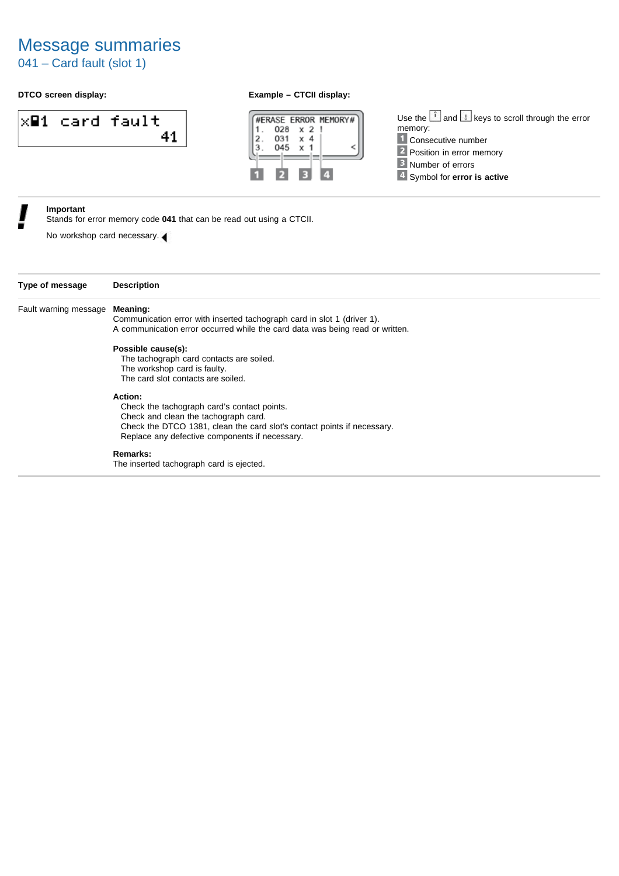041 – Card fault (slot 1)

## **DTCO screen display: Example – CTCII display:**

## $\times$  ard fault 41



Use the  $\left[\begin{matrix} \overline{1} & \overline{1} \\ \overline{1} & \overline{1} \end{matrix}\right]$  and  $\left[\begin{matrix} \overline{1} & \overline{1} \\ \overline{2} & \overline{2} \end{matrix}\right]$  keys to scroll through the error memory: 1 Consecutive number 2 Position in error memory **B** Number of errors 4 Symbol for **error** is active

## **Important**

Stands for error memory code **041** that can be read out using a CTCII.

No workshop card necessary.

| Type of message       | <b>Description</b>                                                            |
|-----------------------|-------------------------------------------------------------------------------|
| Fault warning message | Meaning:                                                                      |
|                       | Communication error with inserted tachograph card in slot 1 (driver 1).       |
|                       | A communication error occurred while the card data was being read or written. |
|                       | Possible cause(s):                                                            |
|                       | The tachograph card contacts are soiled.                                      |
|                       | The workshop card is faulty.                                                  |
|                       | The card slot contacts are soiled.                                            |
|                       | Action:                                                                       |
|                       | Check the tachograph card's contact points.                                   |
|                       | Check and clean the tachograph card.                                          |
|                       | Check the DTCO 1381, clean the card slot's contact points if necessary.       |
|                       | Replace any defective components if necessary.                                |
|                       | Remarks:                                                                      |

The inserted tachograph card is ejected.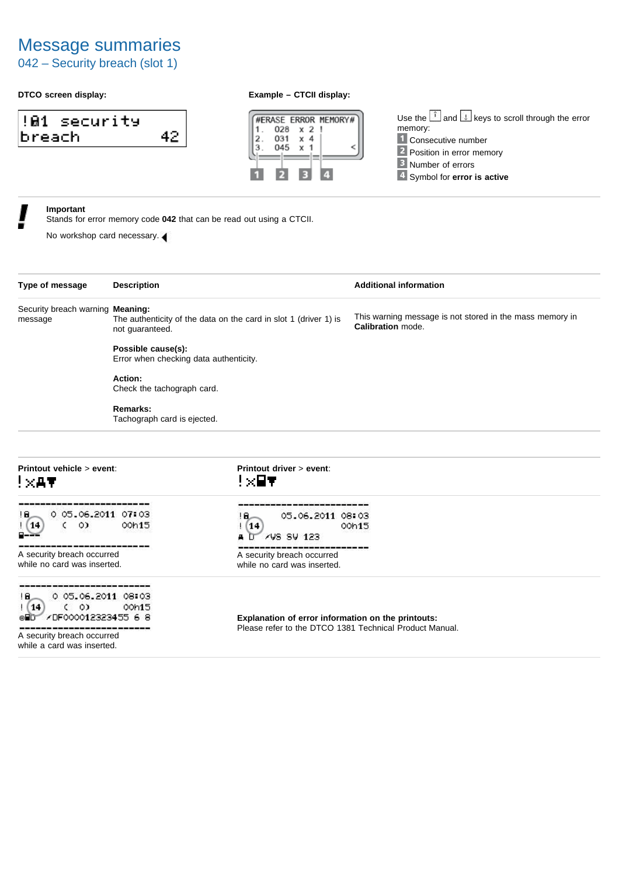## 042 – Security breach (slot 1)

## **DTCO screen display: Example – CTCII display:**

|        | ‼01 security |     |
|--------|--------------|-----|
| breach |              | 42. |



Use the  $\left[\begin{matrix} \overline{1} & \overline{1} \\ \overline{1} & \overline{1} \end{matrix}\right]$  and  $\left[\begin{matrix} \overline{1} & \overline{1} \\ \overline{2} & \overline{2} \end{matrix}\right]$  keys to scroll through the error memory: 1 Consecutive number **2** Position in error memory **B** Number of errors 4 Symbol for **error is active** 

### **Important**

Stands for error memory code **042** that can be read out using a CTCII.

No workshop card necessary.

| Type of message                             | <b>Description</b>                                               |                                  | <b>Additional information</b>                                                 |  |
|---------------------------------------------|------------------------------------------------------------------|----------------------------------|-------------------------------------------------------------------------------|--|
| Security breach warning Meaning:<br>message | The authenticity of the data on the card in slot 1 (driver 1) is |                                  | This warning message is not stored in the mass memory in<br>Calibration mode. |  |
|                                             | not quaranteed.                                                  |                                  |                                                                               |  |
|                                             | Possible cause(s):                                               |                                  |                                                                               |  |
|                                             | Error when checking data authenticity.                           |                                  |                                                                               |  |
|                                             | Action:                                                          |                                  |                                                                               |  |
|                                             | Check the tachograph card.                                       |                                  |                                                                               |  |
|                                             | Remarks:                                                         |                                  |                                                                               |  |
|                                             | Tachograph card is ejected.                                      |                                  |                                                                               |  |
| Printout vehicle > event:<br>! XAT          |                                                                  | Printout driver > event:<br>!x⊟▼ |                                                                               |  |
|                                             |                                                                  |                                  |                                                                               |  |
|                                             |                                                                  |                                  |                                                                               |  |
| 0 05.06.2011 07:03<br>ŧΘ,                   |                                                                  | 05.06.2011 08:03<br>18.          |                                                                               |  |
| $\circ$<br>-14                              | 00h15                                                            | 1(14)<br><b>AVS SV 123</b>       | 00h15                                                                         |  |
| A security breach occurred                  |                                                                  | A security breach occurred       |                                                                               |  |



A security breach occurred while a card was inserted.

**Explanation of error information on the printouts:** Please refer to the DTCO 1381 Technical Product Manual.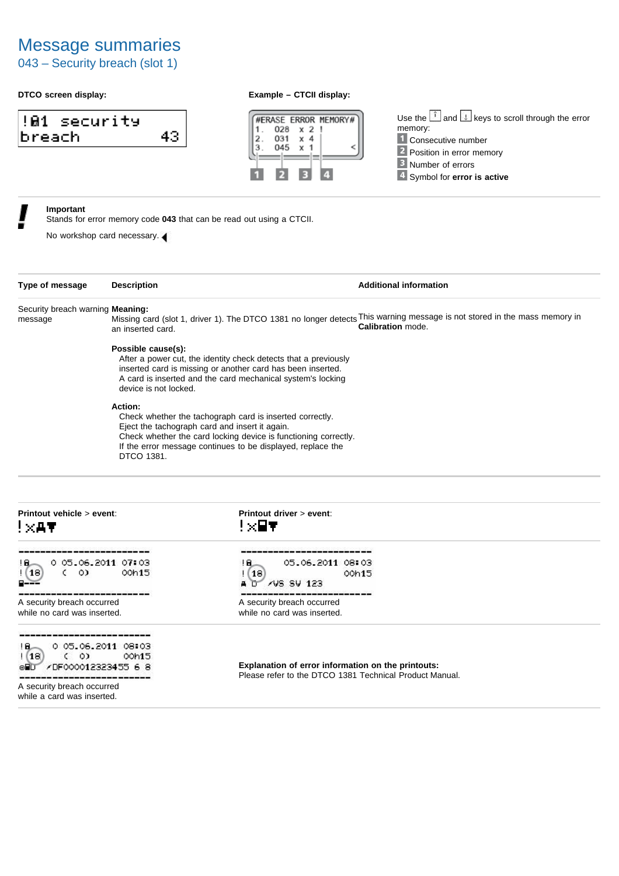## 043 – Security breach (slot 1)

### **DTCO screen display: Example – CTCII display:**

| ‼01 security |      |
|--------------|------|
| breach       | 43 I |



Use the  $\left[\begin{matrix} \overline{1} & \overline{1} \\ \overline{1} & \overline{1} \end{matrix}\right]$  and  $\left[\begin{matrix} \overline{1} & \overline{1} \\ \overline{2} & \overline{2} \end{matrix}\right]$  keys to scroll through the error memory: 1 Consecutive number **2** Position in error memory **B** Number of errors 4 Symbol for **error** is active

### **Important**

Stands for error memory code **043** that can be read out using a CTCII.

No workshop card necessary.

|                                                                                      | <b>Description</b>                                        |                                                                                                                                                                                               | <b>Additional information</b>                                                                                                                  |
|--------------------------------------------------------------------------------------|-----------------------------------------------------------|-----------------------------------------------------------------------------------------------------------------------------------------------------------------------------------------------|------------------------------------------------------------------------------------------------------------------------------------------------|
| Security breach warning Meaning:<br>message                                          | an inserted card.                                         |                                                                                                                                                                                               | Missing card (slot 1, driver 1). The DTCO 1381 no longer detects This warning message is not stored in the mass memory in<br>Calibration mode. |
|                                                                                      | Possible cause(s):<br>device is not locked.               | After a power cut, the identity check detects that a previously<br>inserted card is missing or another card has been inserted.<br>A card is inserted and the card mechanical system's locking |                                                                                                                                                |
|                                                                                      | Action:<br>Eject the tachograph card and insert it again. | Check whether the tachograph card is inserted correctly.<br>Check whether the card locking device is functioning correctly.<br>If the error message continues to be displayed, replace the    |                                                                                                                                                |
|                                                                                      | DTCO 1381.                                                |                                                                                                                                                                                               |                                                                                                                                                |
| !xa▼                                                                                 |                                                           | Printout driver > event:<br>!×⊟▼                                                                                                                                                              |                                                                                                                                                |
| Printout vehicle > event:<br>0 05.06.2011 07:03<br>в.<br>$\circ$<br>$\epsilon$<br>18 | 00h15                                                     | 05.06.2011 08:03<br>IB.<br>18<br>/VS SV 123                                                                                                                                                   | 00h15                                                                                                                                          |

**Explanation of error information on the printouts:** Please refer to the DTCO 1381 Technical Product Manual.

A security breach occurred while a card was inserted.

 $(0)$ 

ell /DF000012323455 6 8

18.  $(18)$  0 05.06.2011 08:03

00h15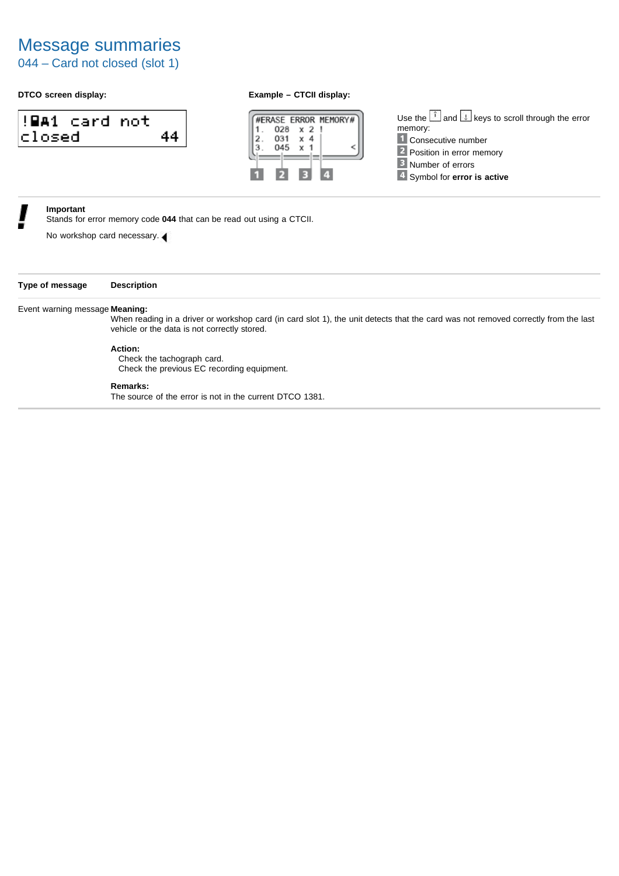## 044 – Card not closed (slot 1)

### **DTCO screen display: Example – CTCII display:**

| ‼⊞A1 card not |  |      |
|---------------|--|------|
| closed.       |  | 44 I |



Use the  $\left[\begin{matrix} \overline{1} & \overline{1} \\ \overline{1} & \overline{1} \end{matrix}\right]$  and  $\left[\begin{matrix} \overline{1} & \overline{1} \\ \overline{2} & \overline{2} \end{matrix}\right]$  keys to scroll through the error memory: **1** Consecutive number 2 Position in error memory **B** Number of errors 4 Symbol for **error** is active

### **Important**

Stands for error memory code **044** that can be read out using a CTCII.

No workshop card necessary.

| Type of message | <b>Description</b> |
|-----------------|--------------------|
|-----------------|--------------------|

### Event warning message **Meaning:**

When reading in a driver or workshop card (in card slot 1), the unit detects that the card was not removed correctly from the last vehicle or the data is not correctly stored.

### **Action:**

Check the tachograph card. Check the previous EC recording equipment.

### **Remarks:**

The source of the error is not in the current DTCO 1381.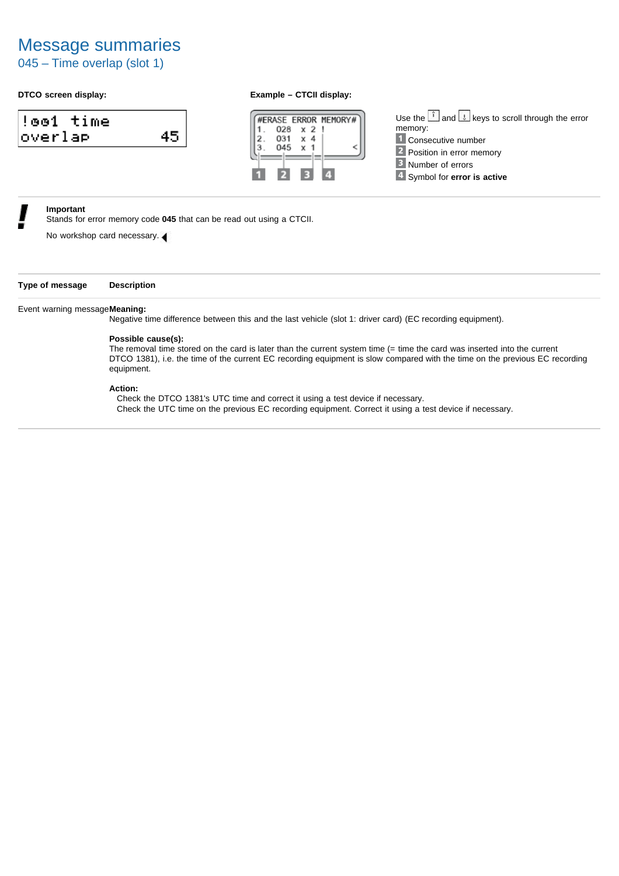045 – Time overlap (slot 1)

### **DTCO screen display: Example – CTCII display:**

| ‼oo1 time |  |
|-----------|--|
| overlap   |  |



Use the  $\left[\hat{i}\right]$  and  $\left|\frac{1}{k}\right|$  keys to scroll through the error memory: **1** Consecutive number 2 Position in error memory **B** Number of errors Symbol for **error is active**

### **Important**

Stands for error memory code **045** that can be read out using a CTCII.

No workshop card necessary.

**Type of message Description**

### Event warning message**Meaning:**

Negative time difference between this and the last vehicle (slot 1: driver card) (EC recording equipment).

### **Possible cause(s):**

The removal time stored on the card is later than the current system time (= time the card was inserted into the current DTCO 1381), i.e. the time of the current EC recording equipment is slow compared with the time on the previous EC recording equipment.

### **Action:**

Check the DTCO 1381's UTC time and correct it using a test device if necessary. Check the UTC time on the previous EC recording equipment. Correct it using a test device if necessary.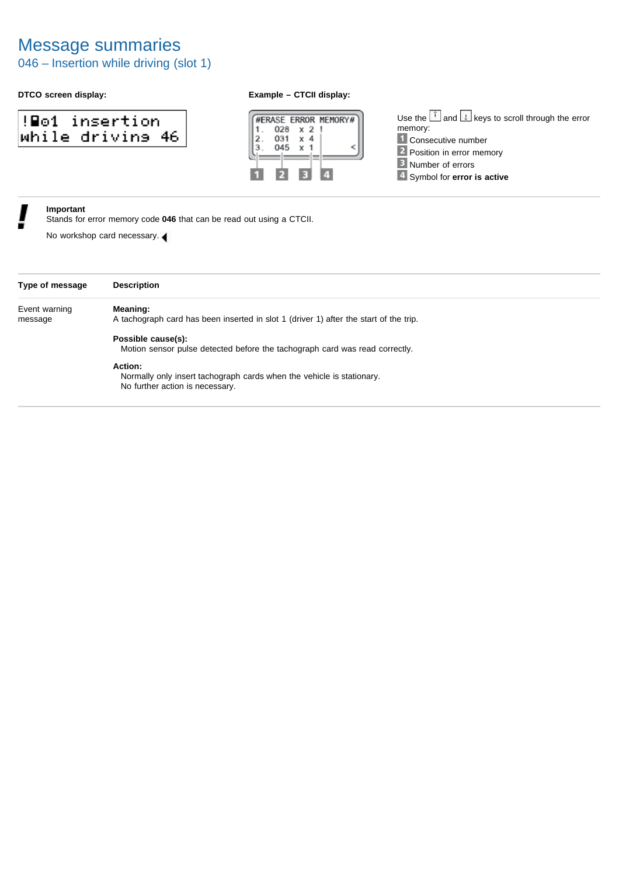## 046 – Insertion while driving (slot 1)

| !Bo1 insertion   |  |
|------------------|--|
| while drivins 46 |  |

### **DTCO screen display: Example – CTCII display:**



Use the  $\left[\begin{matrix} \hat{i} \\ \end{matrix}\right]$  and  $\left[\begin{matrix} \downarrow \\ \end{matrix}\right]$  keys to scroll through the error memory: 1 Consecutive number 2 Position in error memory **B** Number of errors 4 Symbol for **error** is active

### **Important**

Stands for error memory code **046** that can be read out using a CTCII.

| Type of message                                                                                                     | <b>Description</b>                                                                                |
|---------------------------------------------------------------------------------------------------------------------|---------------------------------------------------------------------------------------------------|
| Event warning<br>message                                                                                            | Meaning:<br>A tachograph card has been inserted in slot 1 (driver 1) after the start of the trip. |
|                                                                                                                     | Possible cause(s):<br>Motion sensor pulse detected before the tachograph card was read correctly. |
| Action:<br>Normally only insert tachograph cards when the vehicle is stationary.<br>No further action is necessary. |                                                                                                   |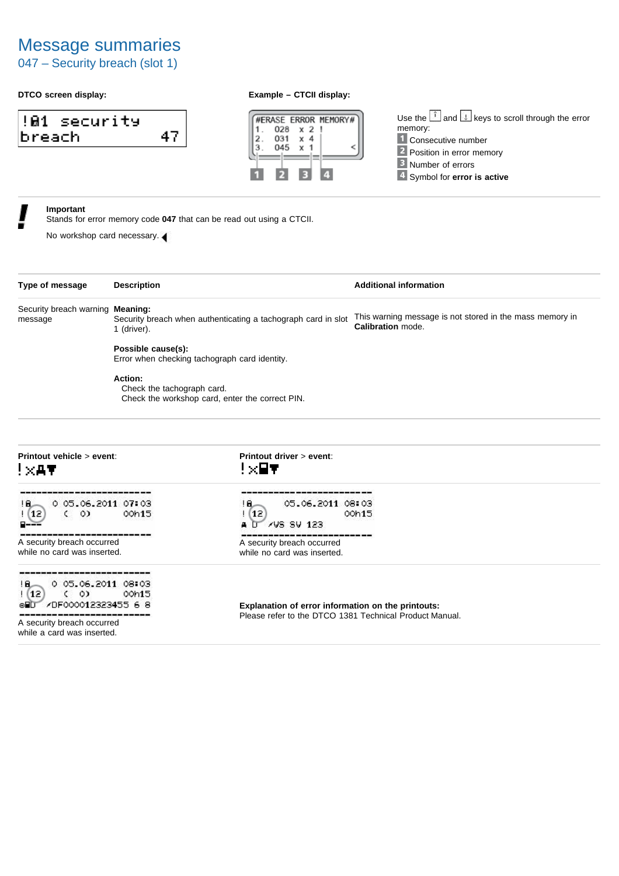## 047 – Security breach (slot 1)

### **DTCO screen display: Example – CTCII display:**

|        | !B1 security |     |
|--------|--------------|-----|
| breach |              | 47. |



Use the  $\left[\begin{matrix} \overline{1} & \overline{1} \\ \overline{1} & \overline{1} \end{matrix}\right]$  and  $\left[\begin{matrix} \overline{1} & \overline{1} \\ \overline{2} & \overline{2} \end{matrix}\right]$  keys to scroll through the error memory: 1 Consecutive number 2 Position in error memory **B** Number of errors 4 Symbol for **error** is active

### **Important**

Stands for error memory code **047** that can be read out using a CTCII.

No workshop card necessary.

| Type of message                                                 | <b>Description</b>                                                                       |                                                                                                               | <b>Additional information</b>                                                        |
|-----------------------------------------------------------------|------------------------------------------------------------------------------------------|---------------------------------------------------------------------------------------------------------------|--------------------------------------------------------------------------------------|
| Security breach warning Meaning:<br>message                     | 1 (driver).                                                                              | Security breach when authenticating a tachograph card in slot                                                 | This warning message is not stored in the mass memory in<br><b>Calibration</b> mode. |
|                                                                 | Possible cause(s):<br>Error when checking tachograph card identity.                      |                                                                                                               |                                                                                      |
|                                                                 | Action:<br>Check the tachograph card.<br>Check the workshop card, enter the correct PIN. |                                                                                                               |                                                                                      |
|                                                                 |                                                                                          |                                                                                                               |                                                                                      |
| Printout vehicle > event:<br>! XAT                              |                                                                                          | Printout driver > event:<br>!x⊟▼                                                                              |                                                                                      |
| 0 05.06.2011 07:03<br>18.<br>(0)<br>! (12                       | 00h15                                                                                    | 05.06.2011 08:03<br>18.<br>1(12)<br><b>AVS SV 123</b>                                                         | 00h15                                                                                |
| A security breach occurred<br>while no card was inserted.       |                                                                                          | A security breach occurred<br>while no card was inserted.                                                     |                                                                                      |
| 0 05.06.2011 08:03<br>18.<br>(12)<br>(0)<br>/DF000012323455 6 8 | 00h15                                                                                    | Explanation of error information on the printouts:<br>Please refer to the DTCO 1381 Technical Product Manual. |                                                                                      |

A security breach occurred while a card was inserted.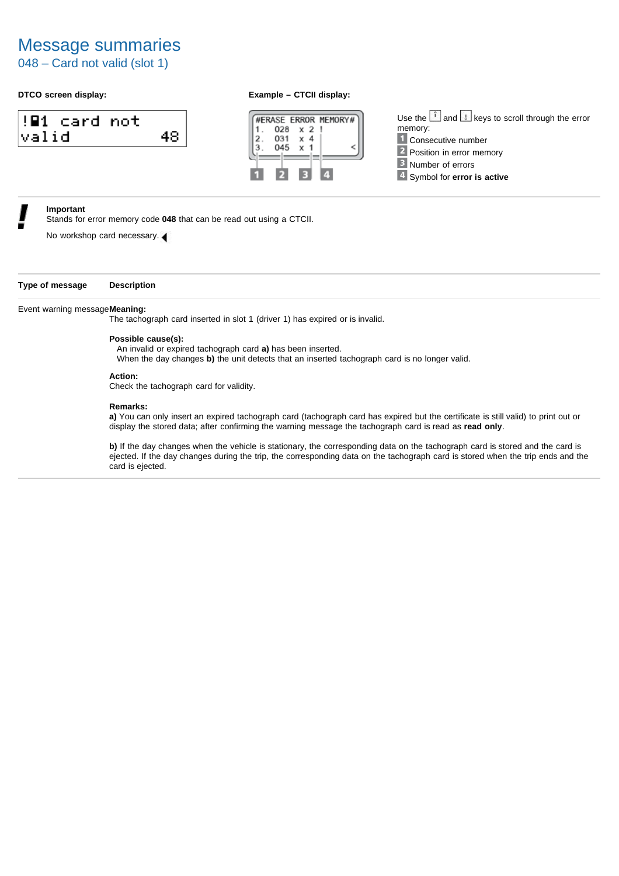048 – Card not valid (slot 1)

### **DTCO screen display: Example – CTCII display:**





Use the  $\boxed{\hat{i}}$  and  $\boxed{\downarrow}$  keys to scroll through the error memory: **1** Consecutive number 2 Position in error memory **B** Number of errors Symbol for **error is active**

### **Important**

Stands for error memory code **048** that can be read out using a CTCII.

No workshop card necessary.

### **Type of message Description**

### Event warning message**Meaning:**

The tachograph card inserted in slot 1 (driver 1) has expired or is invalid.

### **Possible cause(s):**

An invalid or expired tachograph card **a)** has been inserted.

When the day changes **b)** the unit detects that an inserted tachograph card is no longer valid.

### **Action:**

Check the tachograph card for validity.

### **Remarks:**

**a)** You can only insert an expired tachograph card (tachograph card has expired but the certificate is still valid) to print out or display the stored data; after confirming the warning message the tachograph card is read as **read only**.

**b)** If the day changes when the vehicle is stationary, the corresponding data on the tachograph card is stored and the card is ejected. If the day changes during the trip, the corresponding data on the tachograph card is stored when the trip ends and the card is ejected.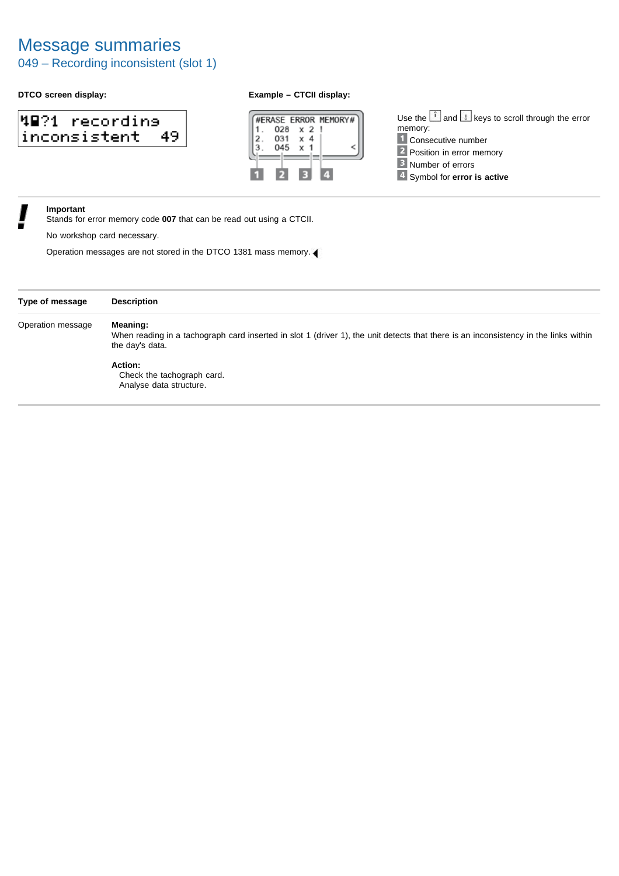049 – Recording inconsistent (slot 1)

### **DTCO screen display: Example – CTCII display:**

### 48?1 recordina inconsistent 49



Use the  $\left[\begin{matrix} \overline{1} & \overline{1} \\ \overline{1} & \overline{1} \end{matrix}\right]$  and  $\left[\begin{matrix} \overline{1} & \overline{1} \\ \overline{2} & \overline{2} \end{matrix}\right]$  keys to scroll through the error memory: 1 Consecutive number **2** Position in error memory **B** Number of errors 4 Symbol for **error is active** 

### **Important**

Stands for error memory code **007** that can be read out using a CTCII.

No workshop card necessary.

| Type of message   | <b>Description</b>                                                                                                                                                  |
|-------------------|---------------------------------------------------------------------------------------------------------------------------------------------------------------------|
| Operation message | Meaning:<br>When reading in a tachograph card inserted in slot 1 (driver 1), the unit detects that there is an inconsistency in the links within<br>the day's data. |
|                   | Action:<br>Check the tachograph card.<br>Analyse data structure.                                                                                                    |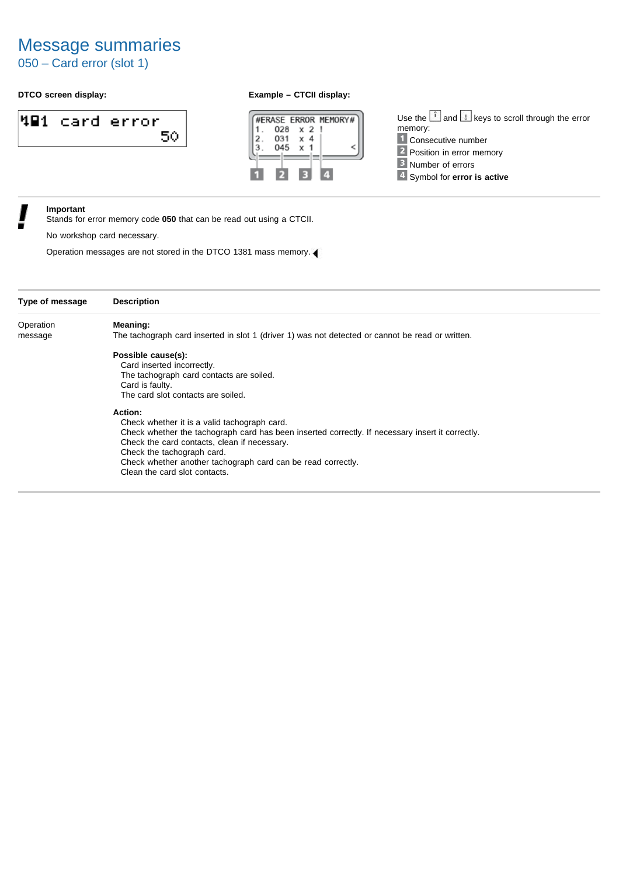050 – Card error (slot 1)

### **DTCO screen display: Example – CTCII display:**





Use the  $\left[\begin{matrix} \overline{1} & \overline{1} \\ \overline{1} & \overline{1} \end{matrix}\right]$  and  $\left[\begin{matrix} \overline{1} & \overline{1} \\ \overline{2} & \overline{2} \end{matrix}\right]$  keys to scroll through the error memory: 1 Consecutive number 2 Position in error memory **B** Number of errors 4 Symbol for **error** is active

### **Important**

Stands for error memory code **050** that can be read out using a CTCII.

No workshop card necessary.

| Type of message | <b>Description</b>                                                                                                                                                                                                                                                                                                                         |
|-----------------|--------------------------------------------------------------------------------------------------------------------------------------------------------------------------------------------------------------------------------------------------------------------------------------------------------------------------------------------|
| Operation       | Meaning:                                                                                                                                                                                                                                                                                                                                   |
| message         | The tachograph card inserted in slot 1 (driver 1) was not detected or cannot be read or written.                                                                                                                                                                                                                                           |
|                 | Possible cause(s):<br>Card inserted incorrectly.<br>The tachograph card contacts are soiled.<br>Card is faulty.<br>The card slot contacts are soiled.                                                                                                                                                                                      |
|                 | Action:<br>Check whether it is a valid tachograph card.<br>Check whether the tachograph card has been inserted correctly. If necessary insert it correctly.<br>Check the card contacts, clean if necessary.<br>Check the tachograph card.<br>Check whether another tachograph card can be read correctly.<br>Clean the card slot contacts. |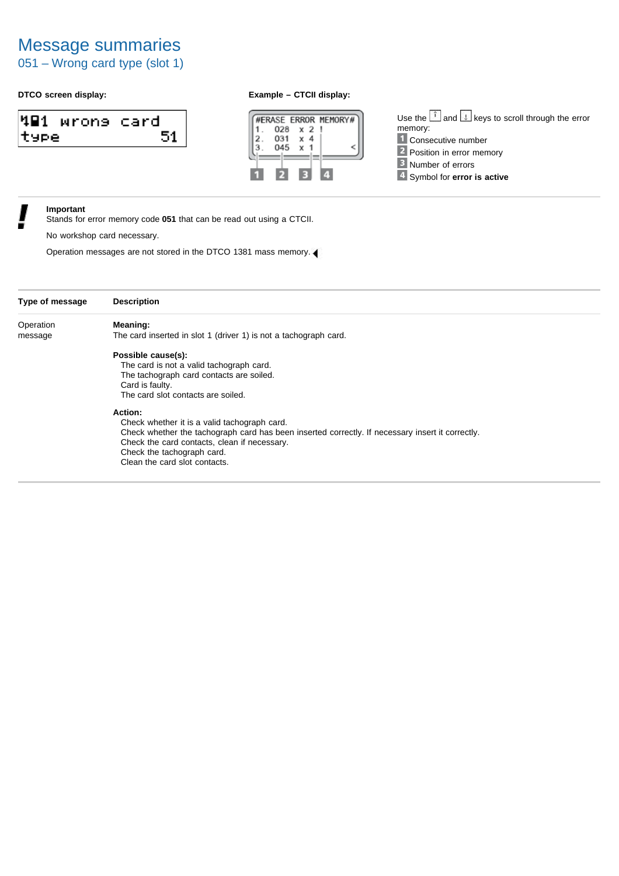## 051 – Wrong card type (slot 1)

|      | Ч⊟1 wronэ card |    |
|------|----------------|----|
| type |                | 51 |

### **DTCO screen display: Example – CTCII display:**



Use the  $\left[\begin{matrix} \hat{i} \\ \end{matrix}\right]$  and  $\left[\begin{matrix} \downarrow \\ \end{matrix}\right]$  keys to scroll through the error memory: 1 Consecutive number 2 Position in error memory **B** Number of errors 4 Symbol for **error** is active

### **Important**

Stands for error memory code **051** that can be read out using a CTCII.

No workshop card necessary.

| Type of message | <b>Description</b>                                                                               |
|-----------------|--------------------------------------------------------------------------------------------------|
| Operation       | Meaning:                                                                                         |
| message         | The card inserted in slot 1 (driver 1) is not a tachograph card.                                 |
|                 | Possible cause(s):                                                                               |
|                 | The card is not a valid tachograph card.                                                         |
|                 | The tachograph card contacts are soiled.                                                         |
|                 | Card is faulty.                                                                                  |
|                 | The card slot contacts are soiled.                                                               |
|                 | <b>Action:</b>                                                                                   |
|                 | Check whether it is a valid tachograph card.                                                     |
|                 | Check whether the tachograph card has been inserted correctly. If necessary insert it correctly. |
|                 | Check the card contacts, clean if necessary.                                                     |
|                 | Check the tachograph card.                                                                       |
|                 | Clean the card slot contacts.                                                                    |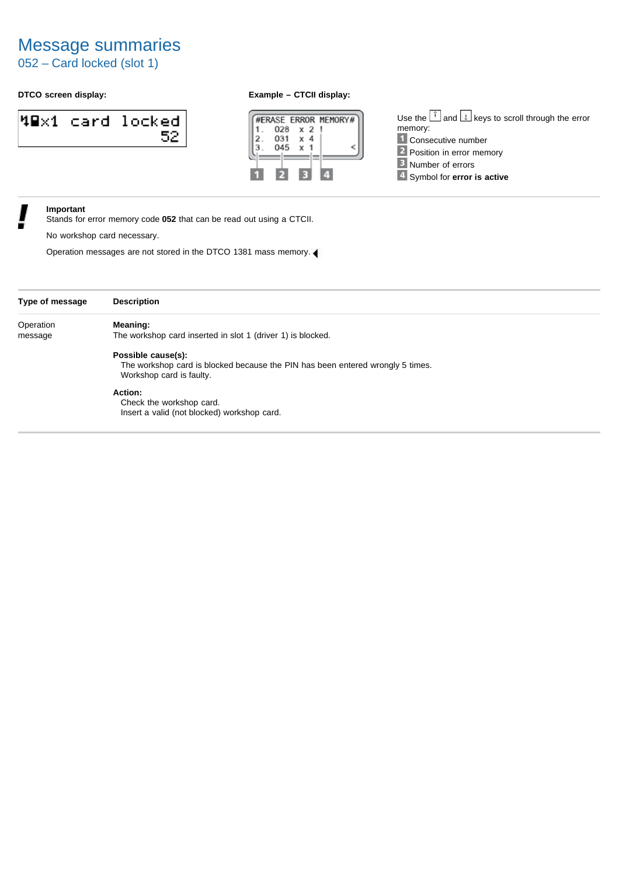052 – Card locked (slot 1)

### **DTCO screen display: Example – CTCII display:**

|  | $ 4$ B $\times 1$ card locked $ $ |
|--|-----------------------------------|
|  |                                   |

|            |                | #ERASE ERROR MEMORY# |
|------------|----------------|----------------------|
| 028        | x <sub>2</sub> |                      |
| 031<br>045 |                |                      |
|            |                |                      |
|            |                |                      |
|            |                |                      |

Use the  $\left[\begin{matrix} \hat{i} \\ \end{matrix}\right]$  and  $\left[\begin{matrix} \downarrow \\ \end{matrix}\right]$  keys to scroll through the error memory: 1 Consecutive number 2 Position in error memory **B** Number of errors 4 Symbol for **error** is active

### **Important**

Stands for error memory code **052** that can be read out using a CTCII.

No workshop card necessary.

| Type of message | <b>Description</b>                                                                                                               |
|-----------------|----------------------------------------------------------------------------------------------------------------------------------|
| Operation       | Meaning:                                                                                                                         |
| message         | The workshop card inserted in slot 1 (driver 1) is blocked.                                                                      |
|                 | Possible cause(s):<br>The workshop card is blocked because the PIN has been entered wrongly 5 times.<br>Workshop card is faulty. |
|                 | Action:<br>Check the workshop card.<br>Insert a valid (not blocked) workshop card.                                               |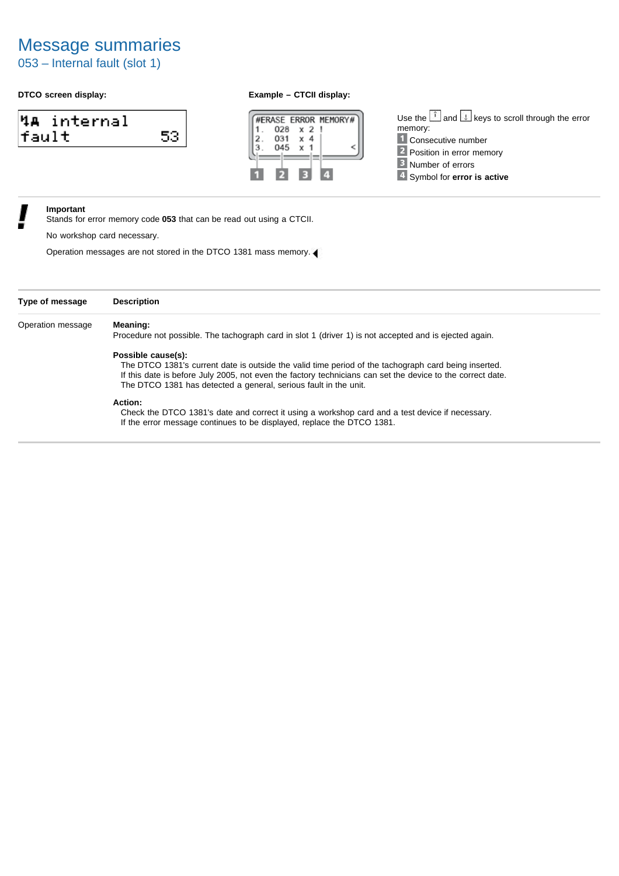053 – Internal fault (slot 1)

### **DTCO screen display: Example – CTCII display:**

|        | 4 <del>. intern</del> al |     |
|--------|--------------------------|-----|
| lfault |                          | 53. |



Use the  $\left[\begin{matrix} \overline{1} & \overline{1} \\ \overline{1} & \overline{1} \end{matrix}\right]$  and  $\left[\begin{matrix} \overline{1} & \overline{1} \\ \overline{2} & \overline{2} \end{matrix}\right]$  keys to scroll through the error memory: 1 Consecutive number 2 Position in error memory **B** Number of errors 4 Symbol for **error** is active

### **Important**

Stands for error memory code **053** that can be read out using a CTCII.

No workshop card necessary.

| Type of message   | <b>Description</b>                                                                                         |
|-------------------|------------------------------------------------------------------------------------------------------------|
| Operation message | Meaning:                                                                                                   |
|                   | Procedure not possible. The tachograph card in slot 1 (driver 1) is not accepted and is ejected again.     |
|                   | Possible cause(s):                                                                                         |
|                   | The DTCO 1381's current date is outside the valid time period of the tachograph card being inserted.       |
|                   | If this date is before July 2005, not even the factory technicians can set the device to the correct date. |
|                   | The DTCO 1381 has detected a general, serious fault in the unit.                                           |
|                   | Action:                                                                                                    |
|                   | Check the DTCO 1381's date and correct it using a workshop card and a test device if necessary.            |
|                   | If the error message continues to be displayed, replace the DTCO 1381.                                     |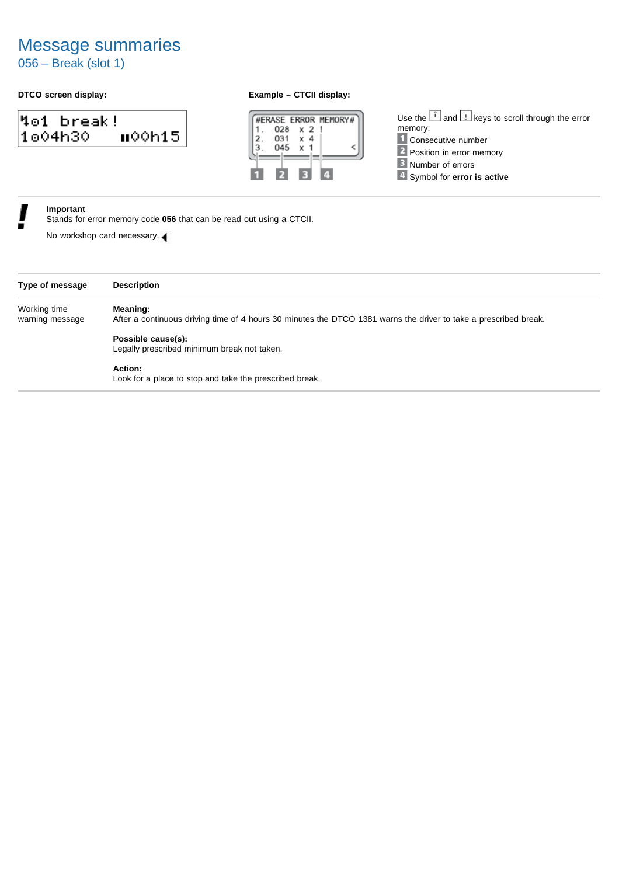056 – Break (slot 1)

### **DTCO screen display: Example – CTCII display:**

|          | Mo1 break! |         |
|----------|------------|---------|
| l1o04h30 |            | u00h15. |



Use the  $\left[\begin{matrix} \hat{i} \\ \end{matrix}\right]$  and  $\left[\begin{matrix} \downarrow \\ \end{matrix}\right]$  keys to scroll through the error memory: 1 Consecutive number 2 Position in error memory **B** Number of errors 4 Symbol for **error** is active

### **Important**

Stands for error memory code **056** that can be read out using a CTCII.

| Type of message                 | <b>Description</b>                                                                                                           |
|---------------------------------|------------------------------------------------------------------------------------------------------------------------------|
| Working time<br>warning message | Meaning:<br>After a continuous driving time of 4 hours 30 minutes the DTCO 1381 warns the driver to take a prescribed break. |
|                                 | Possible cause(s):<br>Legally prescribed minimum break not taken.                                                            |
|                                 | Action:<br>Look for a place to stop and take the prescribed break.                                                           |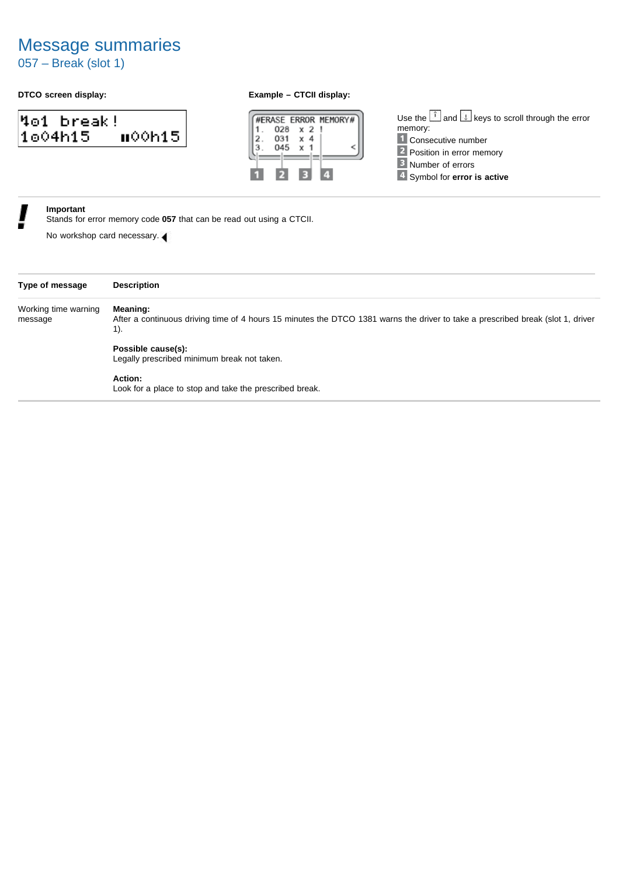057 – Break (slot 1)

|          | Mo1 break! |         |
|----------|------------|---------|
| l1o04h15 |            | u00h15. |

### **DTCO screen display: Example – CTCII display:**



Use the  $\left[\begin{matrix} \hat{i} \\ \end{matrix}\right]$  and  $\left[\begin{matrix} \downarrow \\ \end{matrix}\right]$  keys to scroll through the error memory: 1 Consecutive number 2 Position in error memory **B** Number of errors 4 Symbol for **error** is active

### **Important**

Stands for error memory code **057** that can be read out using a CTCII.

| Type of message                 | <b>Description</b>                                                                                                                                 |
|---------------------------------|----------------------------------------------------------------------------------------------------------------------------------------------------|
| Working time warning<br>message | Meaning:<br>After a continuous driving time of 4 hours 15 minutes the DTCO 1381 warns the driver to take a prescribed break (slot 1, driver<br>1). |
|                                 | Possible cause(s):<br>Legally prescribed minimum break not taken.                                                                                  |
|                                 | Action:<br>Look for a place to stop and take the prescribed break.                                                                                 |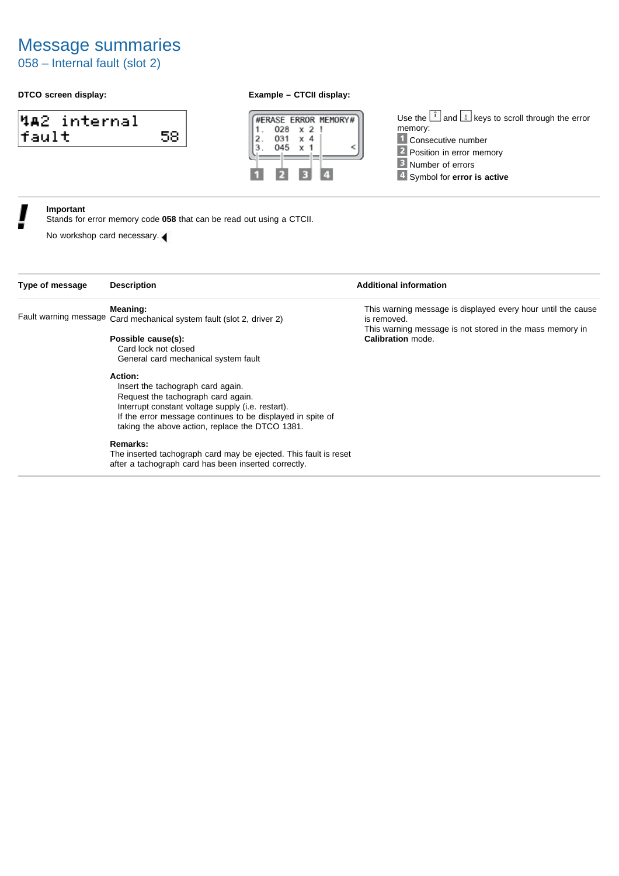058 – Internal fault (slot 2)

### **DTCO screen display: Example – CTCII display:**

|        | 4A2 internal |     |
|--------|--------------|-----|
| lfault |              | 58. |



Use the  $\left[\begin{matrix} \overline{1} & \overline{1} \\ \overline{1} & \overline{1} \end{matrix}\right]$  and  $\left[\begin{matrix} \overline{1} & \overline{1} \\ \overline{2} & \overline{2} \end{matrix}\right]$  keys to scroll through the error memory: 1 Consecutive number 2 Position in error memory **B** Number of errors

4 Symbol for **error** is active

### **Important**

Stands for error memory code **058** that can be read out using a CTCII.

No workshop card necessary.

| Type of message | <b>Description</b>                                                    | <b>Additional information</b>                                |
|-----------------|-----------------------------------------------------------------------|--------------------------------------------------------------|
|                 | Meaning:                                                              | This warning message is displayed every hour until the cause |
|                 | Fault warning message Card mechanical system fault (slot 2, driver 2) | is removed.                                                  |
|                 |                                                                       | This warning message is not stored in the mass memory in     |
|                 | Possible cause(s):                                                    | Calibration mode.                                            |
|                 | Card lock not closed                                                  |                                                              |
|                 | General card mechanical system fault                                  |                                                              |
|                 | Action:                                                               |                                                              |
|                 | Insert the tachograph card again.                                     |                                                              |
|                 | Request the tachograph card again.                                    |                                                              |
|                 | Interrupt constant voltage supply (i.e. restart).                     |                                                              |
|                 | If the error message continues to be displayed in spite of            |                                                              |
|                 | taking the above action, replace the DTCO 1381.                       |                                                              |
|                 | Remarks:                                                              |                                                              |

The inserted tachograph card may be ejected. This fault is reset after a tachograph card has been inserted correctly.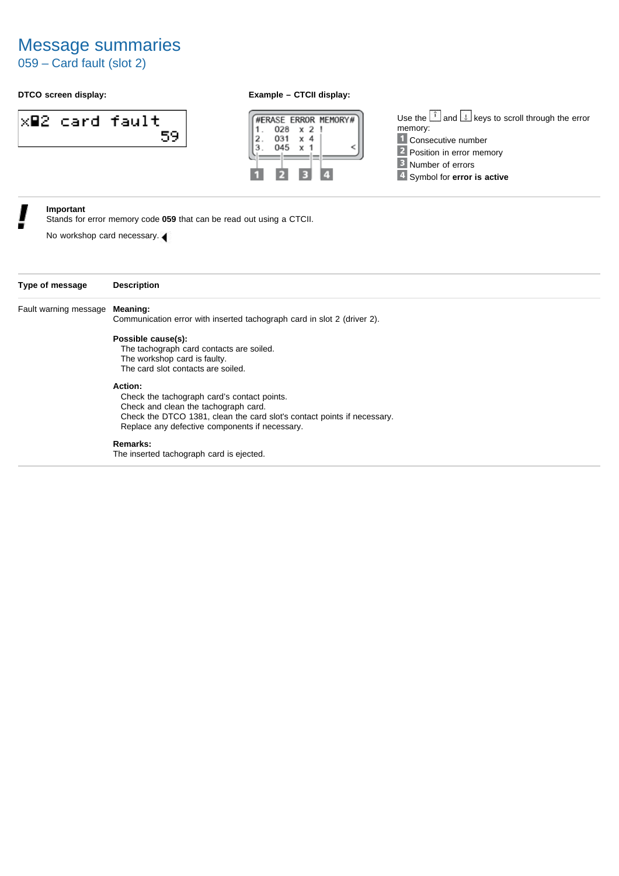059 – Card fault (slot 2)

### **DTCO screen display: Example – CTCII display:**





Use the  $\left[\begin{matrix} \overline{1} & \overline{1} \\ \overline{1} & \overline{1} \end{matrix}\right]$  and  $\left[\begin{matrix} \overline{1} & \overline{1} \\ \overline{2} & \overline{2} \end{matrix}\right]$  keys to scroll through the error memory: 1 Consecutive number 2 Position in error memory **B** Number of errors 4 Symbol for **error** is active

### **Important**

Stands for error memory code **059** that can be read out using a CTCII.

| Type of message       | <b>Description</b>                                                      |
|-----------------------|-------------------------------------------------------------------------|
| Fault warning message | Meaning:                                                                |
|                       | Communication error with inserted tachograph card in slot 2 (driver 2). |
|                       | Possible cause(s):                                                      |
|                       | The tachograph card contacts are soiled.                                |
|                       | The workshop card is faulty.                                            |
|                       | The card slot contacts are soiled.                                      |
|                       | Action:                                                                 |
|                       | Check the tachograph card's contact points.                             |
|                       | Check and clean the tachograph card.                                    |
|                       | Check the DTCO 1381, clean the card slot's contact points if necessary. |
|                       | Replace any defective components if necessary.                          |
|                       | Remarks:                                                                |
|                       | The inserted tachograph card is ejected.                                |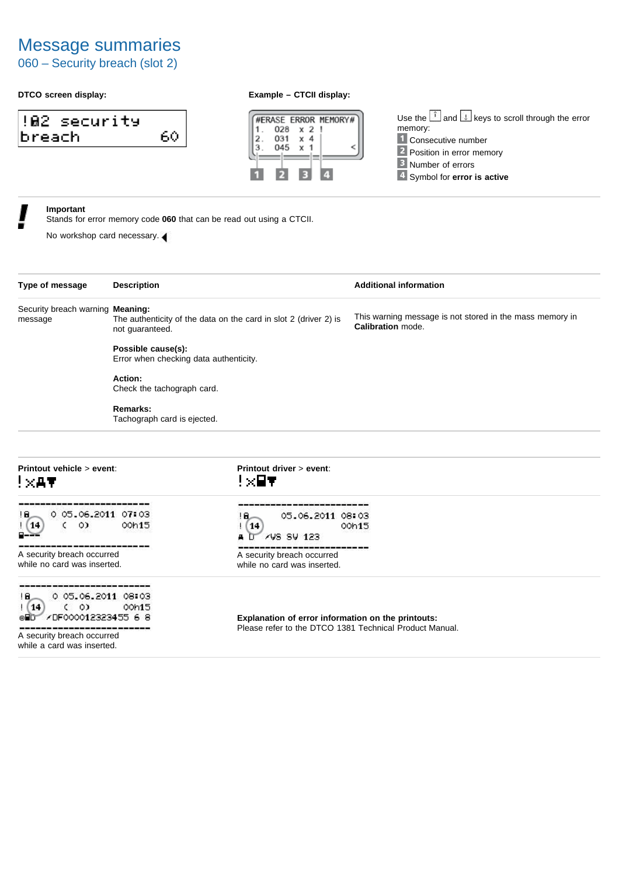060 – Security breach (slot 2)

### **DTCO screen display: Example – CTCII display:**

| WB2 security! |      |
|---------------|------|
| breach        | 60 I |



Use the  $\left[\begin{matrix} \overline{1} & \overline{1} \\ \overline{1} & \overline{1} \end{matrix}\right]$  and  $\left[\begin{matrix} \overline{1} & \overline{1} \\ \overline{2} & \overline{2} \end{matrix}\right]$  keys to scroll through the error memory: 1 Consecutive number 2 Position in error memory **B** Number of errors 4 Symbol for **error** is active

### **Important**

Stands for error memory code **060** that can be read out using a CTCII.

No workshop card necessary.

| Type of message                              | <b>Description</b>                                                                  |                                                         | <b>Additional information</b>                                                 |
|----------------------------------------------|-------------------------------------------------------------------------------------|---------------------------------------------------------|-------------------------------------------------------------------------------|
| Security breach warning Meaning:<br>message  | The authenticity of the data on the card in slot 2 (driver 2) is<br>not guaranteed. |                                                         | This warning message is not stored in the mass memory in<br>Calibration mode. |
|                                              | Possible cause(s):<br>Error when checking data authenticity.                        |                                                         |                                                                               |
|                                              | Action:<br>Check the tachograph card.                                               |                                                         |                                                                               |
|                                              | Remarks:<br>Tachograph card is ejected.                                             |                                                         |                                                                               |
|                                              |                                                                                     |                                                         |                                                                               |
| Printout vehicle > event:<br>! XAT           |                                                                                     | Printout driver > event:<br>!x⊟▼                        |                                                                               |
|                                              |                                                                                     |                                                         |                                                                               |
| 0 05.06.2011 07:03<br>IB.<br>$\circ$<br>  14 | 00h15                                                                               | 05.06.2011 08:03<br>18.<br>14<br>U<br><b>AVS SV 123</b> | 00h15                                                                         |



A security breach occurred while a card was inserted.

**Explanation of error information on the printouts:** Please refer to the DTCO 1381 Technical Product Manual.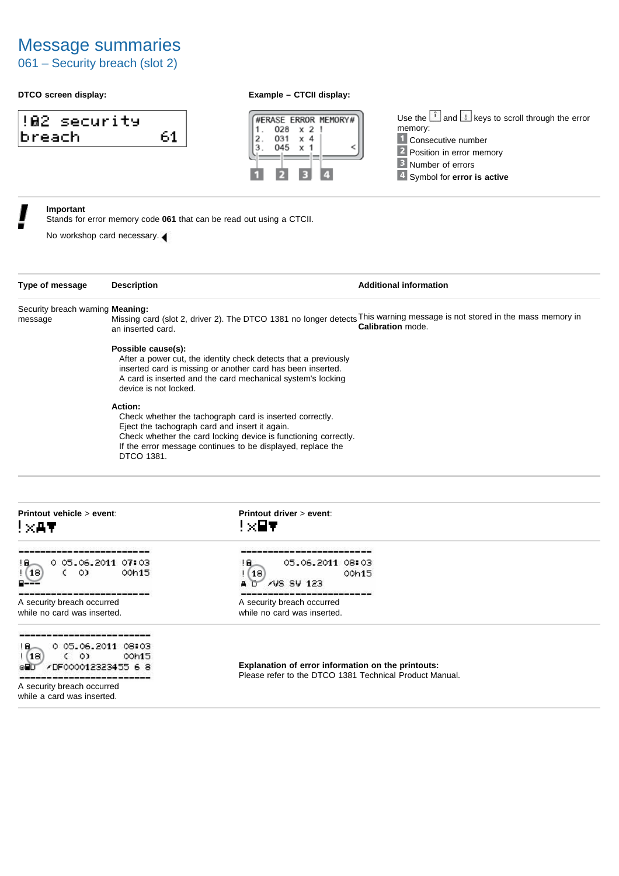## 061 – Security breach (slot 2)

### **DTCO screen display: Example – CTCII display:**

| <b>WB2 security!</b> |     |
|----------------------|-----|
| breach               | -61 |



Use the  $\left[\begin{matrix} \overline{1} & \overline{1} \\ \overline{1} & \overline{1} \end{matrix}\right]$  and  $\left[\begin{matrix} \overline{1} & \overline{1} \\ \overline{2} & \overline{2} \end{matrix}\right]$  keys to scroll through the error memory: 1 Consecutive number **2** Position in error memory **B** Number of errors Symbol for **error is active**

### **Important**

Stands for error memory code **061** that can be read out using a CTCII.

No workshop card necessary.

| Type of message                                                      | <b>Description</b>                          |                                                                                                                                                                                                                                              | <b>Additional information</b>                                                                                                                  |
|----------------------------------------------------------------------|---------------------------------------------|----------------------------------------------------------------------------------------------------------------------------------------------------------------------------------------------------------------------------------------------|------------------------------------------------------------------------------------------------------------------------------------------------|
| Security breach warning Meaning:<br>message                          | an inserted card.                           |                                                                                                                                                                                                                                              | Missing card (slot 2, driver 2). The DTCO 1381 no longer detects This warning message is not stored in the mass memory in<br>Calibration mode. |
|                                                                      | Possible cause(s):<br>device is not locked. | After a power cut, the identity check detects that a previously<br>inserted card is missing or another card has been inserted.<br>A card is inserted and the card mechanical system's locking                                                |                                                                                                                                                |
|                                                                      | Action:<br>DTCO 1381.                       | Check whether the tachograph card is inserted correctly.<br>Eject the tachograph card and insert it again.<br>Check whether the card locking device is functioning correctly.<br>If the error message continues to be displayed, replace the |                                                                                                                                                |
| Printout vehicle > event:<br>!又具章                                    |                                             | Printout driver > event:<br>!x⊟▼                                                                                                                                                                                                             |                                                                                                                                                |
| -------------<br>0 05 06 2011 07:03<br>18.<br>$^{\circ}$<br>C.<br>18 | 00h15                                       | --------------<br>05.06.2011 08:03<br>IB.<br>18<br>00h15<br>/VS SV 123                                                                                                                                                                       |                                                                                                                                                |
| A security breach occurred                                           |                                             | A security breach occurred                                                                                                                                                                                                                   |                                                                                                                                                |

while no card was inserted.

A security breach occurred while no card was inserted.



A security breach occurred while a card was inserted.

**Explanation of error information on the printouts:** Please refer to the DTCO 1381 Technical Product Manual.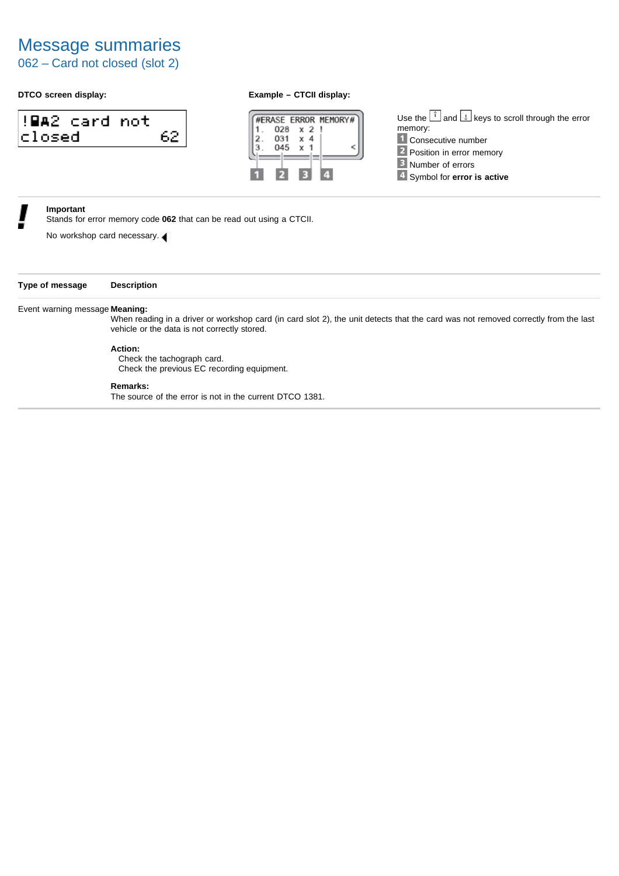062 – Card not closed (slot 2)

### **DTCO screen display: Example – CTCII display:**

| ‼∎a2 card not! |     |
|----------------|-----|
| closed         | 62. |



Use the  $\left[\begin{matrix} \overline{1} & \overline{1} \\ \overline{1} & \overline{1} \end{matrix}\right]$  and  $\left[\begin{matrix} \overline{1} & \overline{1} \\ \overline{2} & \overline{2} \end{matrix}\right]$  keys to scroll through the error memory: **1** Consecutive number 2 Position in error memory **B** Number of errors 4 Symbol for **error** is active

### **Important**

Stands for error memory code **062** that can be read out using a CTCII.

No workshop card necessary.

|  | Type of message | <b>Description</b> |
|--|-----------------|--------------------|
|--|-----------------|--------------------|

### Event warning message **Meaning:**

When reading in a driver or workshop card (in card slot 2), the unit detects that the card was not removed correctly from the last vehicle or the data is not correctly stored.

### **Action:**

Check the tachograph card. Check the previous EC recording equipment.

### **Remarks:**

The source of the error is not in the current DTCO 1381.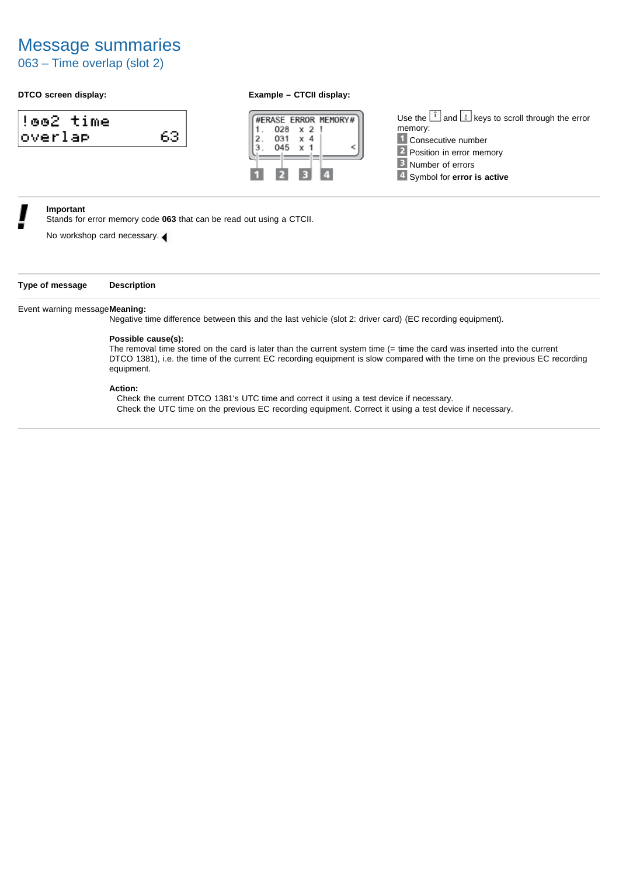## 063 – Time overlap (slot 2)

### **DTCO screen display: Example – CTCII display:**

| ‼oo2 time |  |
|-----------|--|
| loverlap  |  |



Use the  $\left[\begin{matrix} \hat{i} \\ \end{matrix}\right]$  and  $\left[\begin{matrix} \downarrow \\ \end{matrix}\right]$  keys to scroll through the error memory: **1** Consecutive number 2 Position in error memory **B** Number of errors Symbol for **error is active**

### **Important**

Stands for error memory code **063** that can be read out using a CTCII.

No workshop card necessary.

### **Type of message Description**

### Event warning message**Meaning:**

Negative time difference between this and the last vehicle (slot 2: driver card) (EC recording equipment).

### **Possible cause(s):**

The removal time stored on the card is later than the current system time (= time the card was inserted into the current DTCO 1381), i.e. the time of the current EC recording equipment is slow compared with the time on the previous EC recording equipment.

### **Action:**

Check the current DTCO 1381's UTC time and correct it using a test device if necessary. Check the UTC time on the previous EC recording equipment. Correct it using a test device if necessary.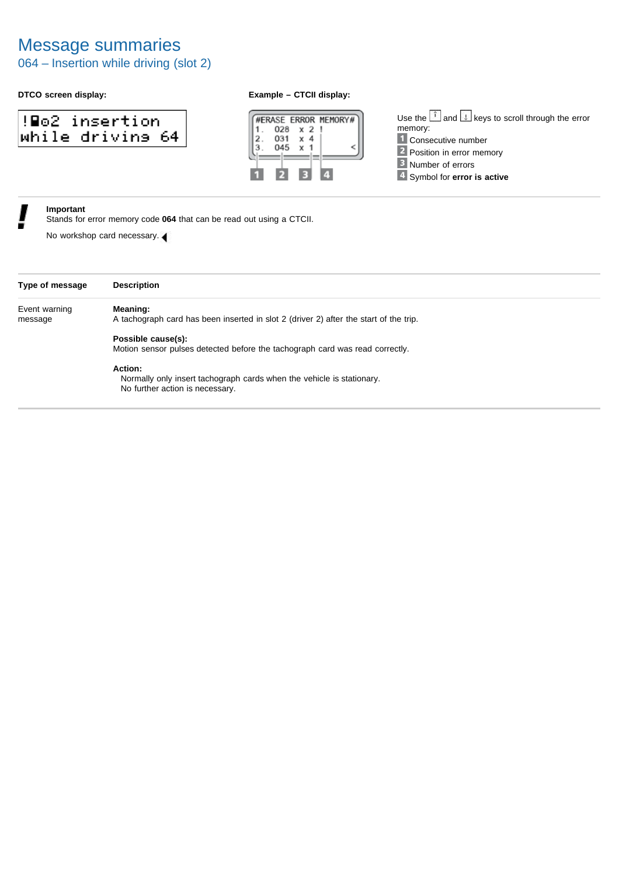## 064 – Insertion while driving (slot 2)

| ‼∎⊙2 insertion   |  |
|------------------|--|
| While drivins 64 |  |

### **DTCO screen display: Example – CTCII display:**



Use the  $\left[\begin{matrix} \hat{i} \\ \end{matrix}\right]$  and  $\left[\begin{matrix} \downarrow \\ \end{matrix}\right]$  keys to scroll through the error memory: 1 Consecutive number 2 Position in error memory **B** Number of errors 4 Symbol for **error** is active

### **Important**

Stands for error memory code **064** that can be read out using a CTCII.

| Type of message          | <b>Description</b>                                                                                                  |
|--------------------------|---------------------------------------------------------------------------------------------------------------------|
| Event warning<br>message | Meaning:<br>A tachograph card has been inserted in slot 2 (driver 2) after the start of the trip.                   |
|                          | Possible cause(s):<br>Motion sensor pulses detected before the tachograph card was read correctly.                  |
|                          | Action:<br>Normally only insert tachograph cards when the vehicle is stationary.<br>No further action is necessary. |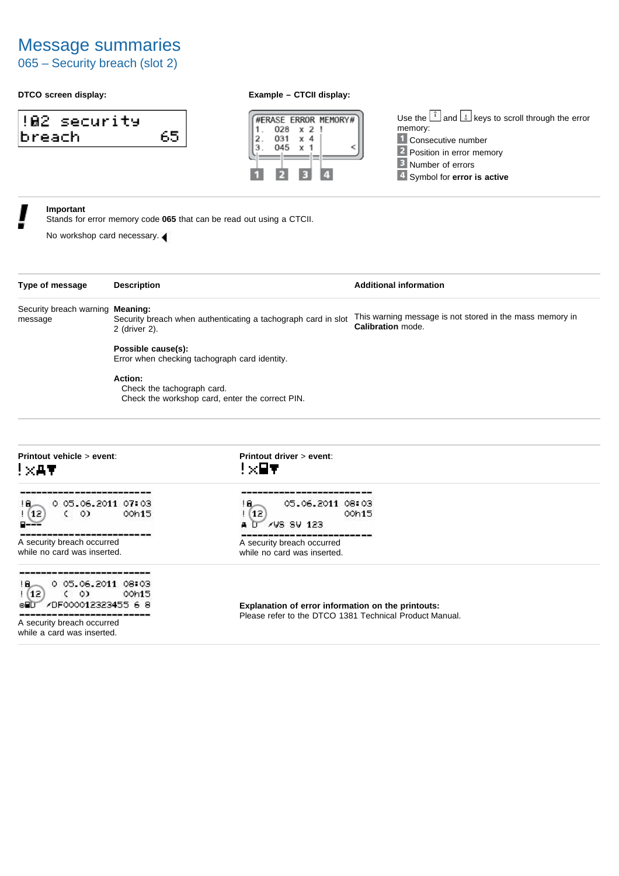065 – Security breach (slot 2)

### **DTCO screen display: Example – CTCII display:**

| WB2 security! |      |
|---------------|------|
| breach        | 65 I |



Use the  $\left[\begin{matrix} \hat{i} \\ \end{matrix}\right]$  and  $\left[\begin{matrix} \downarrow \\ \end{matrix}\right]$  keys to scroll through the error memory: 1 Consecutive number 2 Position in error memory **B** Number of errors 4 Symbol for **error** is active

### **Important**

Stands for error memory code **065** that can be read out using a CTCII.

| Type of message                                                                                   | <b>Description</b>                    |                                                               | <b>Additional information</b>                                                 |
|---------------------------------------------------------------------------------------------------|---------------------------------------|---------------------------------------------------------------|-------------------------------------------------------------------------------|
| Security breach warning Meaning:<br>message                                                       | 2 (driver 2).                         | Security breach when authenticating a tachograph card in slot | This warning message is not stored in the mass memory in<br>Calibration mode. |
|                                                                                                   | Possible cause(s):                    | Error when checking tachograph card identity.                 |                                                                               |
|                                                                                                   | Action:<br>Check the tachograph card. | Check the workshop card, enter the correct PIN.               |                                                                               |
| Printout vehicle > event:<br>┆╳╇▼                                                                 |                                       | Printout driver > event:<br>!×⊟▼                              |                                                                               |
| 0 05.06.2011 07:03<br>IB.<br>$\circ$<br>(12<br>$\epsilon$                                         | 00h15                                 | 05.06.2011 08:03<br>18.<br>1(12)<br><b>AVS SV 123</b>         | 00h15                                                                         |
| A security breach occurred<br>while no card was inserted.                                         |                                       | A security breach occurred<br>while no card was inserted.     |                                                                               |
| -----------------<br>0 05.06.2011 08:03<br>! B_<br>(0)<br>(12<br>00h15<br>⊙WU /DF000012323455 6 8 |                                       | Explanation of error information on the printouts:            |                                                                               |
| A security breach occurred<br>while a card was inserted.                                          |                                       | Please refer to the DTCO 1381 Technical Product Manual.       |                                                                               |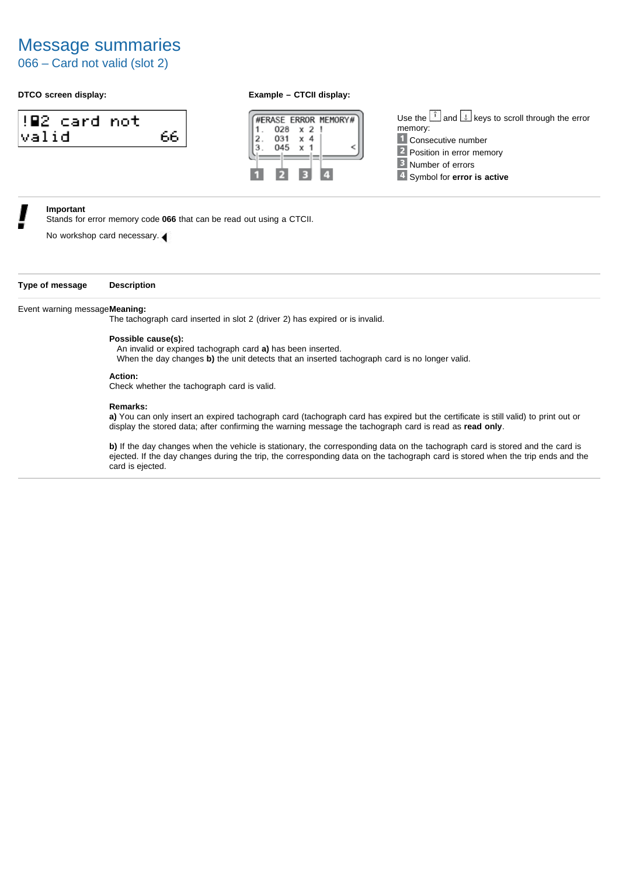066 – Card not valid (slot 2)

### **DTCO screen display: Example – CTCII display:**





Use the  $\boxed{\hat{i}}$  and  $\boxed{\downarrow}$  keys to scroll through the error memory: **1** Consecutive number 2 Position in error memory **B** Number of errors Symbol for **error is active**

### **Important**

Stands for error memory code **066** that can be read out using a CTCII.

No workshop card necessary.

### **Type of message Description**

### Event warning message**Meaning:**

The tachograph card inserted in slot 2 (driver 2) has expired or is invalid.

### **Possible cause(s):**

An invalid or expired tachograph card **a)** has been inserted.

When the day changes **b)** the unit detects that an inserted tachograph card is no longer valid.

### **Action:**

Check whether the tachograph card is valid.

### **Remarks:**

**a)** You can only insert an expired tachograph card (tachograph card has expired but the certificate is still valid) to print out or display the stored data; after confirming the warning message the tachograph card is read as **read only**.

**b)** If the day changes when the vehicle is stationary, the corresponding data on the tachograph card is stored and the card is ejected. If the day changes during the trip, the corresponding data on the tachograph card is stored when the trip ends and the card is ejected.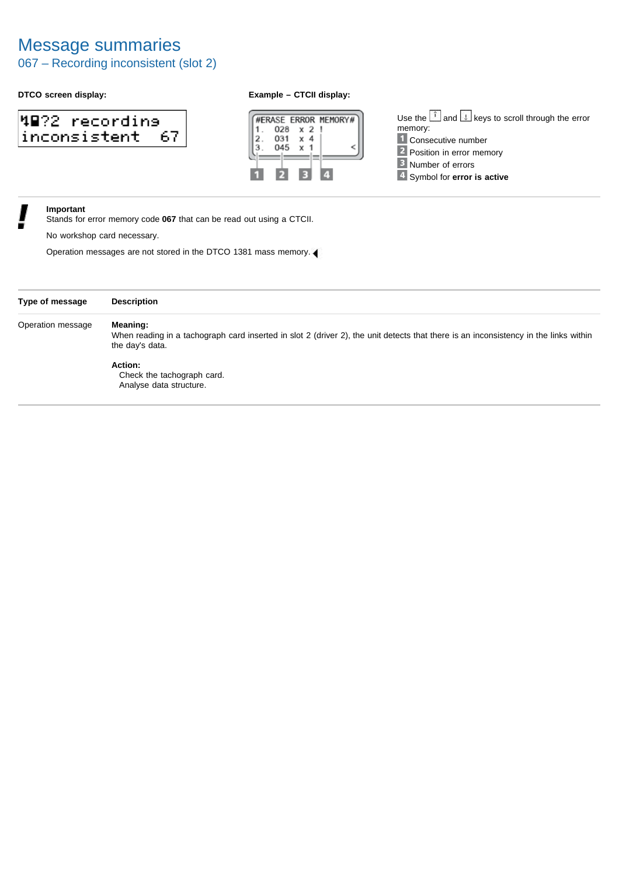## 067 – Recording inconsistent (slot 2)

### **DTCO screen display: Example – CTCII display:**

| 48?2 recordins  |  |
|-----------------|--|
| inconsistent 67 |  |



Use the  $\left[\begin{matrix} \hat{i} \\ \end{matrix}\right]$  and  $\left[\begin{matrix} \downarrow \\ \end{matrix}\right]$  keys to scroll through the error memory: 1 Consecutive number 2 Position in error memory **B** Number of errors 4 Symbol for **error** is active

### **Important**

Stands for error memory code **067** that can be read out using a CTCII.

No workshop card necessary.

| Type of message   | <b>Description</b>                                                                                                                                                                                           |
|-------------------|--------------------------------------------------------------------------------------------------------------------------------------------------------------------------------------------------------------|
| Operation message | Meaning:<br>When reading in a tachograph card inserted in slot 2 (driver 2), the unit detects that there is an inconsistency in the links within<br>the day's data.<br>Action:<br>Check the tachograph card. |
|                   | Analyse data structure.                                                                                                                                                                                      |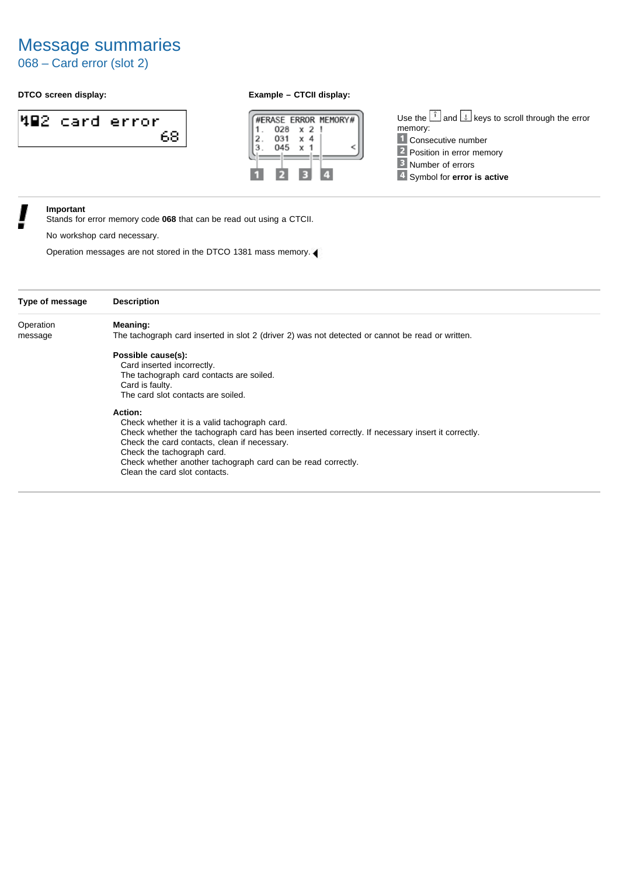068 – Card error (slot 2)

### **DTCO screen display: Example – CTCII display:**





Use the  $\left[\begin{matrix} \overline{1} & \overline{1} \\ \overline{1} & \overline{1} \end{matrix}\right]$  and  $\left[\begin{matrix} \overline{1} & \overline{1} \\ \overline{2} & \overline{2} \end{matrix}\right]$  keys to scroll through the error memory: 1 Consecutive number 2 Position in error memory **B** Number of errors 4 Symbol for **error** is active

### **Important**

Stands for error memory code **068** that can be read out using a CTCII.

No workshop card necessary.

| Type of message | <b>Description</b>                                                                                                                                                                                                                                                                                                                         |
|-----------------|--------------------------------------------------------------------------------------------------------------------------------------------------------------------------------------------------------------------------------------------------------------------------------------------------------------------------------------------|
| Operation       | Meaning:                                                                                                                                                                                                                                                                                                                                   |
| message         | The tachograph card inserted in slot 2 (driver 2) was not detected or cannot be read or written.                                                                                                                                                                                                                                           |
|                 | Possible cause(s):<br>Card inserted incorrectly.<br>The tachograph card contacts are soiled.<br>Card is faulty.<br>The card slot contacts are soiled.                                                                                                                                                                                      |
|                 | Action:<br>Check whether it is a valid tachograph card.<br>Check whether the tachograph card has been inserted correctly. If necessary insert it correctly.<br>Check the card contacts, clean if necessary.<br>Check the tachograph card.<br>Check whether another tachograph card can be read correctly.<br>Clean the card slot contacts. |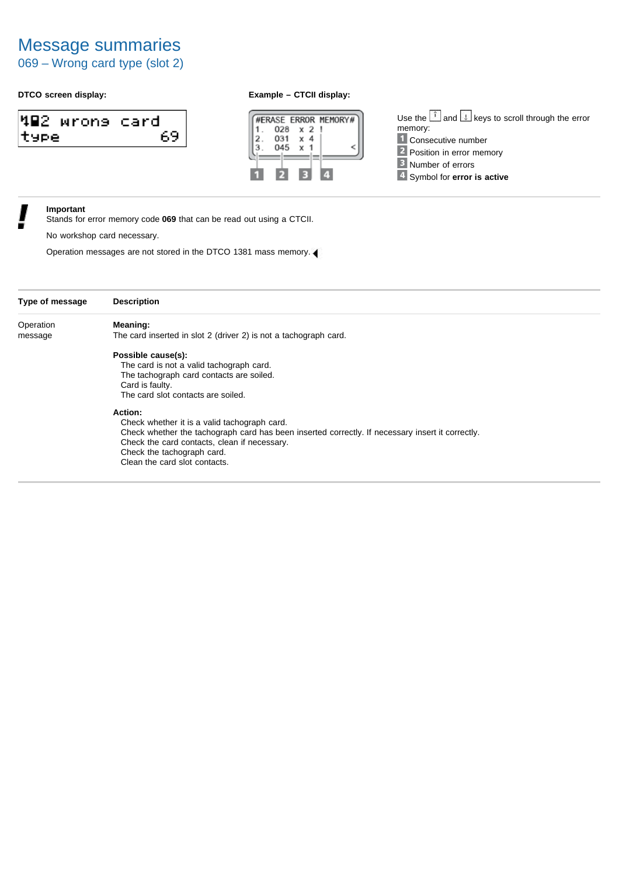## 069 – Wrong card type (slot 2)

### **DTCO screen display: Example – CTCII display:**

|      | Ч∎2 wronэ card |      |
|------|----------------|------|
| type |                | 69 I |



Use the  $\left[\begin{matrix} \hat{i} \\ \end{matrix}\right]$  and  $\left[\begin{matrix} \downarrow \\ \end{matrix}\right]$  keys to scroll through the error memory: 1 Consecutive number 2 Position in error memory **B** Number of errors 4 Symbol for **error** is active

### **Important**

Stands for error memory code **069** that can be read out using a CTCII.

No workshop card necessary.

| Type of message | <b>Description</b>                                                                               |
|-----------------|--------------------------------------------------------------------------------------------------|
| Operation       | Meaning:                                                                                         |
| message         | The card inserted in slot 2 (driver 2) is not a tachograph card.                                 |
|                 | Possible cause(s):                                                                               |
|                 | The card is not a valid tachograph card.                                                         |
|                 | The tachograph card contacts are soiled.                                                         |
|                 | Card is faulty.                                                                                  |
|                 | The card slot contacts are soiled.                                                               |
|                 | Action:                                                                                          |
|                 | Check whether it is a valid tachograph card.                                                     |
|                 | Check whether the tachograph card has been inserted correctly. If necessary insert it correctly. |
|                 | Check the card contacts, clean if necessary.                                                     |
|                 | Check the tachograph card.                                                                       |
|                 | Clean the card slot contacts.                                                                    |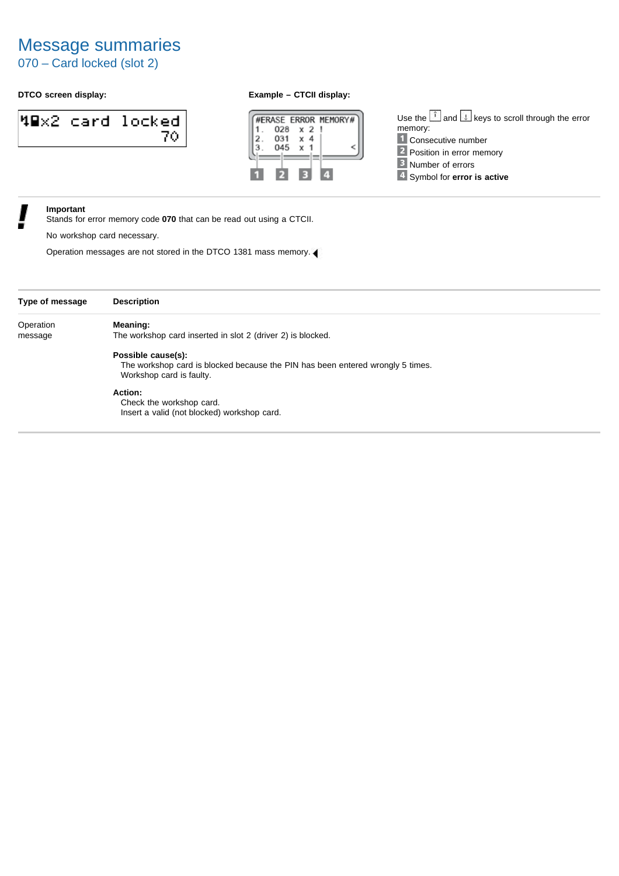070 – Card locked (slot 2)

### **DTCO screen display: Example – CTCII display:**





Use the  $\left[\begin{matrix} \overline{1} & \overline{1} \\ \overline{1} & \overline{1} \end{matrix}\right]$  and  $\left[\begin{matrix} \overline{1} & \overline{1} \\ \overline{2} & \overline{2} \end{matrix}\right]$  keys to scroll through the error memory: 1 Consecutive number 2 Position in error memory **B** Number of errors 4 Symbol for **error is active** 

### **Important**

Stands for error memory code **070** that can be read out using a CTCII.

No workshop card necessary.

| Type of message | <b>Description</b>                                                                                         |  |  |
|-----------------|------------------------------------------------------------------------------------------------------------|--|--|
| Operation       | Meaning:<br>The workshop card inserted in slot 2 (driver 2) is blocked.                                    |  |  |
| message         |                                                                                                            |  |  |
|                 | Possible cause(s):                                                                                         |  |  |
|                 | The workshop card is blocked because the PIN has been entered wrongly 5 times.<br>Workshop card is faulty. |  |  |
|                 | Action:                                                                                                    |  |  |
|                 | Check the workshop card.                                                                                   |  |  |
|                 | Insert a valid (not blocked) workshop card.                                                                |  |  |
|                 |                                                                                                            |  |  |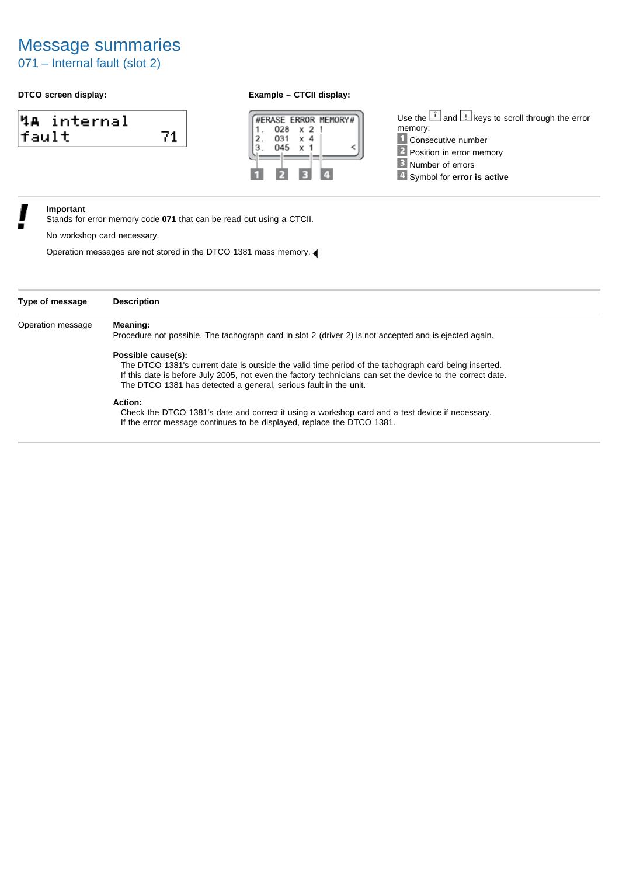071 – Internal fault (slot 2)

### **DTCO screen display: Example – CTCII display:**

|        | 4 <del>4</del> internal |  |
|--------|-------------------------|--|
| lfault |                         |  |



Use the  $\left[\begin{matrix} \overline{1} & \overline{1} \\ \overline{1} & \overline{1} \end{matrix}\right]$  and  $\left[\begin{matrix} \overline{1} & \overline{1} \\ \overline{2} & \overline{2} \end{matrix}\right]$  keys to scroll through the error memory: 1 Consecutive number 2 Position in error memory **B** Number of errors 4 Symbol for **error** is active

### **Important**

Stands for error memory code **071** that can be read out using a CTCII.

No workshop card necessary.

| Type of message   | <b>Description</b>                                                                                         |
|-------------------|------------------------------------------------------------------------------------------------------------|
| Operation message | Meaning:                                                                                                   |
|                   | Procedure not possible. The tachograph card in slot 2 (driver 2) is not accepted and is ejected again.     |
|                   | Possible cause(s):                                                                                         |
|                   | The DTCO 1381's current date is outside the valid time period of the tachograph card being inserted.       |
|                   | If this date is before July 2005, not even the factory technicians can set the device to the correct date. |
|                   | The DTCO 1381 has detected a general, serious fault in the unit.                                           |
|                   | Action:                                                                                                    |
|                   | Check the DTCO 1381's date and correct it using a workshop card and a test device if necessary.            |
|                   | If the error message continues to be displayed, replace the DTCO 1381.                                     |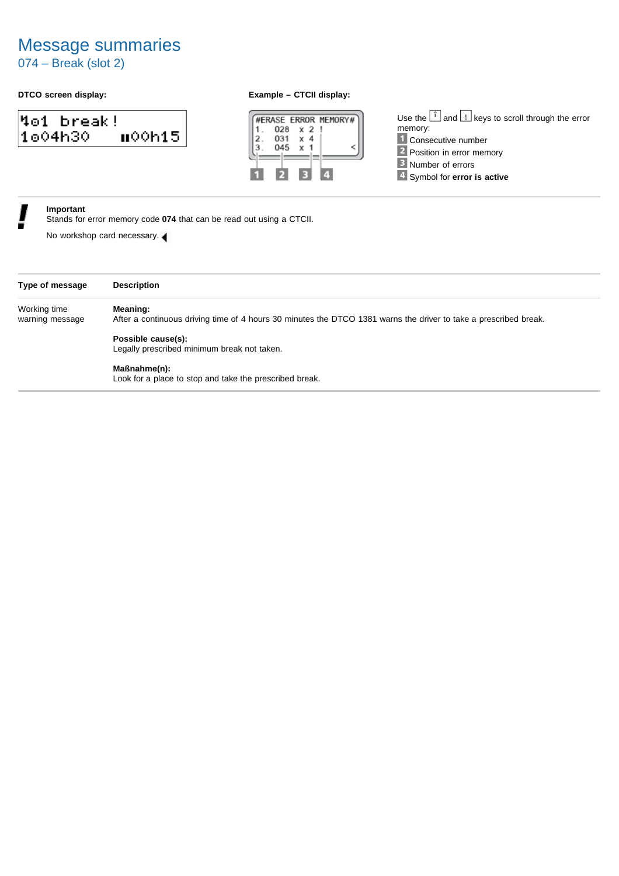074 – Break (slot 2)

### **DTCO screen display: Example – CTCII display:**

|          | Mo1 break! |         |
|----------|------------|---------|
| l1o04h30 |            | u00h15. |



Use the  $\left[\begin{matrix} \hat{i} \\ \end{matrix}\right]$  and  $\left[\begin{matrix} \downarrow \\ \end{matrix}\right]$  keys to scroll through the error memory: 1 Consecutive number 2 Position in error memory **B** Number of errors 4 Symbol for **error** is active

### **Important**

Stands for error memory code **074** that can be read out using a CTCII.

| Type of message                 | <b>Description</b>                                                                                                           |
|---------------------------------|------------------------------------------------------------------------------------------------------------------------------|
| Working time<br>warning message | Meaning:<br>After a continuous driving time of 4 hours 30 minutes the DTCO 1381 warns the driver to take a prescribed break. |
|                                 | Possible cause(s):<br>Legally prescribed minimum break not taken.                                                            |
|                                 | Maßnahme(n):<br>Look for a place to stop and take the prescribed break.                                                      |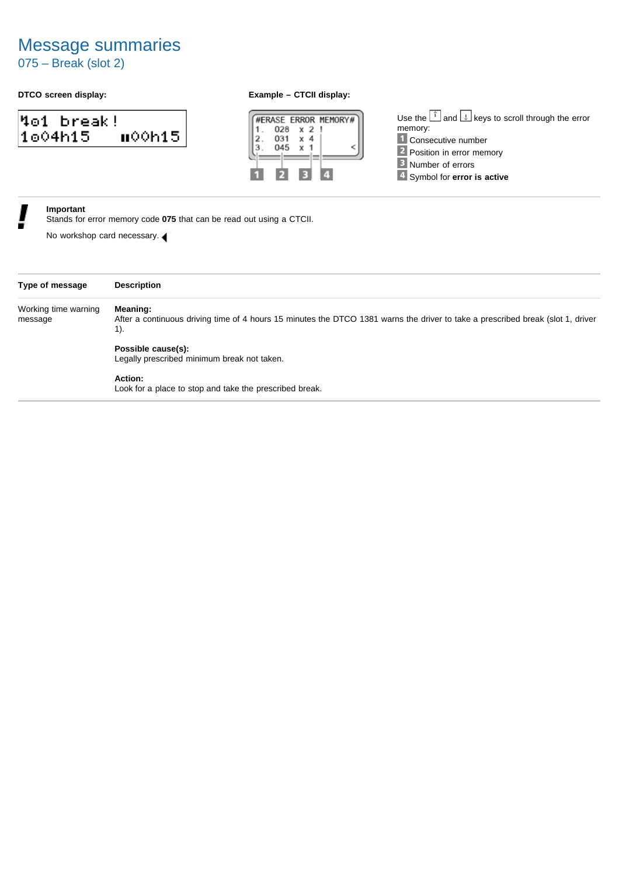075 – Break (slot 2)

|          | Mo1 break! |         |
|----------|------------|---------|
| l1o04h15 |            | u00h15. |

### **DTCO screen display: Example – CTCII display:**



Use the  $\left[\begin{matrix} \hat{i} \\ \end{matrix}\right]$  and  $\left[\begin{matrix} \downarrow \\ \end{matrix}\right]$  keys to scroll through the error memory: 1 Consecutive number 2 Position in error memory **B** Number of errors 4 Symbol for **error** is active

### **Important**

Stands for error memory code **075** that can be read out using a CTCII.

| Type of message                 | <b>Description</b>                                                                                                                                        |
|---------------------------------|-----------------------------------------------------------------------------------------------------------------------------------------------------------|
| Working time warning<br>message | <b>Meaning:</b><br>After a continuous driving time of 4 hours 15 minutes the DTCO 1381 warns the driver to take a prescribed break (slot 1, driver<br>1). |
|                                 | Possible cause(s):<br>Legally prescribed minimum break not taken.                                                                                         |
|                                 | Action:<br>Look for a place to stop and take the prescribed break.                                                                                        |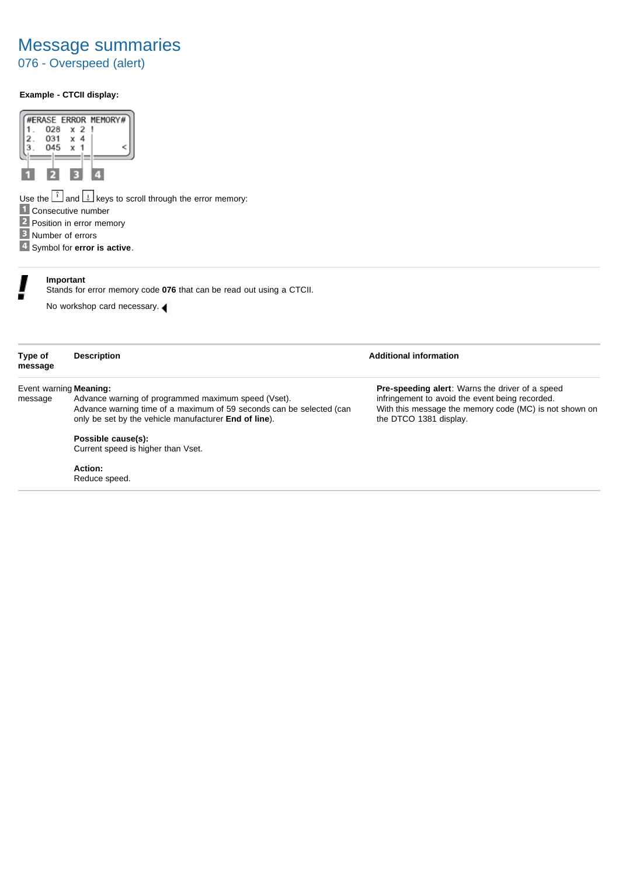## Message summaries 076 - Overspeed (alert)

### **Example - CTCII display:**



Use the  $L$  and  $L$  keys to scroll through the error memory:

- Consecutive number
- Provides and the service of the service of the service of the service of the service of the service of the service of the service of the service of the service of the service of the service of the service of the service of
- **B** Number of errors

4 Symbol for **error is active**.

### **Important**

Stands for error memory code **076** that can be read out using a CTCII.

No workshop card necessary.

| Type of<br>message | <b>Description</b>                                                                                                                                                                                                    | <b>Additional information</b>                                                                                                                                                                 |
|--------------------|-----------------------------------------------------------------------------------------------------------------------------------------------------------------------------------------------------------------------|-----------------------------------------------------------------------------------------------------------------------------------------------------------------------------------------------|
| message            | Event warning <b>Meaning:</b><br>Advance warning of programmed maximum speed (Vset).<br>Advance warning time of a maximum of 59 seconds can be selected (can<br>only be set by the vehicle manufacturer End of line). | <b>Pre-speeding alert:</b> Warns the driver of a speed<br>infringement to avoid the event being recorded.<br>With this message the memory code (MC) is not shown on<br>the DTCO 1381 display. |
|                    | Possible cause(s):<br>Current speed is higher than Vset.                                                                                                                                                              |                                                                                                                                                                                               |

### **Action:**

Reduce speed.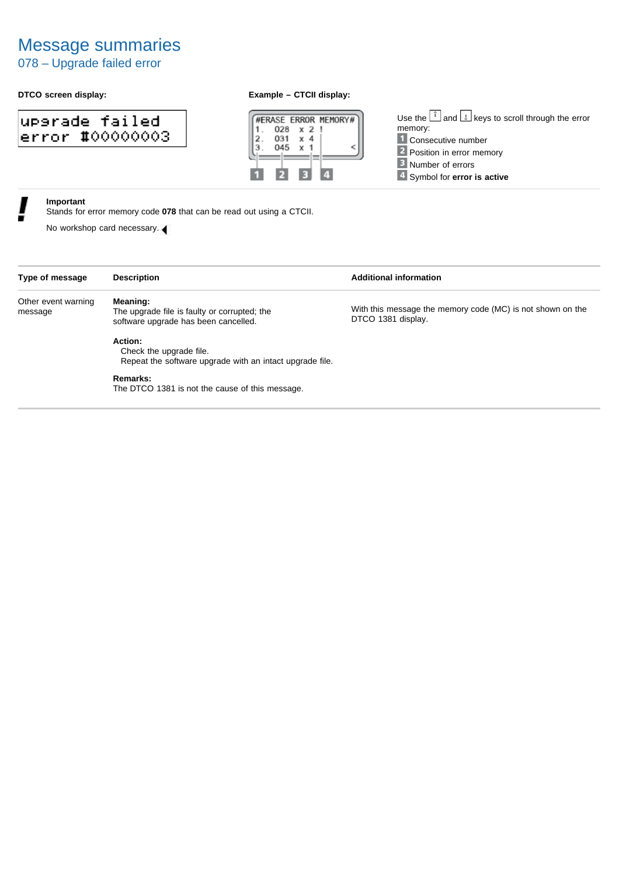## 078 – Upgrade failed error

### **DTCO screen display: Example – CTCII display:**

## uperade failed error #00000003



Use the  $\left[\begin{matrix} \overline{1} & \overline{1} \\ \overline{1} & \overline{1} \end{matrix}\right]$  and  $\left[\begin{matrix} \overline{1} & \overline{1} \\ \overline{2} & \overline{2} \end{matrix}\right]$  keys to scroll through the error memory: 1 Consecutive number 2 Position in error memory **B** Number of errors 4 Symbol for **error** is active

### **Important**

Stands for error memory code **078** that can be read out using a CTCII.

| Type of message                | <b>Description</b>                                                                               | <b>Additional information</b>                                                    |  |
|--------------------------------|--------------------------------------------------------------------------------------------------|----------------------------------------------------------------------------------|--|
| Other event warning<br>message | Meaning:<br>The upgrade file is faulty or corrupted; the<br>software upgrade has been cancelled. | With this message the memory code (MC) is not shown on the<br>DTCO 1381 display. |  |
|                                | Action:<br>Check the upgrade file.<br>Repeat the software upgrade with an intact upgrade file.   |                                                                                  |  |
|                                | Remarks:<br>The DTCO 1381 is not the cause of this message.                                      |                                                                                  |  |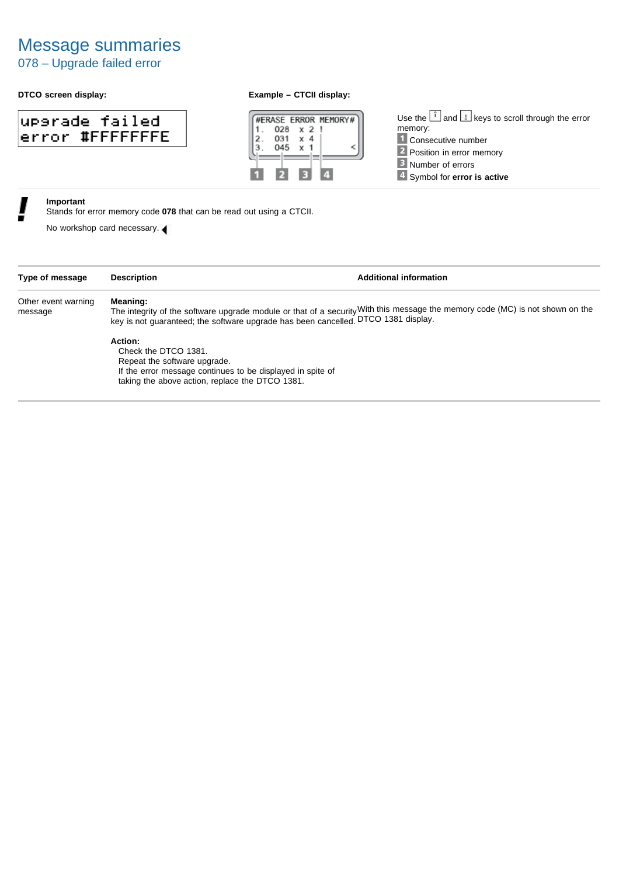## 078 – Upgrade failed error

| uparade failed  |  |  |  |
|-----------------|--|--|--|
| error #FFFFFFFE |  |  |  |

### **DTCO screen display: Example – CTCII display:**



Use the  $\left[\begin{matrix} \hat{i} \\ \end{matrix}\right]$  and  $\left[\begin{matrix} \downarrow \\ \end{matrix}\right]$  keys to scroll through the error memory: 1 Consecutive number 2 Position in error memory **B** Number of errors Symbol for **error is active**

### **Important**

Stands for error memory code **078** that can be read out using a CTCII.

| Type of message                | <b>Description</b>                                                                                                                                                                                                              | <b>Additional information</b> |  |  |  |
|--------------------------------|---------------------------------------------------------------------------------------------------------------------------------------------------------------------------------------------------------------------------------|-------------------------------|--|--|--|
| Other event warning<br>message | Meaning:<br>The integrity of the software upgrade module or that of a security With this message the memory code (MC) is not shown on the<br>key is not guaranteed; the software upgrade has been cancelled. DTCO 1381 display. |                               |  |  |  |
|                                | Action:<br>Check the DTCO 1381.<br>Repeat the software upgrade.<br>If the error message continues to be displayed in spite of<br>taking the above action, replace the DTCO 1381.                                                |                               |  |  |  |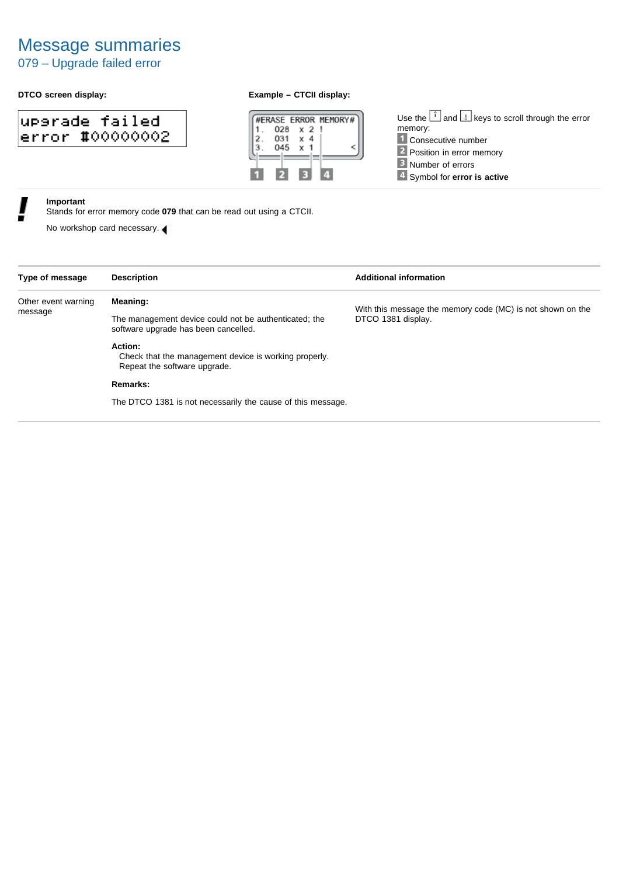## 079 – Upgrade failed error

| uparade failed  |
|-----------------|
| error #00000002 |

### **DTCO screen display: Example – CTCII display:**



Use the  $\left[\begin{matrix} \hat{i} \\ \end{matrix}\right]$  and  $\left[\begin{matrix} \downarrow \\ \end{matrix}\right]$  keys to scroll through the error memory: 1 Consecutive number 2 Position in error memory **B** Number of errors Symbol for **error is active**

### **Important**

Stands for error memory code **079** that can be read out using a CTCII.

| Type of message     | <b>Description</b>                                                                               | <b>Additional information</b>                              |  |  |
|---------------------|--------------------------------------------------------------------------------------------------|------------------------------------------------------------|--|--|
| Other event warning | <b>Meaning:</b>                                                                                  | With this message the memory code (MC) is not shown on the |  |  |
| message             | The management device could not be authenticated; the<br>software upgrade has been cancelled.    | DTCO 1381 display.                                         |  |  |
|                     | Action:<br>Check that the management device is working properly.<br>Repeat the software upgrade. |                                                            |  |  |
|                     | Remarks:                                                                                         |                                                            |  |  |
|                     | The DTCO 1381 is not necessarily the cause of this message.                                      |                                                            |  |  |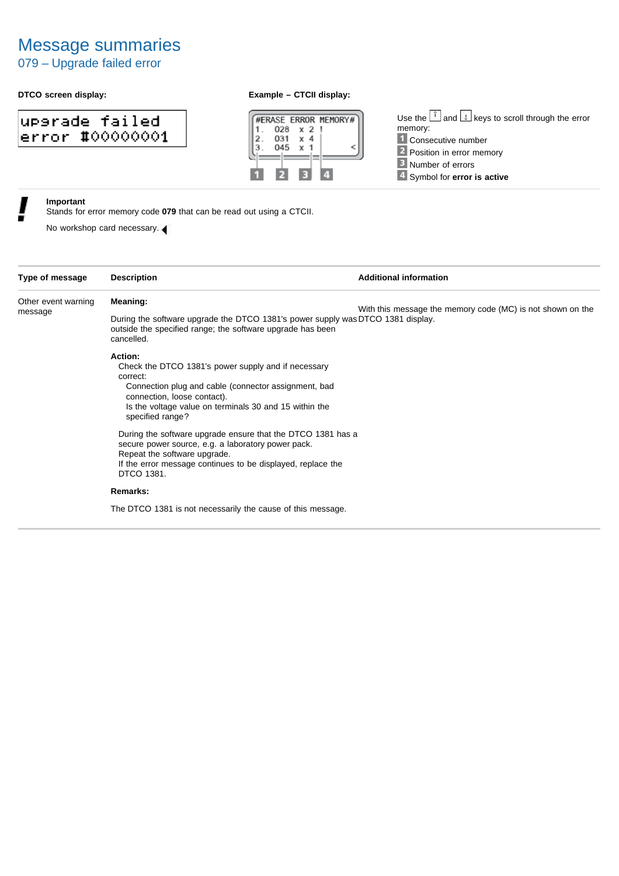## 079 – Upgrade failed error

### **DTCO screen display: Example – CTCII display:**

## uperade failed error #00000001



Use the  $\left[\begin{matrix} \overline{1} & \overline{1} \\ \overline{1} & \overline{1} \end{matrix}\right]$  and  $\left[\begin{matrix} \overline{1} & \overline{1} \\ \overline{2} & \overline{2} \end{matrix}\right]$  keys to scroll through the error memory: 1 Consecutive number 2 Position in error memory **B** Number of errors 4 Symbol for **error** is active

### **Important**

Stands for error memory code **079** that can be read out using a CTCII.

| Type of message                | <b>Description</b>                                                                                                                                                                                                                              | <b>Additional information</b>                              |
|--------------------------------|-------------------------------------------------------------------------------------------------------------------------------------------------------------------------------------------------------------------------------------------------|------------------------------------------------------------|
| Other event warning<br>message | Meaning:<br>During the software upgrade the DTCO 1381's power supply was DTCO 1381 display.<br>outside the specified range; the software upgrade has been<br>cancelled.                                                                         | With this message the memory code (MC) is not shown on the |
|                                | Action:<br>Check the DTCO 1381's power supply and if necessary<br>correct:<br>Connection plug and cable (connector assignment, bad<br>connection, loose contact).<br>Is the voltage value on terminals 30 and 15 within the<br>specified range? |                                                            |
|                                | During the software upgrade ensure that the DTCO 1381 has a<br>secure power source, e.g. a laboratory power pack.<br>Repeat the software upgrade.<br>If the error message continues to be displayed, replace the<br>DTCO 1381.                  |                                                            |
|                                | Remarks:                                                                                                                                                                                                                                        |                                                            |
|                                | The DTCO 1381 is not necessarily the cause of this message.                                                                                                                                                                                     |                                                            |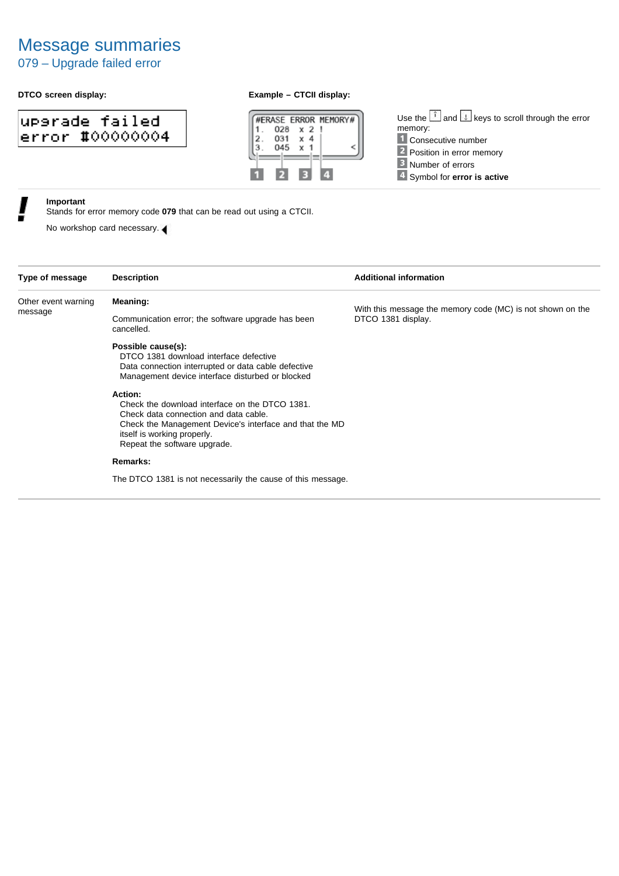## 079 – Upgrade failed error

### **DTCO screen display: Example – CTCII display:**

## uparade failed error #00000004



Use the  $\left[\begin{matrix} \overline{1} & \overline{1} \\ \overline{1} & \overline{1} \end{matrix}\right]$  and  $\left[\begin{matrix} \overline{1} & \overline{1} \\ \overline{2} & \overline{2} \end{matrix}\right]$  keys to scroll through the error memory: **1** Consecutive number 2 Position in error memory **B** Number of errors Symbol for **error is active**

### **Important**

Stands for error memory code **079** that can be read out using a CTCII.

| Type of message                | <b>Description</b>                                                                                                                                                                                                           | <b>Additional information</b>                                                    |
|--------------------------------|------------------------------------------------------------------------------------------------------------------------------------------------------------------------------------------------------------------------------|----------------------------------------------------------------------------------|
| Other event warning<br>message | Meaning:<br>Communication error; the software upgrade has been<br>cancelled.                                                                                                                                                 | With this message the memory code (MC) is not shown on the<br>DTCO 1381 display. |
|                                | Possible cause(s):<br>DTCO 1381 download interface defective<br>Data connection interrupted or data cable defective<br>Management device interface disturbed or blocked                                                      |                                                                                  |
|                                | Action:<br>Check the download interface on the DTCO 1381.<br>Check data connection and data cable.<br>Check the Management Device's interface and that the MD<br>itself is working properly.<br>Repeat the software upgrade. |                                                                                  |
|                                | Remarks:                                                                                                                                                                                                                     |                                                                                  |
|                                | The DTCO 1381 is not necessarily the cause of this message.                                                                                                                                                                  |                                                                                  |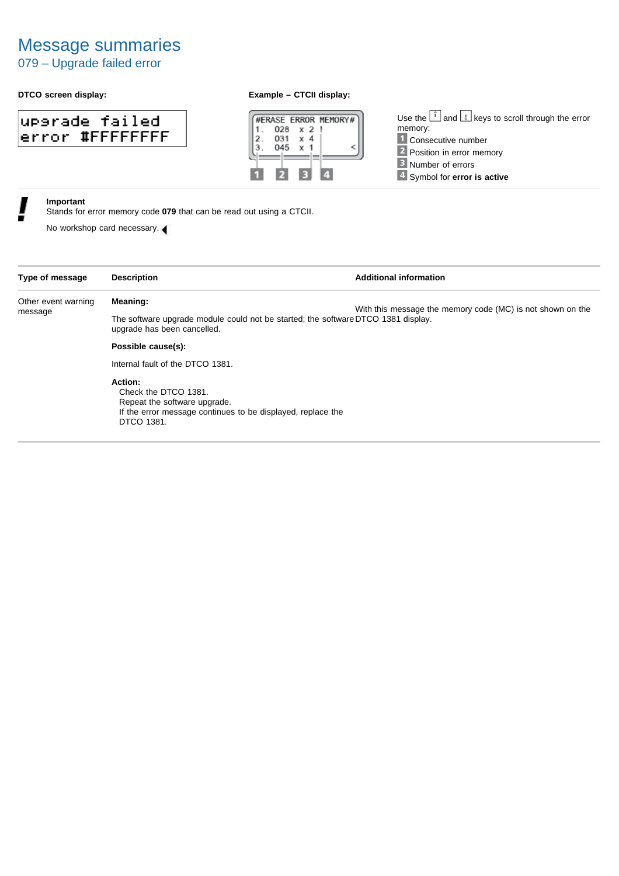## 079 – Upgrade failed error

### **DTCO screen display: Example – CTCII display:**

| uparade failed  |  |  |  |
|-----------------|--|--|--|
| error #FFFFFFFF |  |  |  |



Use the  $\left[\begin{matrix} \hat{i} \\ \end{matrix}\right]$  and  $\left[\begin{matrix} \downarrow \\ \end{matrix}\right]$  keys to scroll through the error memory: 1 Consecutive number 2 Position in error memory **B** Number of errors Symbol for **error is active**

### **Important**

Stands for error memory code **079** that can be read out using a CTCII.

| Type of message     | <b>Description</b>                                                                                                                           | <b>Additional information</b>                              |  |  |  |  |
|---------------------|----------------------------------------------------------------------------------------------------------------------------------------------|------------------------------------------------------------|--|--|--|--|
| Other event warning | Meaning:                                                                                                                                     | With this message the memory code (MC) is not shown on the |  |  |  |  |
| message             | The software upgrade module could not be started; the software DTCO 1381 display.<br>upgrade has been cancelled.                             |                                                            |  |  |  |  |
|                     | Possible cause(s):                                                                                                                           |                                                            |  |  |  |  |
|                     | Internal fault of the DTCO 1381.                                                                                                             |                                                            |  |  |  |  |
|                     | Action:<br>Check the DTCO 1381.<br>Repeat the software upgrade.<br>If the error message continues to be displayed, replace the<br>DTCO 1381. |                                                            |  |  |  |  |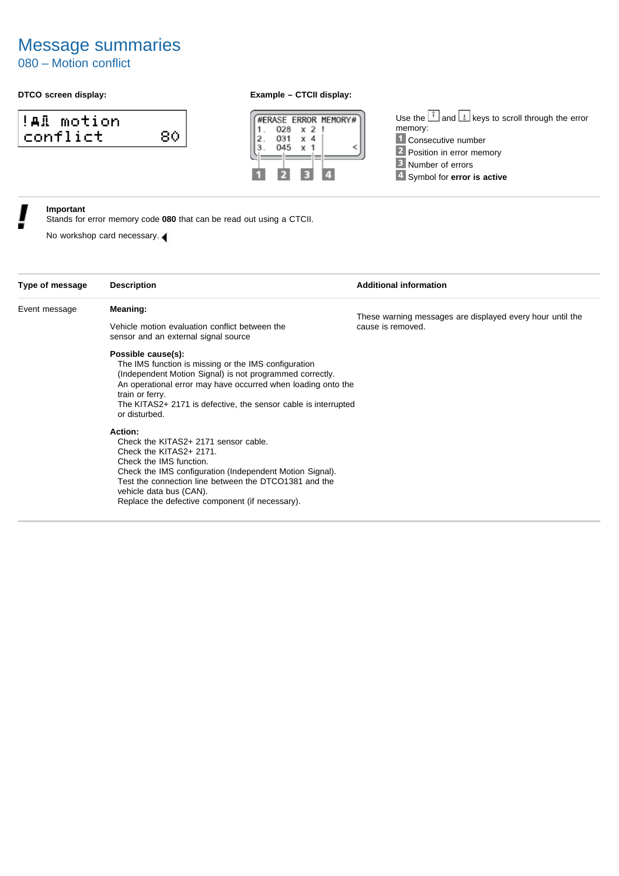# Message summaries

#### 080 – Motion conflict

| !AR motion |      |
|------------|------|
| conflict   | 80 I |





Use the  $\left[\begin{matrix} \hat{i} \\ \end{matrix}\right]$  and  $\left[\begin{matrix} 1 \\ \end{matrix}\right]$  keys to scroll through the error memory: **1** Consecutive number **Provided a Position in error memory 3** Number of errors Symbol for **error is active**

#### **Important**

Stands for error memory code **080** that can be read out using a CTCII.

No workshop card necessary.

| Type of message | <b>Description</b>                                                                                                                                                                                                                                                                                           | <b>Additional information</b>                                                  |
|-----------------|--------------------------------------------------------------------------------------------------------------------------------------------------------------------------------------------------------------------------------------------------------------------------------------------------------------|--------------------------------------------------------------------------------|
| Event message   | Meaning:<br>Vehicle motion evaluation conflict between the<br>sensor and an external signal source                                                                                                                                                                                                           | These warning messages are displayed every hour until the<br>cause is removed. |
|                 | Possible cause(s):<br>The IMS function is missing or the IMS configuration<br>(Independent Motion Signal) is not programmed correctly.<br>An operational error may have occurred when loading onto the<br>train or ferry.<br>The KITAS2+ 2171 is defective, the sensor cable is interrupted<br>or disturbed. |                                                                                |
|                 | Action:<br>Check the KITAS2+ 2171 sensor cable.<br>Check the KITAS2+ 2171.<br>Check the IMS function.<br>Check the IMS configuration (Independent Motion Signal).<br>Test the connection line between the DTCO1381 and the<br>vehicle data bus (CAN).<br>Replace the defective component (if necessary).     |                                                                                |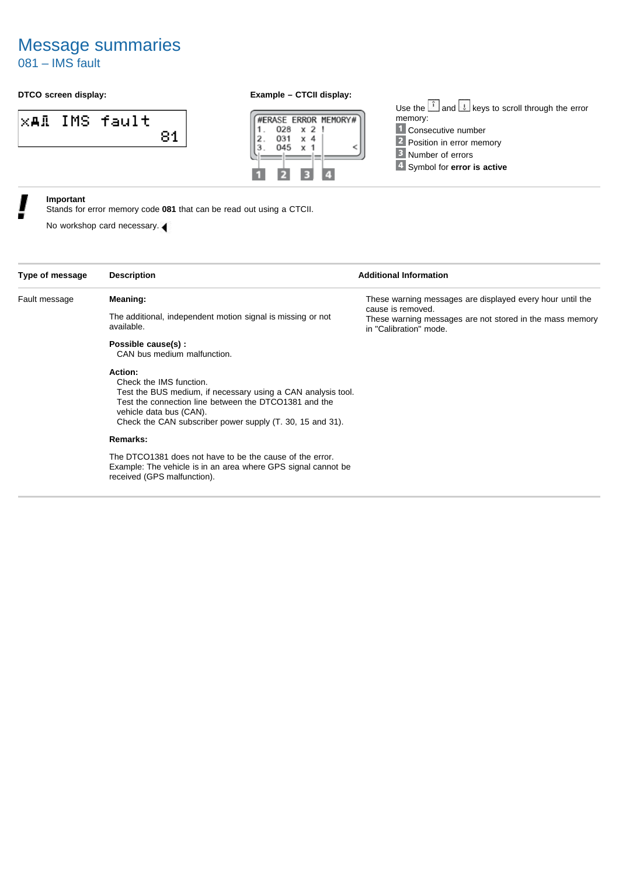# Message summaries

081 – IMS fault

#### **DTCO screen display: Example – CTCII display:**

$$
\begin{array}{ll}\n \times \texttt{A.R.} & \texttt{IMS fault} \\
& 81\n \end{array}
$$



3

R

 $\overline{4}$ 

Use the  $\left[\begin{array}{ccc} \uparrow \\ \downarrow \end{array}\right]$  and  $\left[\begin{array}{ccc} \downarrow \end{array}\right]$  keys to scroll through the error memory:

- Consecutive number
- 2 Position in error memory
- **B** Number of errors
- Symbol for **error is active**

#### **Important**

Stands for error memory code **081** that can be read out using a CTCII.

No workshop card necessary.

| Type of message | <b>Description</b>                                                                                                                                                                                                                                  | <b>Additional Information</b>                                                      |
|-----------------|-----------------------------------------------------------------------------------------------------------------------------------------------------------------------------------------------------------------------------------------------------|------------------------------------------------------------------------------------|
| Fault message   | Meaning:                                                                                                                                                                                                                                            | These warning messages are displayed every hour until the<br>cause is removed.     |
|                 | The additional, independent motion signal is missing or not<br>available.                                                                                                                                                                           | These warning messages are not stored in the mass memory<br>in "Calibration" mode. |
|                 | Possible cause(s):<br>CAN bus medium malfunction.                                                                                                                                                                                                   |                                                                                    |
|                 | Action:<br>Check the IMS function.<br>Test the BUS medium, if necessary using a CAN analysis tool.<br>Test the connection line between the DTCO1381 and the<br>vehicle data bus (CAN).<br>Check the CAN subscriber power supply (T. 30, 15 and 31). |                                                                                    |
|                 | Remarks:                                                                                                                                                                                                                                            |                                                                                    |
|                 | The DTCO1381 does not have to be the cause of the error.<br>Example: The vehicle is in an area where GPS signal cannot be<br>received (GPS malfunction).                                                                                            |                                                                                    |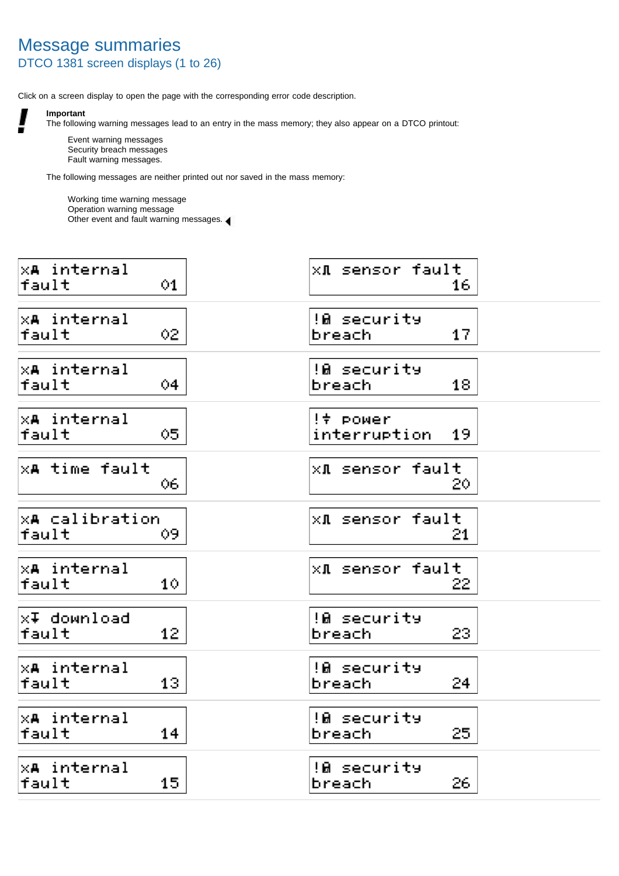# Message summaries DTCO 1381 screen displays (1 to 26)

Click on a screen display to open the page with the corresponding error code description.



**Important**

The following warning messages lead to an entry in the mass memory; they also appear on a DTCO printout:

Event warning messages Security breach messages Fault warning messages.

The following messages are neither printed out nor saved in the mass memory:

Working time warning message Operation warning message Other event and fault warning messages.

| x <del>A</del> internal<br>fault       | 01. | $\times$ $\blacksquare$ sensor fault<br>16.          |
|----------------------------------------|-----|------------------------------------------------------|
| <b>XA internal</b><br>fault            | 02. | !@ security<br>17<br>breach                          |
| <b>X<del>A</del></b> internal<br>fault | 04. | !@ security<br>breach<br>18                          |
| <b>XA internal</b><br>fault            | 05. | !† power<br>interruption<br>19                       |
| $\times$ A time fault                  | 06. | $\times$ Sensor fault<br>20.                         |
| <b>XA calibration</b><br>tault         | 09. | $\times$ $\overline{\phantom{a}}$ sensor fault<br>21 |
| <b>XA internal</b><br>fault            | 10. | $\times$ A sensor fault<br>22.                       |
| x∓ download<br>fault                   | 12. | !B security<br>23.<br>breach                         |
| <b>X<del>A</del></b> internal<br>tault | 13. | !B security<br>24.<br>breach                         |
| ka internal<br>fault                   | 14  | !@ security<br>25.<br>breach                         |
| x <b>A</b> internal<br>fault           | 15. | !B security<br>breach<br>26.                         |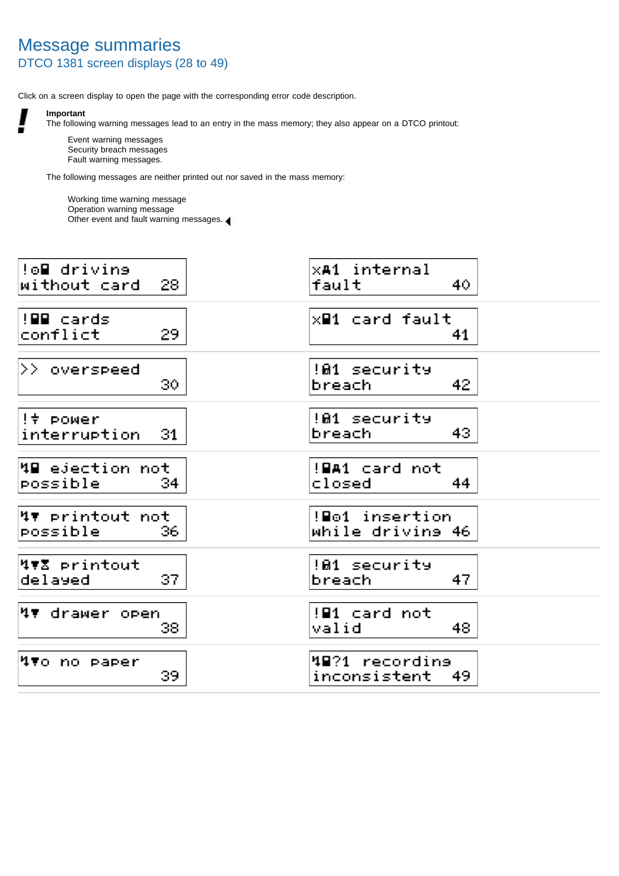# Message summaries DTCO 1381 screen displays (28 to 49)

Click on a screen display to open the page with the corresponding error code description.



**Important**

The following warning messages lead to an entry in the mass memory; they also appear on a DTCO printout:

Event warning messages Security breach messages Fault warning messages.

The following messages are neither printed out nor saved in the mass memory:

Working time warning message Operation warning message

Other event and fault warning messages.

| !⊙⊟ drivins<br>without card<br>28. | x <del>A</del> 1 internal<br>fault  | 40. |
|------------------------------------|-------------------------------------|-----|
| !⊞⊟ cards<br>conflict<br>29.       | $\times$ ard fault                  | 41  |
| >> overspeed<br>30.                | !01 security<br>breach              | 42. |
| !† power<br>interruption<br>31     | !01 security<br>breach              | 43. |
| 4⊟ ejection not<br>possible<br>34. | !BA1 card not<br>closed             | 44  |
| 4▼ printout not<br>possible<br>36. | !Bo1 insertion.<br>while drivins 46 |     |
| 478 printout<br>37.<br>delayed     | !B1 security<br>breach              | 47. |
| <b>47 drawer open</b><br>38.       | !@1 card not<br>valid               | 48. |
| 47o no paper<br>39.                | 48?1 recordins<br>inconsistent      | 49. |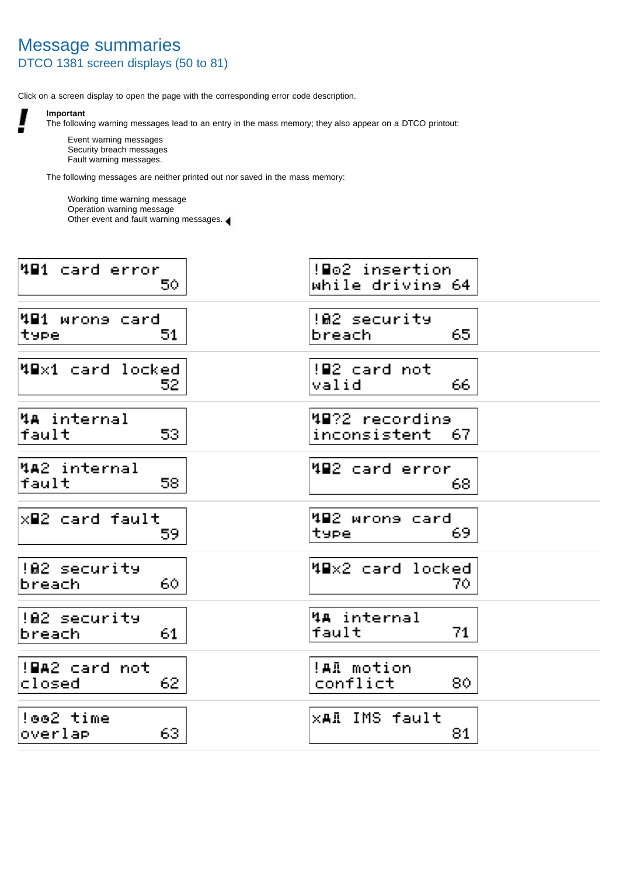# Message summaries DTCO 1381 screen displays (50 to 81)

Click on a screen display to open the page with the corresponding error code description.



**Important**

The following warning messages lead to an entry in the mass memory; they also appear on a DTCO printout:

Event warning messages Security breach messages Fault warning messages.

The following messages are neither printed out nor saved in the mass memory:

Working time warning message Operation warning message

Other event and fault warning messages.

| 481 card error<br>50.          | !Bo2 insertion.<br>while drivins 64 |
|--------------------------------|-------------------------------------|
| 481 wrons card<br>51<br>type   | !02 security<br>65.<br>breach.      |
| 48x1 card locked<br>52.        | !∎2 card not<br>valid<br>66.        |
| 4A internal<br>fault<br>53.    | 4∎?2 recordin∍<br>inconsistent 67   |
| 4A2 internal<br>fault<br>58.   | 4∎2 card error<br>68.               |
| $x = 2$ card fault<br>59.      | 482 wrons card<br>69.<br>type       |
| !02 security<br>60.<br>breach  | M⊟x2 card locked<br>70.             |
| !02 security<br>breach<br>61   | 4A internal<br>fault<br>71.         |
| !BA2 card not<br>62.<br>closed | !AR motion<br>conflict<br>80.       |
| !oo2 time<br>overlap<br>63.    | <b>xal IMS fault</b><br>81          |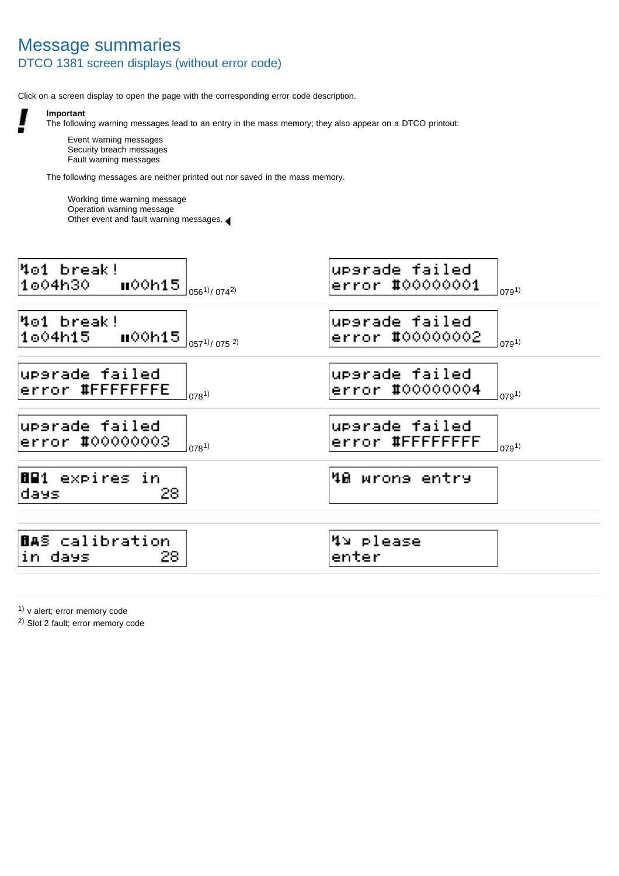# Message summaries DTCO 1381 screen displays (without error code)

Click on a screen display to open the page with the corresponding error code description.



**Important**

The following warning messages lead to an entry in the mass memory; they also appear on a DTCO printout:

Event warning messages Security breach messages Fault warning messages

The following messages are neither printed out nor saved in the mass memory.

Working time warning message Operation warning message Other event and fault warning messages.

| Mo1 break!<br>1o04h30<br>u00h15.<br>$056^{1/074^{2}}$    | uparade failed<br>error #00000001<br>(079 <sup>1</sup> ) |
|----------------------------------------------------------|----------------------------------------------------------|
| Mo1 break!<br>1o04h15<br>u00h15.<br>$057^{1/0752}$       | uparade failed<br>error #00000002<br>(079 <sup>1</sup> ) |
| upsrade failed<br>error #FFFFFFFE<br>(078 <sup>1</sup> ) | uparade failed<br>error #00000004<br>(079 <sup>1</sup> ) |
| uparade failed<br>error #00000003<br>(078 <sup>1</sup> ) | uparade failed<br>error #FFFFFFFF<br>(791)               |
| expires in<br>891<br>28.<br>days                         | 40 wrons entry                                           |
| <b>BA</b> S calibration<br>in days<br>28.                | 4¤ please<br>enter                                       |

1) v alert; error memory code

2) Slot 2 fault; error memory code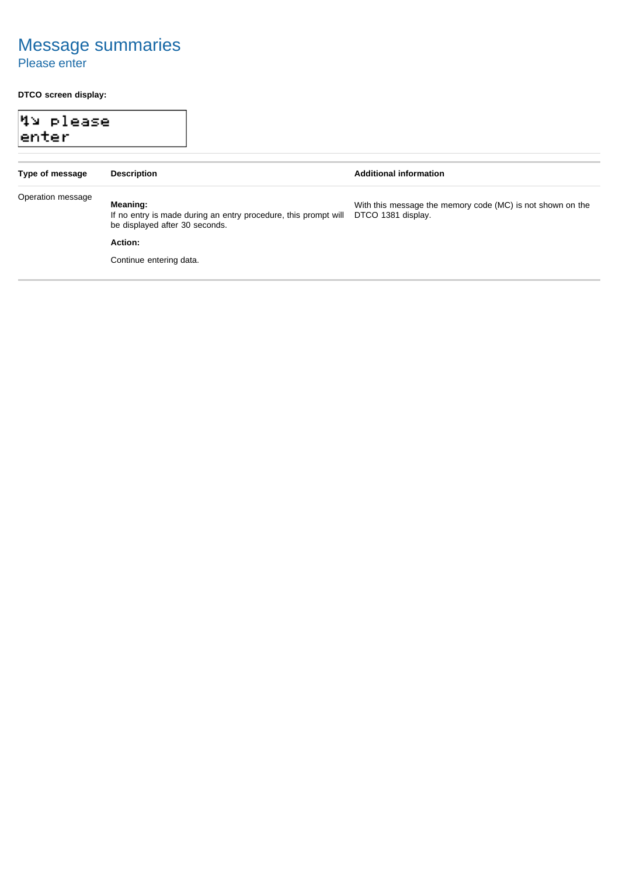# Message summaries Please enter

#### **DTCO screen display:**

| Mr please<br>lenter |                                                                                                               |                                                                                  |
|---------------------|---------------------------------------------------------------------------------------------------------------|----------------------------------------------------------------------------------|
| Type of message     | <b>Description</b>                                                                                            | <b>Additional information</b>                                                    |
| Operation message   | Meaning:<br>If no entry is made during an entry procedure, this prompt will<br>be displayed after 30 seconds. | With this message the memory code (MC) is not shown on the<br>DTCO 1381 display. |
|                     | Action:                                                                                                       |                                                                                  |
|                     | Continue entering data.                                                                                       |                                                                                  |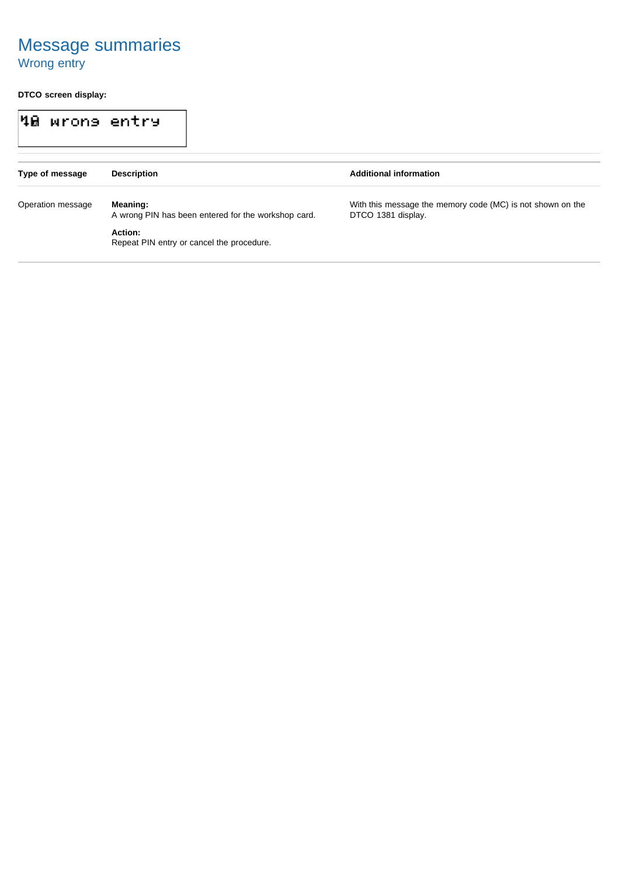### Message summaries Wrong entry

### **DTCO screen display:**

| M0 wrone entry    |                                                                 |                                                                                  |
|-------------------|-----------------------------------------------------------------|----------------------------------------------------------------------------------|
| Type of message   | <b>Description</b>                                              | <b>Additional information</b>                                                    |
| Operation message | Meaning:<br>A wrong PIN has been entered for the workshop card. | With this message the memory code (MC) is not shown on the<br>DTCO 1381 display. |
|                   | Action:<br>Repeat PIN entry or cancel the procedure.            |                                                                                  |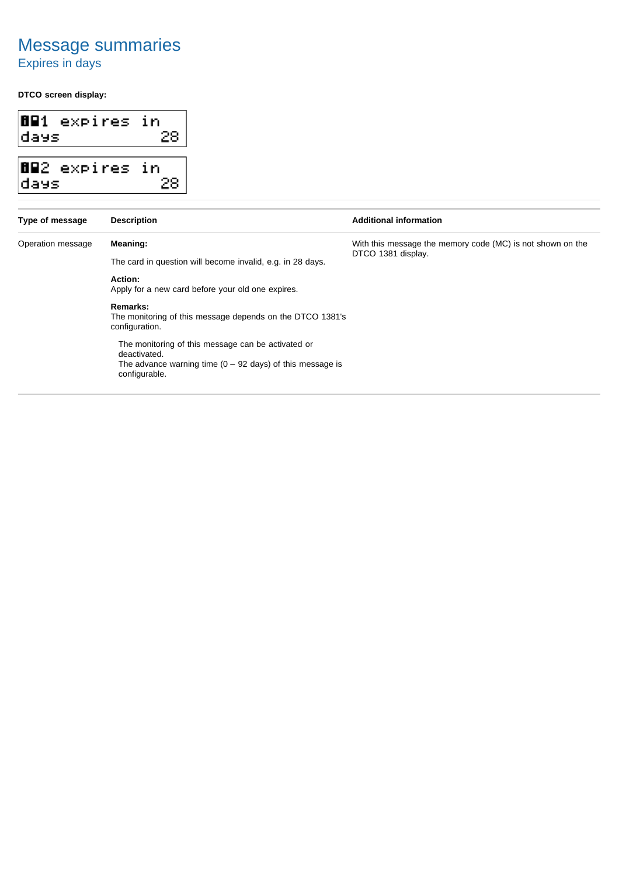# Message summaries

Expires in days

**DTCO screen display:**

| <b>BB</b> 1 expires in<br> days |                    |
|---------------------------------|--------------------|
| <b>BB</b> 2 expires in<br>days  |                    |
| Type of message                 | <b>Description</b> |

| Type of message   | <b>Description</b>                                                                                                                                 | <b>Additional information</b>                              |
|-------------------|----------------------------------------------------------------------------------------------------------------------------------------------------|------------------------------------------------------------|
| Operation message | Meaning:                                                                                                                                           | With this message the memory code (MC) is not shown on the |
|                   | The card in question will become invalid, e.g. in 28 days.                                                                                         | DTCO 1381 display.                                         |
|                   | Action:<br>Apply for a new card before your old one expires.                                                                                       |                                                            |
|                   | Remarks:<br>The monitoring of this message depends on the DTCO 1381's<br>configuration.                                                            |                                                            |
|                   | The monitoring of this message can be activated or<br>deactivated.<br>The advance warning time $(0 - 92$ days) of this message is<br>configurable. |                                                            |